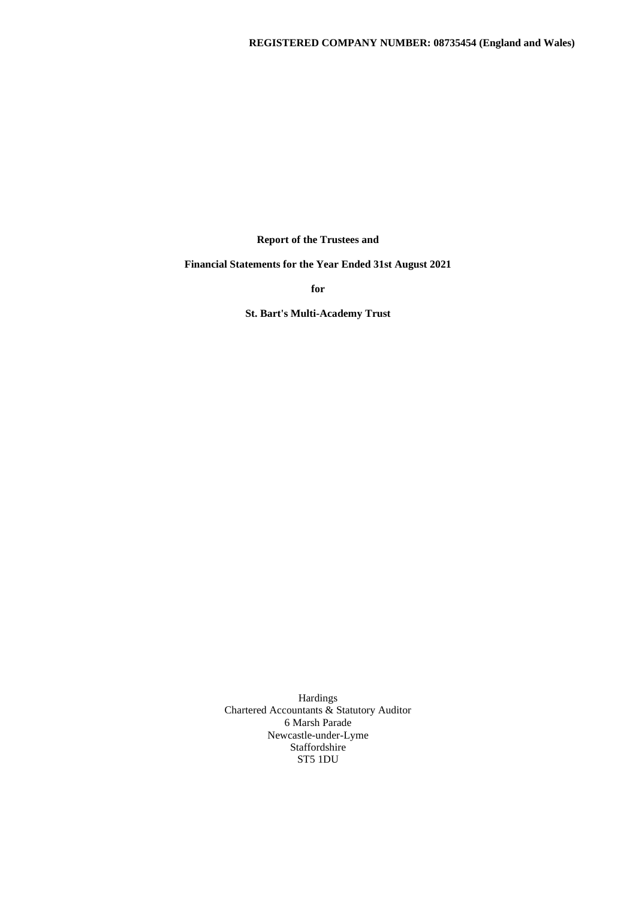**Report of the Trustees and**

**Financial Statements for the Year Ended 31st August 2021**

**for**

**St. Bart's Multi-Academy Trust**

Hardings Chartered Accountants & Statutory Auditor 6 Marsh Parade Newcastle-under-Lyme Staffordshire ST5 1DU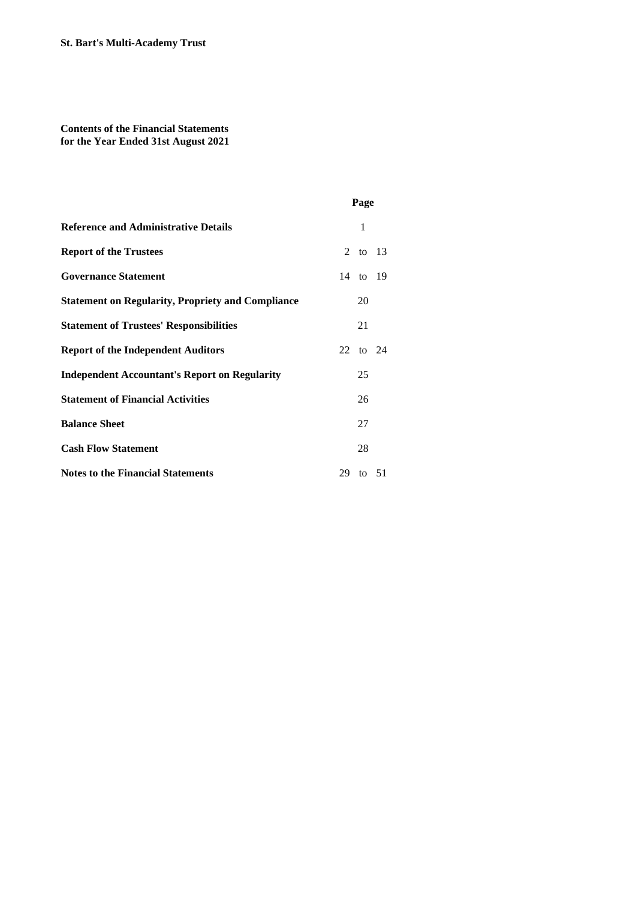# **Contents of the Financial Statements for the Year Ended 31st August 2021**

|                                                          | Page     |  |
|----------------------------------------------------------|----------|--|
| <b>Reference and Administrative Details</b>              | 1        |  |
| <b>Report of the Trustees</b>                            | 2 to 13  |  |
| <b>Governance Statement</b>                              | 14 to 19 |  |
| <b>Statement on Regularity, Propriety and Compliance</b> | 20       |  |
| <b>Statement of Trustees' Responsibilities</b>           | 21       |  |
| <b>Report of the Independent Auditors</b>                | 22 to 24 |  |
| <b>Independent Accountant's Report on Regularity</b>     | 25       |  |
| <b>Statement of Financial Activities</b>                 | 26       |  |
| <b>Balance Sheet</b>                                     | 27       |  |
| <b>Cash Flow Statement</b>                               | 28       |  |
| <b>Notes to the Financial Statements</b>                 | 29 to 51 |  |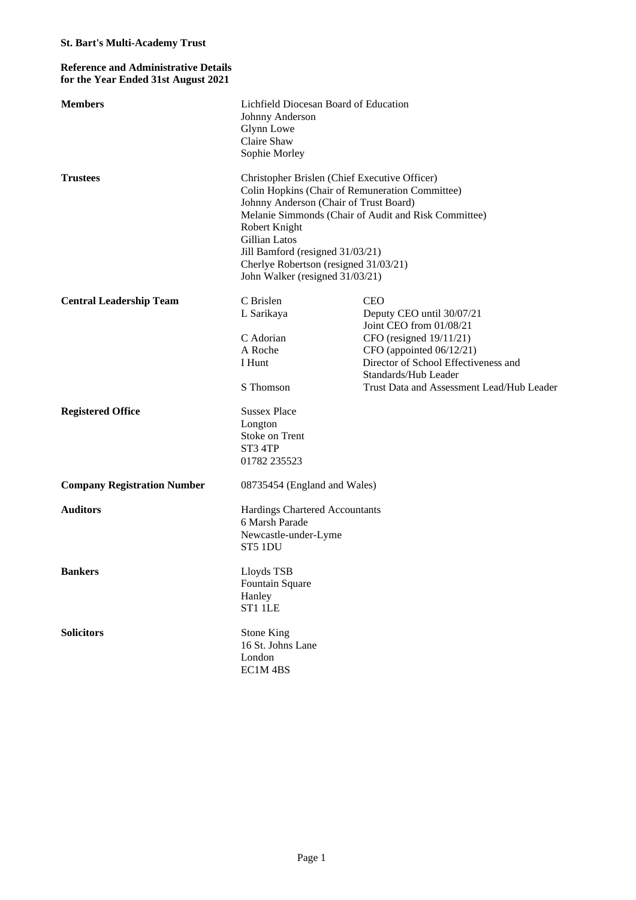## **Reference and Administrative Details for the Year Ended 31st August 2021**

| <b>Members</b>                     | Lichfield Diocesan Board of Education<br>Johnny Anderson<br>Glynn Lowe<br>Claire Shaw<br>Sophie Morley                                                                                                                                                                                                                                               |                                                                                                                                                                                                                                           |  |  |  |  |  |
|------------------------------------|------------------------------------------------------------------------------------------------------------------------------------------------------------------------------------------------------------------------------------------------------------------------------------------------------------------------------------------------------|-------------------------------------------------------------------------------------------------------------------------------------------------------------------------------------------------------------------------------------------|--|--|--|--|--|
| <b>Trustees</b>                    | Christopher Brislen (Chief Executive Officer)<br>Colin Hopkins (Chair of Remuneration Committee)<br>Johnny Anderson (Chair of Trust Board)<br>Melanie Simmonds (Chair of Audit and Risk Committee)<br>Robert Knight<br>Gillian Latos<br>Jill Bamford (resigned 31/03/21)<br>Cherlye Robertson (resigned 31/03/21)<br>John Walker (resigned 31/03/21) |                                                                                                                                                                                                                                           |  |  |  |  |  |
| <b>Central Leadership Team</b>     | C Brislen<br>L Sarikaya<br>C Adorian<br>A Roche<br>I Hunt<br>S Thomson                                                                                                                                                                                                                                                                               | <b>CEO</b><br>Deputy CEO until 30/07/21<br>Joint CEO from 01/08/21<br>CFO (resigned $19/11/21$ )<br>CFO (appointed 06/12/21)<br>Director of School Effectiveness and<br>Standards/Hub Leader<br>Trust Data and Assessment Lead/Hub Leader |  |  |  |  |  |
| <b>Registered Office</b>           | <b>Sussex Place</b><br>Longton<br>Stoke on Trent<br>ST3 4TP<br>01782 235523                                                                                                                                                                                                                                                                          |                                                                                                                                                                                                                                           |  |  |  |  |  |
| <b>Company Registration Number</b> | 08735454 (England and Wales)                                                                                                                                                                                                                                                                                                                         |                                                                                                                                                                                                                                           |  |  |  |  |  |
| <b>Auditors</b>                    | Hardings Chartered Accountants<br>6 Marsh Parade<br>Newcastle-under-Lyme<br>ST5 1DU                                                                                                                                                                                                                                                                  |                                                                                                                                                                                                                                           |  |  |  |  |  |
| <b>Bankers</b>                     | Lloyds TSB<br>Fountain Square<br>Hanley<br>ST1 1LE                                                                                                                                                                                                                                                                                                   |                                                                                                                                                                                                                                           |  |  |  |  |  |
| <b>Solicitors</b>                  | <b>Stone King</b><br>16 St. Johns Lane<br>London<br>EC1M4BS                                                                                                                                                                                                                                                                                          |                                                                                                                                                                                                                                           |  |  |  |  |  |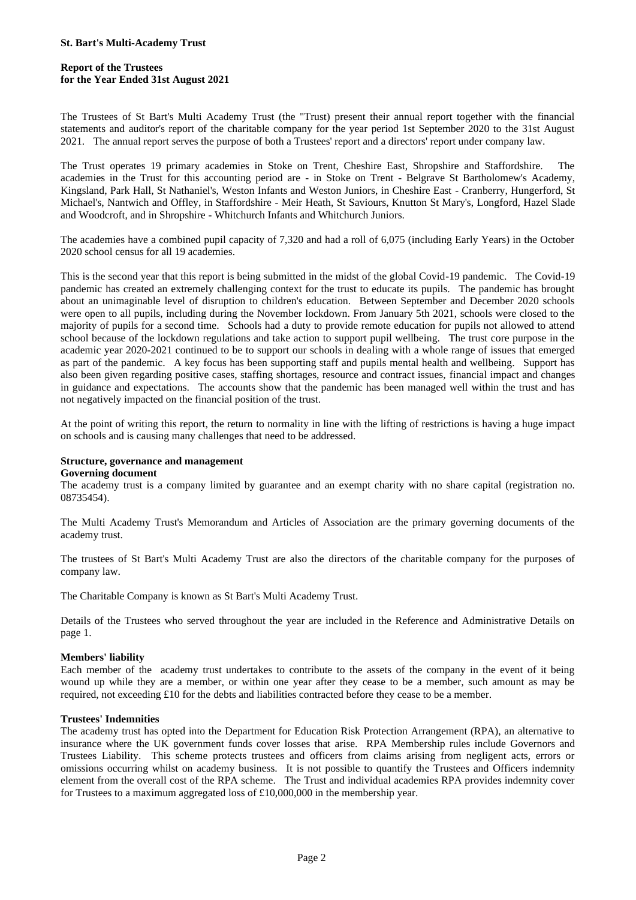### **Report of the Trustees for the Year Ended 31st August 2021**

The Trustees of St Bart's Multi Academy Trust (the "Trust) present their annual report together with the financial statements and auditor's report of the charitable company for the year period 1st September 2020 to the 31st August 2021. The annual report serves the purpose of both a Trustees' report and a directors' report under company law.

The Trust operates 19 primary academies in Stoke on Trent, Cheshire East, Shropshire and Staffordshire. The academies in the Trust for this accounting period are - in Stoke on Trent - Belgrave St Bartholomew's Academy, Kingsland, Park Hall, St Nathaniel's, Weston Infants and Weston Juniors, in Cheshire East - Cranberry, Hungerford, St Michael's, Nantwich and Offley, in Staffordshire - Meir Heath, St Saviours, Knutton St Mary's, Longford, Hazel Slade and Woodcroft, and in Shropshire - Whitchurch Infants and Whitchurch Juniors.

The academies have a combined pupil capacity of 7,320 and had a roll of 6,075 (including Early Years) in the October 2020 school census for all 19 academies.

This is the second year that this report is being submitted in the midst of the global Covid-19 pandemic. The Covid-19 pandemic has created an extremely challenging context for the trust to educate its pupils. The pandemic has brought about an unimaginable level of disruption to children's education. Between September and December 2020 schools were open to all pupils, including during the November lockdown. From January 5th 2021, schools were closed to the majority of pupils for a second time. Schools had a duty to provide remote education for pupils not allowed to attend school because of the lockdown regulations and take action to support pupil wellbeing. The trust core purpose in the academic year 2020-2021 continued to be to support our schools in dealing with a whole range of issues that emerged as part of the pandemic. A key focus has been supporting staff and pupils mental health and wellbeing. Support has also been given regarding positive cases, staffing shortages, resource and contract issues, financial impact and changes in guidance and expectations. The accounts show that the pandemic has been managed well within the trust and has not negatively impacted on the financial position of the trust.

At the point of writing this report, the return to normality in line with the lifting of restrictions is having a huge impact on schools and is causing many challenges that need to be addressed.

### **Structure, governance and management**

#### **Governing document**

The academy trust is a company limited by guarantee and an exempt charity with no share capital (registration no. 08735454).

The Multi Academy Trust's Memorandum and Articles of Association are the primary governing documents of the academy trust.

The trustees of St Bart's Multi Academy Trust are also the directors of the charitable company for the purposes of company law.

The Charitable Company is known as St Bart's Multi Academy Trust.

Details of the Trustees who served throughout the year are included in the Reference and Administrative Details on page 1.

### **Members' liability**

Each member of the academy trust undertakes to contribute to the assets of the company in the event of it being wound up while they are a member, or within one year after they cease to be a member, such amount as may be required, not exceeding £10 for the debts and liabilities contracted before they cease to be a member.

#### **Trustees' Indemnities**

The academy trust has opted into the Department for Education Risk Protection Arrangement (RPA), an alternative to insurance where the UK government funds cover losses that arise. RPA Membership rules include Governors and Trustees Liability. This scheme protects trustees and officers from claims arising from negligent acts, errors or omissions occurring whilst on academy business. It is not possible to quantify the Trustees and Officers indemnity element from the overall cost of the RPA scheme. The Trust and individual academies RPA provides indemnity cover for Trustees to a maximum aggregated loss of £10,000,000 in the membership year.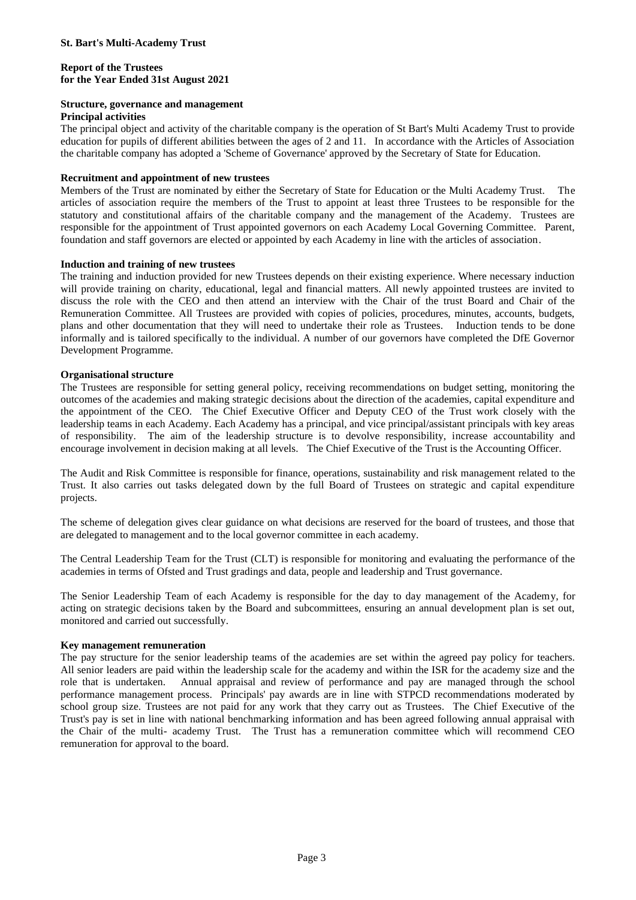#### **Report of the Trustees for the Year Ended 31st August 2021**

## **Structure, governance and management**

#### **Principal activities**

The principal object and activity of the charitable company is the operation of St Bart's Multi Academy Trust to provide education for pupils of different abilities between the ages of 2 and 11. In accordance with the Articles of Association the charitable company has adopted a 'Scheme of Governance' approved by the Secretary of State for Education.

#### **Recruitment and appointment of new trustees**

Members of the Trust are nominated by either the Secretary of State for Education or the Multi Academy Trust. The articles of association require the members of the Trust to appoint at least three Trustees to be responsible for the statutory and constitutional affairs of the charitable company and the management of the Academy. Trustees are responsible for the appointment of Trust appointed governors on each Academy Local Governing Committee. Parent, foundation and staff governors are elected or appointed by each Academy in line with the articles of association.

#### **Induction and training of new trustees**

The training and induction provided for new Trustees depends on their existing experience. Where necessary induction will provide training on charity, educational, legal and financial matters. All newly appointed trustees are invited to discuss the role with the CEO and then attend an interview with the Chair of the trust Board and Chair of the Remuneration Committee. All Trustees are provided with copies of policies, procedures, minutes, accounts, budgets, plans and other documentation that they will need to undertake their role as Trustees. Induction tends to be done informally and is tailored specifically to the individual. A number of our governors have completed the DfE Governor Development Programme.

#### **Organisational structure**

The Trustees are responsible for setting general policy, receiving recommendations on budget setting, monitoring the outcomes of the academies and making strategic decisions about the direction of the academies, capital expenditure and the appointment of the CEO. The Chief Executive Officer and Deputy CEO of the Trust work closely with the leadership teams in each Academy. Each Academy has a principal, and vice principal/assistant principals with key areas of responsibility. The aim of the leadership structure is to devolve responsibility, increase accountability and encourage involvement in decision making at all levels. The Chief Executive of the Trust is the Accounting Officer.

The Audit and Risk Committee is responsible for finance, operations, sustainability and risk management related to the Trust. It also carries out tasks delegated down by the full Board of Trustees on strategic and capital expenditure projects.

The scheme of delegation gives clear guidance on what decisions are reserved for the board of trustees, and those that are delegated to management and to the local governor committee in each academy.

The Central Leadership Team for the Trust (CLT) is responsible for monitoring and evaluating the performance of the academies in terms of Ofsted and Trust gradings and data, people and leadership and Trust governance.

The Senior Leadership Team of each Academy is responsible for the day to day management of the Academy, for acting on strategic decisions taken by the Board and subcommittees, ensuring an annual development plan is set out, monitored and carried out successfully.

### **Key management remuneration**

The pay structure for the senior leadership teams of the academies are set within the agreed pay policy for teachers. All senior leaders are paid within the leadership scale for the academy and within the ISR for the academy size and the role that is undertaken. Annual appraisal and review of performance and pay are managed through the school performance management process. Principals' pay awards are in line with STPCD recommendations moderated by school group size. Trustees are not paid for any work that they carry out as Trustees. The Chief Executive of the Trust's pay is set in line with national benchmarking information and has been agreed following annual appraisal with the Chair of the multi- academy Trust. The Trust has a remuneration committee which will recommend CEO remuneration for approval to the board.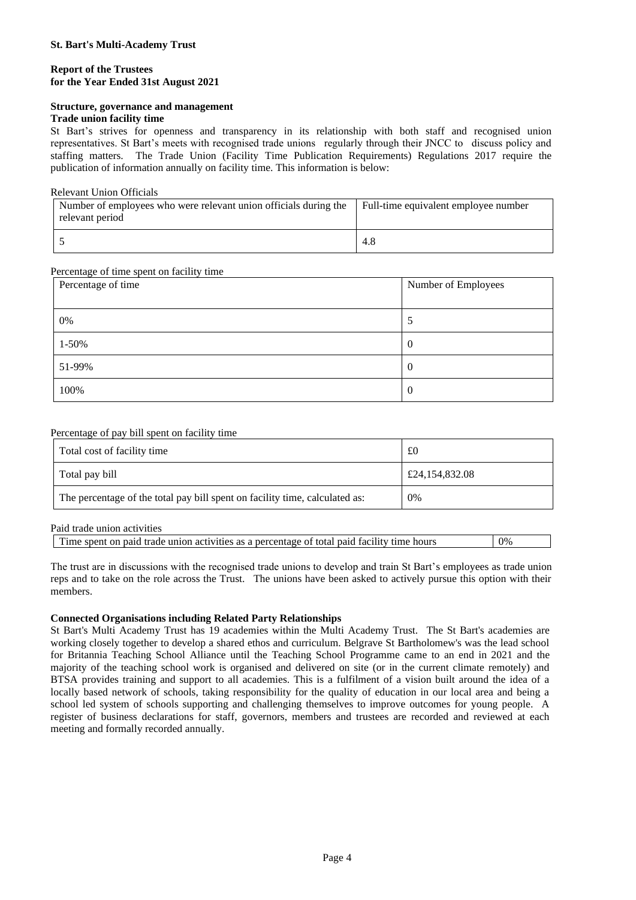#### **Report of the Trustees for the Year Ended 31st August 2021**

### **Structure, governance and management**

#### **Trade union facility time**

St Bart's strives for openness and transparency in its relationship with both staff and recognised union representatives. St Bart's meets with recognised trade unions regularly through their JNCC to discuss policy and staffing matters. The Trade Union (Facility Time Publication Requirements) Regulations 2017 require the publication of information annually on facility time. This information is below:

#### Relevant Union Officials

| Number of employees who were relevant union officials during the<br>relevant period | Full-time equivalent employee number |
|-------------------------------------------------------------------------------------|--------------------------------------|
|                                                                                     | 4.8                                  |

### Percentage of time spent on facility time

| Percentage of time | Number of Employees |
|--------------------|---------------------|
|                    |                     |
| 0%                 |                     |
| $1 - 50%$          | O                   |
| 51-99%             | $\theta$            |
| 100%               | $\theta$            |

### Percentage of pay bill spent on facility time

| Total cost of facility time                                                 | £0             |
|-----------------------------------------------------------------------------|----------------|
| Total pay bill                                                              | £24,154,832.08 |
| The percentage of the total pay bill spent on facility time, calculated as: | 0%             |

#### Paid trade union activities

The trust are in discussions with the recognised trade unions to develop and train St Bart's employees as trade union reps and to take on the role across the Trust. The unions have been asked to actively pursue this option with their members.

### **Connected Organisations including Related Party Relationships**

St Bart's Multi Academy Trust has 19 academies within the Multi Academy Trust. The St Bart's academies are working closely together to develop a shared ethos and curriculum. Belgrave St Bartholomew's was the lead school for Britannia Teaching School Alliance until the Teaching School Programme came to an end in 2021 and the majority of the teaching school work is organised and delivered on site (or in the current climate remotely) and BTSA provides training and support to all academies. This is a fulfilment of a vision built around the idea of a locally based network of schools, taking responsibility for the quality of education in our local area and being a school led system of schools supporting and challenging themselves to improve outcomes for young people. A register of business declarations for staff, governors, members and trustees are recorded and reviewed at each meeting and formally recorded annually.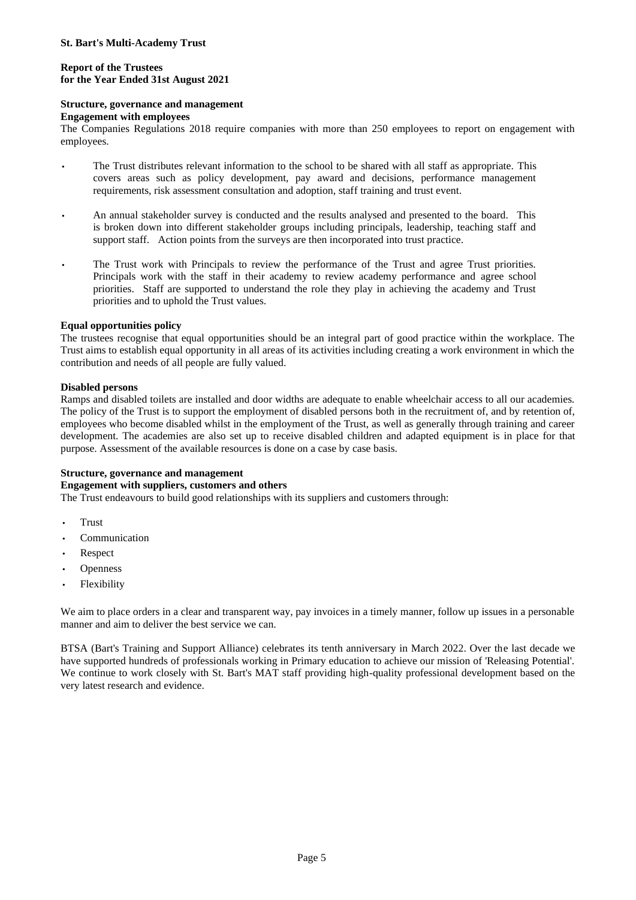### **Report of the Trustees for the Year Ended 31st August 2021**

### **Structure, governance and management**

### **Engagement with employees**

The Companies Regulations 2018 require companies with more than 250 employees to report on engagement with employees.

- The Trust distributes relevant information to the school to be shared with all staff as appropriate. This covers areas such as policy development, pay award and decisions, performance management requirements, risk assessment consultation and adoption, staff training and trust event.
- An annual stakeholder survey is conducted and the results analysed and presented to the board. This is broken down into different stakeholder groups including principals, leadership, teaching staff and support staff. Action points from the surveys are then incorporated into trust practice.
- The Trust work with Principals to review the performance of the Trust and agree Trust priorities. Principals work with the staff in their academy to review academy performance and agree school priorities. Staff are supported to understand the role they play in achieving the academy and Trust priorities and to uphold the Trust values.

## **Equal opportunities policy**

The trustees recognise that equal opportunities should be an integral part of good practice within the workplace. The Trust aims to establish equal opportunity in all areas of its activities including creating a work environment in which the contribution and needs of all people are fully valued.

## **Disabled persons**

Ramps and disabled toilets are installed and door widths are adequate to enable wheelchair access to all our academies. The policy of the Trust is to support the employment of disabled persons both in the recruitment of, and by retention of, employees who become disabled whilst in the employment of the Trust, as well as generally through training and career development. The academies are also set up to receive disabled children and adapted equipment is in place for that purpose. Assessment of the available resources is done on a case by case basis.

### **Structure, governance and management**

### **Engagement with suppliers, customers and others**

The Trust endeavours to build good relationships with its suppliers and customers through:

- Trust
- Communication
- Respect
- **Openness**
- Flexibility

We aim to place orders in a clear and transparent way, pay invoices in a timely manner, follow up issues in a personable manner and aim to deliver the best service we can.

BTSA (Bart's Training and Support Alliance) celebrates its tenth anniversary in March 2022. Over the last decade we have supported hundreds of professionals working in Primary education to achieve our mission of 'Releasing Potential'. We continue to work closely with St. Bart's MAT staff providing high-quality professional development based on the very latest research and evidence.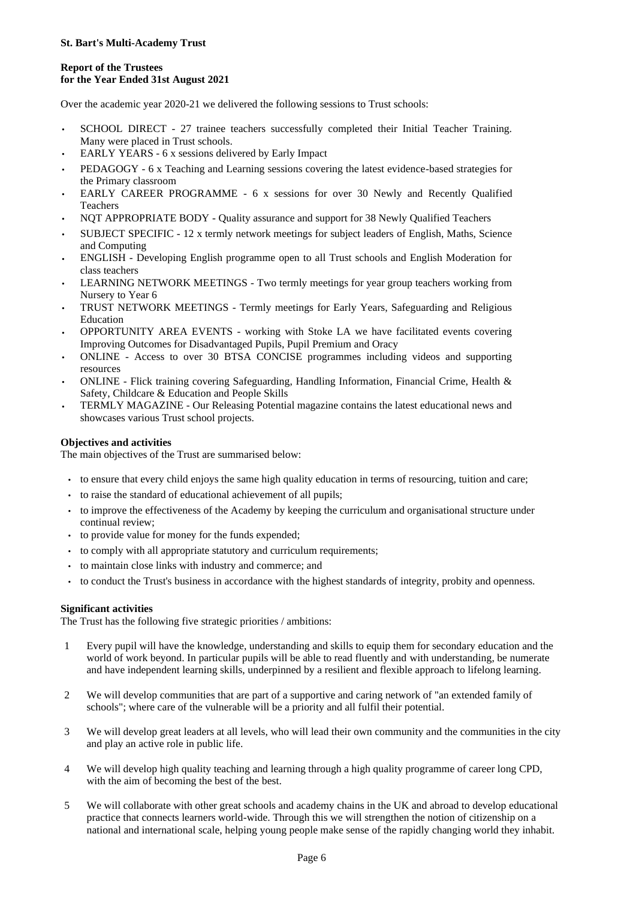## **Report of the Trustees for the Year Ended 31st August 2021**

Over the academic year 2020-21 we delivered the following sessions to Trust schools:

- SCHOOL DIRECT 27 trainee teachers successfully completed their Initial Teacher Training. Many were placed in Trust schools.
- EARLY YEARS 6 x sessions delivered by Early Impact
- PEDAGOGY 6 x Teaching and Learning sessions covering the latest evidence-based strategies for the Primary classroom
- EARLY CAREER PROGRAMME 6 x sessions for over 30 Newly and Recently Qualified Teachers
- NQT APPROPRIATE BODY Quality assurance and support for 38 Newly Qualified Teachers
- SUBJECT SPECIFIC 12 x termly network meetings for subject leaders of English, Maths, Science and Computing
- ENGLISH Developing English programme open to all Trust schools and English Moderation for class teachers
- LEARNING NETWORK MEETINGS Two termly meetings for year group teachers working from Nursery to Year 6
- TRUST NETWORK MEETINGS Termly meetings for Early Years, Safeguarding and Religious Education
- OPPORTUNITY AREA EVENTS working with Stoke LA we have facilitated events covering Improving Outcomes for Disadvantaged Pupils, Pupil Premium and Oracy
- ONLINE Access to over 30 BTSA CONCISE programmes including videos and supporting resources
- ONLINE Flick training covering Safeguarding, Handling Information, Financial Crime, Health & Safety, Childcare & Education and People Skills
- TERMLY MAGAZINE Our Releasing Potential magazine contains the latest educational news and showcases various Trust school projects.

## **Objectives and activities**

The main objectives of the Trust are summarised below:

- to ensure that every child enjoys the same high quality education in terms of resourcing, tuition and care;
- to raise the standard of educational achievement of all pupils;
- to improve the effectiveness of the Academy by keeping the curriculum and organisational structure under continual review;
- to provide value for money for the funds expended;
- to comply with all appropriate statutory and curriculum requirements;
- to maintain close links with industry and commerce; and
- to conduct the Trust's business in accordance with the highest standards of integrity, probity and openness.

## **Significant activities**

The Trust has the following five strategic priorities / ambitions:

- 1 Every pupil will have the knowledge, understanding and skills to equip them for secondary education and the world of work beyond. In particular pupils will be able to read fluently and with understanding, be numerate and have independent learning skills, underpinned by a resilient and flexible approach to lifelong learning.
- 2 We will develop communities that are part of a supportive and caring network of "an extended family of schools"; where care of the vulnerable will be a priority and all fulfil their potential.
- 3 We will develop great leaders at all levels, who will lead their own community and the communities in the city and play an active role in public life.
- 4 We will develop high quality teaching and learning through a high quality programme of career long CPD, with the aim of becoming the best of the best.
- 5 We will collaborate with other great schools and academy chains in the UK and abroad to develop educational practice that connects learners world-wide. Through this we will strengthen the notion of citizenship on a national and international scale, helping young people make sense of the rapidly changing world they inhabit.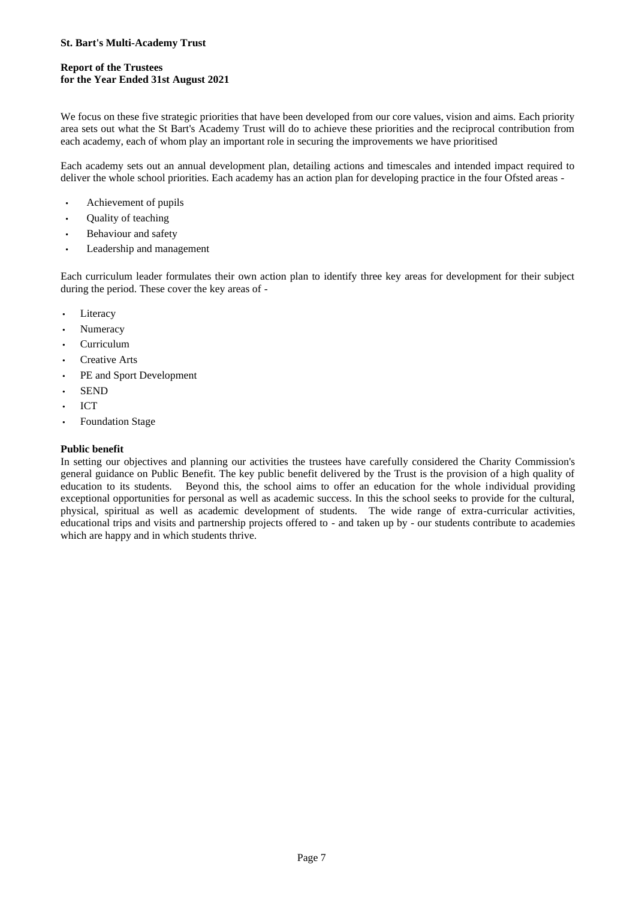# **Report of the Trustees for the Year Ended 31st August 2021**

We focus on these five strategic priorities that have been developed from our core values, vision and aims. Each priority area sets out what the St Bart's Academy Trust will do to achieve these priorities and the reciprocal contribution from each academy, each of whom play an important role in securing the improvements we have prioritised

Each academy sets out an annual development plan, detailing actions and timescales and intended impact required to deliver the whole school priorities. Each academy has an action plan for developing practice in the four Ofsted areas -

- Achievement of pupils
- Quality of teaching
- Behaviour and safety
- Leadership and management

Each curriculum leader formulates their own action plan to identify three key areas for development for their subject during the period. These cover the key areas of -

- Literacy
- Numeracy
- Curriculum
- Creative Arts
- PE and Sport Development
- SEND
- $\ddot{\phantom{0}}$ ICT
- Foundation Stage

## **Public benefit**

In setting our objectives and planning our activities the trustees have carefully considered the Charity Commission's general guidance on Public Benefit. The key public benefit delivered by the Trust is the provision of a high quality of education to its students. Beyond this, the school aims to offer an education for the whole individual providing exceptional opportunities for personal as well as academic success. In this the school seeks to provide for the cultural, physical, spiritual as well as academic development of students. The wide range of extra-curricular activities, educational trips and visits and partnership projects offered to - and taken up by - our students contribute to academies which are happy and in which students thrive.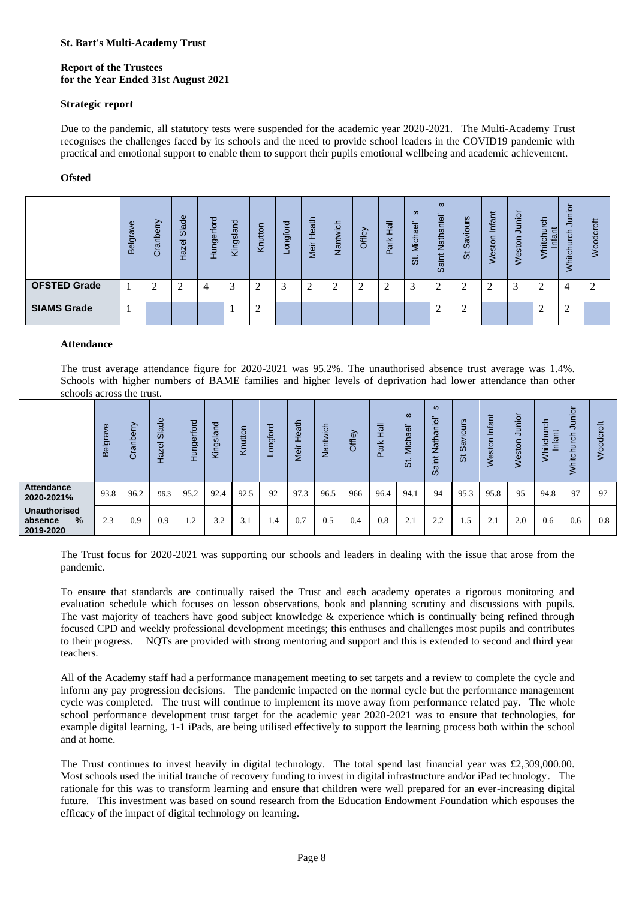## **Report of the Trustees for the Year Ended 31st August 2021**

### **Strategic report**

Due to the pandemic, all statutory tests were suspended for the academic year 2020-2021. The Multi-Academy Trust recognises the challenges faced by its schools and the need to provide school leaders in the COVID19 pandemic with practical and emotional support to enable them to support their pupils emotional wellbeing and academic achievement.

### **Ofsted**

|                     | Φ<br>$\overline{\sigma}$<br>ēl<br>ന | Φ<br>$\circ$<br>ᆮ<br>σ | Slade<br>Hazel | Hungerford | gsland<br>₹ | Knutton | ರ<br>gfo<br>$\Omega$ | eath<br>-<br>⋍<br>jeki | Nantwich | Offley | 忌<br>폰<br>$\sigma$<br>$\Omega$ | <b>SD</b><br>ae'<br>Micha<br>55 | $\omega$<br><u>ம</u><br>c<br>Φ<br>ᅘ<br>∠<br>$-$<br>$\overline{3}$ | urs<br>Savior<br>ぁ | Infant<br>Veston | <u>ہ</u> .<br>Ξ<br>Weston | tigh<br>itch<br>≂<br>⋚ | unior<br>ပ<br>Whitch | 专<br>공<br>O<br>Š |
|---------------------|-------------------------------------|------------------------|----------------|------------|-------------|---------|----------------------|------------------------|----------|--------|--------------------------------|---------------------------------|-------------------------------------------------------------------|--------------------|------------------|---------------------------|------------------------|----------------------|------------------|
| <b>OFSTED Grade</b> |                                     | Δ                      | ⌒              | 4          | 3           |         | ⌒                    | Λ<br>∠                 |          |        | 2                              | 3                               | ⌒                                                                 | ┐                  |                  |                           | ↑                      | 4                    | $\bigcap$        |
| <b>SIAMS Grade</b>  |                                     |                        |                |            |             | ◠<br>∸  |                      |                        |          |        |                                |                                 | Δ                                                                 | ◠<br>∠             |                  |                           | ◠<br>∠                 | ി<br>∠               |                  |

### **Attendance**

|                                                                                                                                                                                                                                                                                                                                                                                                                                                                                                                                                                                                                                                                                                                                                                                                                                                                                                                                                                                                                                                                                                                                                                                                                                                                                                                                                                                                                                                                                                                                                                                                                                                                                                                                                                                                                                                                                                                                                                                                                                                 |          | Belgrave  | Cranberry      | <b>Slade</b><br>Hazel <sup>3</sup> | Hungerford | Kingsland    | Knutton        | Longford   | Meir Heath | Nantwich | Offley | Park Hall | St. Michael'      | Saint Nathaniel                           | St Saviours | Weston Infar   | Weston Junic  | Whitchurch<br>Infant | Whitchurch Jur    | Woodcroft      |
|-------------------------------------------------------------------------------------------------------------------------------------------------------------------------------------------------------------------------------------------------------------------------------------------------------------------------------------------------------------------------------------------------------------------------------------------------------------------------------------------------------------------------------------------------------------------------------------------------------------------------------------------------------------------------------------------------------------------------------------------------------------------------------------------------------------------------------------------------------------------------------------------------------------------------------------------------------------------------------------------------------------------------------------------------------------------------------------------------------------------------------------------------------------------------------------------------------------------------------------------------------------------------------------------------------------------------------------------------------------------------------------------------------------------------------------------------------------------------------------------------------------------------------------------------------------------------------------------------------------------------------------------------------------------------------------------------------------------------------------------------------------------------------------------------------------------------------------------------------------------------------------------------------------------------------------------------------------------------------------------------------------------------------------------------|----------|-----------|----------------|------------------------------------|------------|--------------|----------------|------------|------------|----------|--------|-----------|-------------------|-------------------------------------------|-------------|----------------|---------------|----------------------|-------------------|----------------|
| <b>OFSTED Grade</b>                                                                                                                                                                                                                                                                                                                                                                                                                                                                                                                                                                                                                                                                                                                                                                                                                                                                                                                                                                                                                                                                                                                                                                                                                                                                                                                                                                                                                                                                                                                                                                                                                                                                                                                                                                                                                                                                                                                                                                                                                             |          | 1         | 2              | 2                                  | 4          | 3            | $\overline{c}$ | 3          | 2          | 2        | 2      | 2         | 3                 | 2                                         | 2           | $\overline{c}$ | 3             | 2                    | $\overline{4}$    | $\overline{c}$ |
| <b>SIAMS Grade</b>                                                                                                                                                                                                                                                                                                                                                                                                                                                                                                                                                                                                                                                                                                                                                                                                                                                                                                                                                                                                                                                                                                                                                                                                                                                                                                                                                                                                                                                                                                                                                                                                                                                                                                                                                                                                                                                                                                                                                                                                                              |          | 1         |                |                                    |            | $\mathbf{1}$ | $\mathfrak{2}$ |            |            |          |        |           |                   | 2                                         | 2           |                |               | $\overline{c}$       | 2                 |                |
| <b>Attendance</b><br>The trust average attendance figure for 2020-2021 was 95.2%. The unauthorised absence trust average was 1.4%.<br>Schools with higher numbers of BAME families and higher levels of deprivation had lower attendance than other<br>schools across the trust.                                                                                                                                                                                                                                                                                                                                                                                                                                                                                                                                                                                                                                                                                                                                                                                                                                                                                                                                                                                                                                                                                                                                                                                                                                                                                                                                                                                                                                                                                                                                                                                                                                                                                                                                                                |          |           |                |                                    |            |              |                |            |            |          |        |           |                   |                                           |             |                |               |                      |                   |                |
|                                                                                                                                                                                                                                                                                                                                                                                                                                                                                                                                                                                                                                                                                                                                                                                                                                                                                                                                                                                                                                                                                                                                                                                                                                                                                                                                                                                                                                                                                                                                                                                                                                                                                                                                                                                                                                                                                                                                                                                                                                                 | Belgrave | Cranberry | Slade<br>Hazel | Hungerford                         | Kingsland  | Knutton      | Longford       | Meir Heath |            | Nantwich | Offley | Park Hall | ဖ<br>St. Michael' | $\boldsymbol{\omega}$<br>Saint Nathaniel' | St Saviours | Weston Infant  | Weston Junior | Whitchurch<br>Infant | Whitchurch Junior | Woodcroft      |
| <b>Attendance</b><br>2020-2021%                                                                                                                                                                                                                                                                                                                                                                                                                                                                                                                                                                                                                                                                                                                                                                                                                                                                                                                                                                                                                                                                                                                                                                                                                                                                                                                                                                                                                                                                                                                                                                                                                                                                                                                                                                                                                                                                                                                                                                                                                 | 93.8     | 96.2      | 96.3           | 95.2                               | 92.4       | 92.5         | 92             | 97.3       |            | 96.5     | 966    | 96.4      | 94.1              | 94                                        | 95.3        | 95.8           | 95            | 94.8                 | 97                | 97             |
| ℅                                                                                                                                                                                                                                                                                                                                                                                                                                                                                                                                                                                                                                                                                                                                                                                                                                                                                                                                                                                                                                                                                                                                                                                                                                                                                                                                                                                                                                                                                                                                                                                                                                                                                                                                                                                                                                                                                                                                                                                                                                               | 2.3      | 0.9       | 0.9            | 1.2                                |            |              |                |            |            |          | 0.4    | 0.8       | 2.1               | 2.2                                       | 1.5         | 2.1            | 2.0           | 0.6                  | 0.6               | 0.8            |
| <b>Unauthorised</b><br>0.5<br>3.2<br>3.1<br>1.4<br>0.7<br>absence<br>2019-2020<br>The Trust focus for 2020-2021 was supporting our schools and leaders in dealing with the issue that arose from the<br>pandemic.<br>To ensure that standards are continually raised the Trust and each academy operates a rigorous monitoring and<br>evaluation schedule which focuses on lesson observations, book and planning scrutiny and discussions with pupils.<br>The vast majority of teachers have good subject knowledge & experience which is continually being refined through<br>focused CPD and weekly professional development meetings; this enthuses and challenges most pupils and contributes<br>NQTs are provided with strong mentoring and support and this is extended to second and third year<br>to their progress.<br>teachers.<br>All of the Academy staff had a performance management meeting to set targets and a review to complete the cycle and<br>inform any pay progression decisions. The pandemic impacted on the normal cycle but the performance management<br>cycle was completed. The trust will continue to implement its move away from performance related pay. The whole<br>school performance development trust target for the academic year 2020-2021 was to ensure that technologies, for<br>example digital learning, 1-1 iPads, are being utilised effectively to support the learning process both within the school<br>and at home.<br>The Trust continues to invest heavily in digital technology. The total spend last financial year was $\pounds2,309,000.00$ .<br>Most schools used the initial tranche of recovery funding to invest in digital infrastructure and/or iPad technology. The<br>rationale for this was to transform learning and ensure that children were well prepared for an ever-increasing digital<br>future. This investment was based on sound research from the Education Endowment Foundation which espouses the<br>efficacy of the impact of digital technology on learning. |          |           |                |                                    |            |              |                |            |            |          |        |           |                   |                                           |             |                |               |                      |                   |                |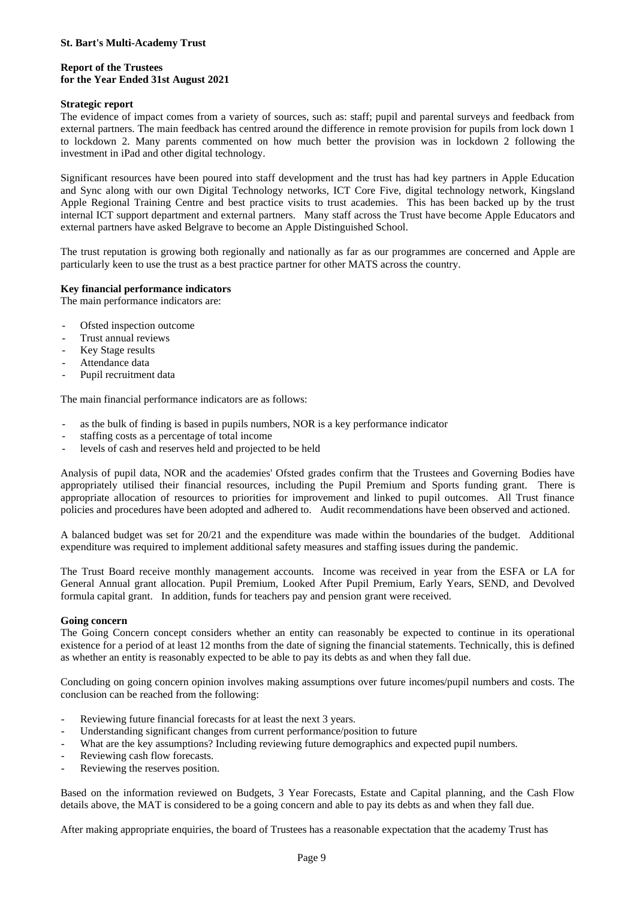### **Report of the Trustees for the Year Ended 31st August 2021**

## **Strategic report**

The evidence of impact comes from a variety of sources, such as: staff; pupil and parental surveys and feedback from external partners. The main feedback has centred around the difference in remote provision for pupils from lock down 1 to lockdown 2. Many parents commented on how much better the provision was in lockdown 2 following the investment in iPad and other digital technology.

Significant resources have been poured into staff development and the trust has had key partners in Apple Education and Sync along with our own Digital Technology networks, ICT Core Five, digital technology network, Kingsland Apple Regional Training Centre and best practice visits to trust academies. This has been backed up by the trust internal ICT support department and external partners. Many staff across the Trust have become Apple Educators and external partners have asked Belgrave to become an Apple Distinguished School.

The trust reputation is growing both regionally and nationally as far as our programmes are concerned and Apple are particularly keen to use the trust as a best practice partner for other MATS across the country.

## **Key financial performance indicators**

The main performance indicators are:

- Ofsted inspection outcome
- Trust annual reviews
- Key Stage results
- Attendance data
- Pupil recruitment data

The main financial performance indicators are as follows:

- as the bulk of finding is based in pupils numbers, NOR is a key performance indicator
- staffing costs as a percentage of total income
- levels of cash and reserves held and projected to be held

Analysis of pupil data, NOR and the academies' Ofsted grades confirm that the Trustees and Governing Bodies have appropriately utilised their financial resources, including the Pupil Premium and Sports funding grant. There is appropriate allocation of resources to priorities for improvement and linked to pupil outcomes. All Trust finance policies and procedures have been adopted and adhered to. Audit recommendations have been observed and actioned.

A balanced budget was set for 20/21 and the expenditure was made within the boundaries of the budget. Additional expenditure was required to implement additional safety measures and staffing issues during the pandemic.

The Trust Board receive monthly management accounts. Income was received in year from the ESFA or LA for General Annual grant allocation. Pupil Premium, Looked After Pupil Premium, Early Years, SEND, and Devolved formula capital grant. In addition, funds for teachers pay and pension grant were received.

### **Going concern**

The Going Concern concept considers whether an entity can reasonably be expected to continue in its operational existence for a period of at least 12 months from the date of signing the financial statements. Technically, this is defined as whether an entity is reasonably expected to be able to pay its debts as and when they fall due.

Concluding on going concern opinion involves making assumptions over future incomes/pupil numbers and costs. The conclusion can be reached from the following:

- Reviewing future financial forecasts for at least the next 3 years.
- Understanding significant changes from current performance/position to future
- What are the key assumptions? Including reviewing future demographics and expected pupil numbers.
- Reviewing cash flow forecasts.
- Reviewing the reserves position.

Based on the information reviewed on Budgets, 3 Year Forecasts, Estate and Capital planning, and the Cash Flow details above, the MAT is considered to be a going concern and able to pay its debts as and when they fall due.

After making appropriate enquiries, the board of Trustees has a reasonable expectation that the academy Trust has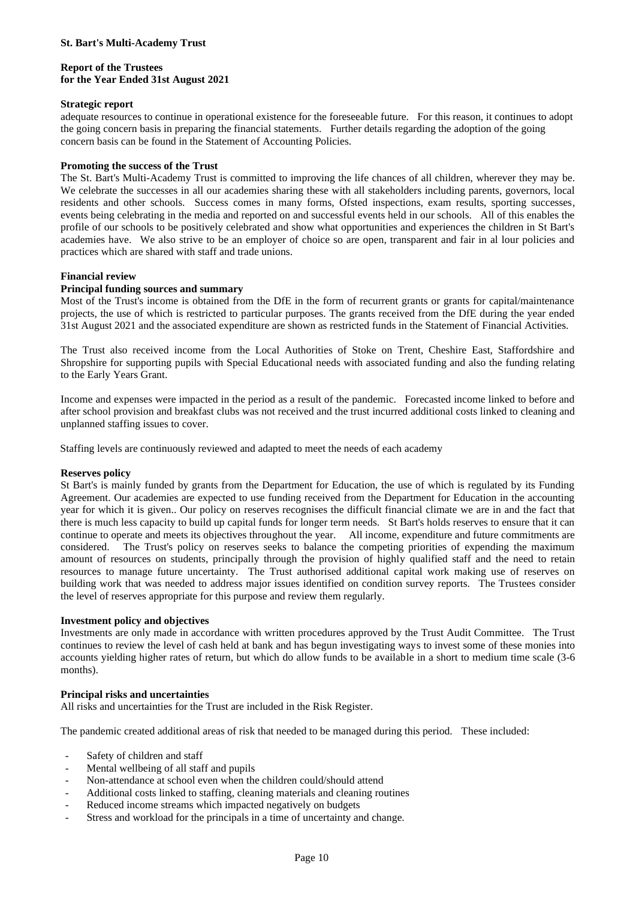### **Report of the Trustees for the Year Ended 31st August 2021**

#### **Strategic report**

adequate resources to continue in operational existence for the foreseeable future. For this reason, it continues to adopt the going concern basis in preparing the financial statements. Further details regarding the adoption of the going concern basis can be found in the Statement of Accounting Policies.

#### **Promoting the success of the Trust**

The St. Bart's Multi-Academy Trust is committed to improving the life chances of all children, wherever they may be. We celebrate the successes in all our academies sharing these with all stakeholders including parents, governors, local residents and other schools. Success comes in many forms, Ofsted inspections, exam results, sporting successes, events being celebrating in the media and reported on and successful events held in our schools. All of this enables the profile of our schools to be positively celebrated and show what opportunities and experiences the children in St Bart's academies have. We also strive to be an employer of choice so are open, transparent and fair in al lour policies and practices which are shared with staff and trade unions.

### **Financial review**

#### **Principal funding sources and summary**

Most of the Trust's income is obtained from the DfE in the form of recurrent grants or grants for capital/maintenance projects, the use of which is restricted to particular purposes. The grants received from the DfE during the year ended 31st August 2021 and the associated expenditure are shown as restricted funds in the Statement of Financial Activities.

The Trust also received income from the Local Authorities of Stoke on Trent, Cheshire East, Staffordshire and Shropshire for supporting pupils with Special Educational needs with associated funding and also the funding relating to the Early Years Grant.

Income and expenses were impacted in the period as a result of the pandemic. Forecasted income linked to before and after school provision and breakfast clubs was not received and the trust incurred additional costs linked to cleaning and unplanned staffing issues to cover.

Staffing levels are continuously reviewed and adapted to meet the needs of each academy

#### **Reserves policy**

St Bart's is mainly funded by grants from the Department for Education, the use of which is regulated by its Funding Agreement. Our academies are expected to use funding received from the Department for Education in the accounting year for which it is given.. Our policy on reserves recognises the difficult financial climate we are in and the fact that there is much less capacity to build up capital funds for longer term needs. St Bart's holds reserves to ensure that it can continue to operate and meets its objectives throughout the year. All income, expenditure and future commitments are considered. The Trust's policy on reserves seeks to balance the competing priorities of expending the maximum amount of resources on students, principally through the provision of highly qualified staff and the need to retain resources to manage future uncertainty. The Trust authorised additional capital work making use of reserves on building work that was needed to address major issues identified on condition survey reports. The Trustees consider the level of reserves appropriate for this purpose and review them regularly.

### **Investment policy and objectives**

Investments are only made in accordance with written procedures approved by the Trust Audit Committee. The Trust continues to review the level of cash held at bank and has begun investigating ways to invest some of these monies into accounts yielding higher rates of return, but which do allow funds to be available in a short to medium time scale (3-6 months).

#### **Principal risks and uncertainties**

All risks and uncertainties for the Trust are included in the Risk Register.

The pandemic created additional areas of risk that needed to be managed during this period. These included:

- Safety of children and staff
- Mental wellbeing of all staff and pupils
- Non-attendance at school even when the children could/should attend
- Additional costs linked to staffing, cleaning materials and cleaning routines
- Reduced income streams which impacted negatively on budgets
- Stress and workload for the principals in a time of uncertainty and change.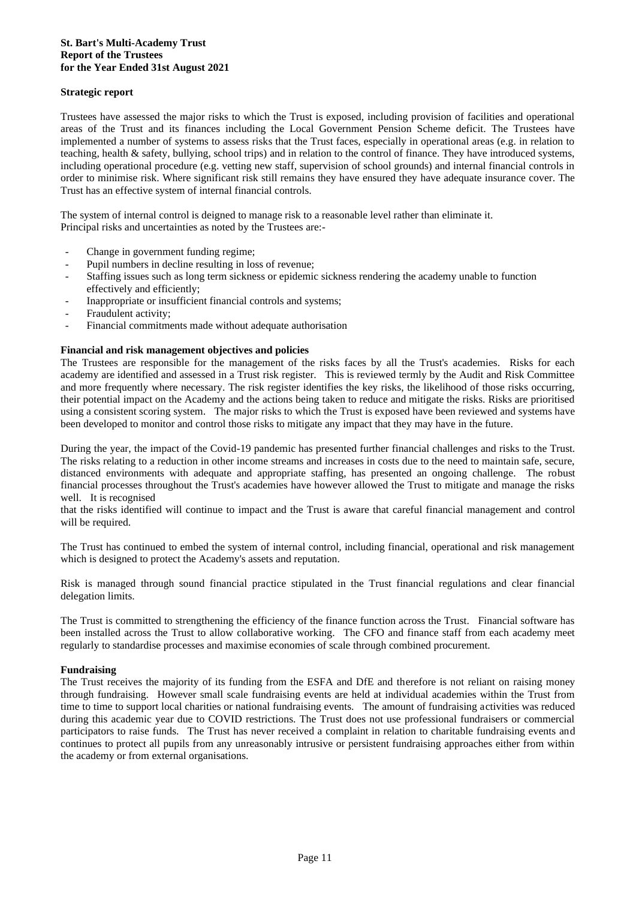### **St. Bart's Multi-Academy Trust Report of the Trustees for the Year Ended 31st August 2021**

### **Strategic report**

Trustees have assessed the major risks to which the Trust is exposed, including provision of facilities and operational areas of the Trust and its finances including the Local Government Pension Scheme deficit. The Trustees have implemented a number of systems to assess risks that the Trust faces, especially in operational areas (e.g. in relation to teaching, health & safety, bullying, school trips) and in relation to the control of finance. They have introduced systems, including operational procedure (e.g. vetting new staff, supervision of school grounds) and internal financial controls in order to minimise risk. Where significant risk still remains they have ensured they have adequate insurance cover. The Trust has an effective system of internal financial controls.

The system of internal control is deigned to manage risk to a reasonable level rather than eliminate it. Principal risks and uncertainties as noted by the Trustees are:-

- Change in government funding regime;
- Pupil numbers in decline resulting in loss of revenue;
- Staffing issues such as long term sickness or epidemic sickness rendering the academy unable to function effectively and efficiently;
- Inappropriate or insufficient financial controls and systems;
- Fraudulent activity;
- Financial commitments made without adequate authorisation

#### **Financial and risk management objectives and policies**

The Trustees are responsible for the management of the risks faces by all the Trust's academies. Risks for each academy are identified and assessed in a Trust risk register. This is reviewed termly by the Audit and Risk Committee and more frequently where necessary. The risk register identifies the key risks, the likelihood of those risks occurring, their potential impact on the Academy and the actions being taken to reduce and mitigate the risks. Risks are prioritised using a consistent scoring system. The major risks to which the Trust is exposed have been reviewed and systems have been developed to monitor and control those risks to mitigate any impact that they may have in the future.

During the year, the impact of the Covid-19 pandemic has presented further financial challenges and risks to the Trust. The risks relating to a reduction in other income streams and increases in costs due to the need to maintain safe, secure, distanced environments with adequate and appropriate staffing, has presented an ongoing challenge. The robust financial processes throughout the Trust's academies have however allowed the Trust to mitigate and manage the risks well. It is recognised

that the risks identified will continue to impact and the Trust is aware that careful financial management and control will be required.

The Trust has continued to embed the system of internal control, including financial, operational and risk management which is designed to protect the Academy's assets and reputation.

Risk is managed through sound financial practice stipulated in the Trust financial regulations and clear financial delegation limits.

The Trust is committed to strengthening the efficiency of the finance function across the Trust. Financial software has been installed across the Trust to allow collaborative working. The CFO and finance staff from each academy meet regularly to standardise processes and maximise economies of scale through combined procurement.

### **Fundraising**

The Trust receives the majority of its funding from the ESFA and DfE and therefore is not reliant on raising money through fundraising. However small scale fundraising events are held at individual academies within the Trust from time to time to support local charities or national fundraising events. The amount of fundraising activities was reduced during this academic year due to COVID restrictions. The Trust does not use professional fundraisers or commercial participators to raise funds. The Trust has never received a complaint in relation to charitable fundraising events and continues to protect all pupils from any unreasonably intrusive or persistent fundraising approaches either from within the academy or from external organisations.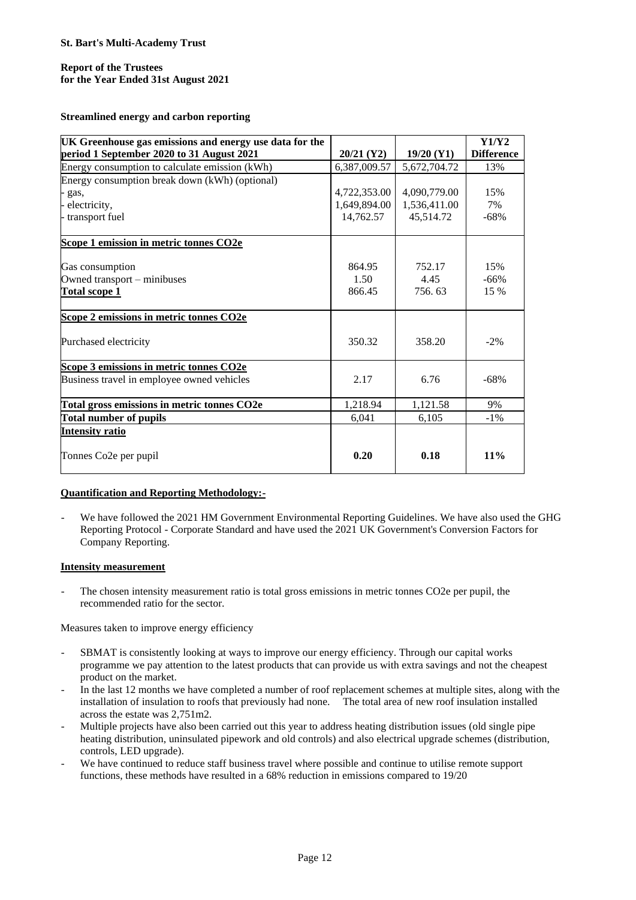## **Report of the Trustees for the Year Ended 31st August 2021**

**Streamlined energy and carbon reporting**

| UK Greenhouse gas emissions and energy use data for the |              |              | Y1/Y2             |
|---------------------------------------------------------|--------------|--------------|-------------------|
| period 1 September 2020 to 31 August 2021               | $20/21$ (Y2) | $19/20$ (Y1) | <b>Difference</b> |
| Energy consumption to calculate emission (kWh)          | 6,387,009.57 | 5,672,704.72 | 13%               |
| Energy consumption break down (kWh) (optional)          |              |              |                   |
| - gas,                                                  | 4,722,353.00 | 4,090,779.00 | 15%               |
| electricity,                                            | 1,649,894.00 | 1,536,411.00 | 7%                |
| - transport fuel                                        | 14,762.57    | 45,514.72    | $-68%$            |
| Scope 1 emission in metric tonnes CO2e                  |              |              |                   |
| Gas consumption                                         | 864.95       | 752.17       | 15%               |
| Owned transport – minibuses                             | 1.50         | 4.45         | $-66%$            |
| <b>Total scope 1</b>                                    | 866.45       | 756.63       | 15 %              |
| Scope 2 emissions in metric tonnes CO2e                 |              |              |                   |
| Purchased electricity                                   | 350.32       | 358.20       | $-2%$             |
| Scope 3 emissions in metric tonnes CO2e                 |              |              |                   |
| Business travel in employee owned vehicles              | 2.17         | 6.76         | $-68%$            |
| Total gross emissions in metric tonnes CO2e             | 1,218.94     | 1,121.58     | 9%                |
| Total number of pupils                                  | 6,041        | 6,105        | $-1\%$            |
| <b>Intensity ratio</b>                                  |              |              |                   |
| Tonnes Co2e per pupil                                   | 0.20         | 0.18         | 11%               |

### **Quantification and Reporting Methodology:-**

We have followed the 2021 HM Government Environmental Reporting Guidelines. We have also used the GHG Reporting Protocol - Corporate Standard and have used the 2021 UK Government's Conversion Factors for Company Reporting.

## **Intensity measurement**

The chosen intensity measurement ratio is total gross emissions in metric tonnes CO2e per pupil, the recommended ratio for the sector.

Measures taken to improve energy efficiency

- SBMAT is consistently looking at ways to improve our energy efficiency. Through our capital works programme we pay attention to the latest products that can provide us with extra savings and not the cheapest product on the market.
- In the last 12 months we have completed a number of roof replacement schemes at multiple sites, along with the installation of insulation to roofs that previously had none. The total area of new roof insulation installed across the estate was 2,751m2.
- Multiple projects have also been carried out this year to address heating distribution issues (old single pipe heating distribution, uninsulated pipework and old controls) and also electrical upgrade schemes (distribution, controls, LED upgrade).
- We have continued to reduce staff business travel where possible and continue to utilise remote support functions, these methods have resulted in a 68% reduction in emissions compared to 19/20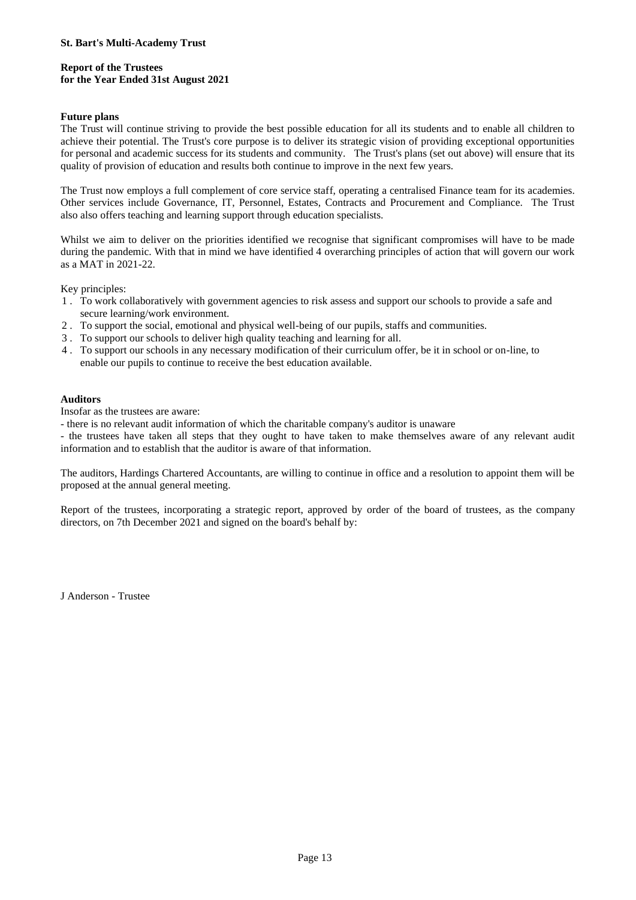## **Report of the Trustees for the Year Ended 31st August 2021**

### **Future plans**

The Trust will continue striving to provide the best possible education for all its students and to enable all children to achieve their potential. The Trust's core purpose is to deliver its strategic vision of providing exceptional opportunities for personal and academic success for its students and community. The Trust's plans (set out above) will ensure that its quality of provision of education and results both continue to improve in the next few years.

The Trust now employs a full complement of core service staff, operating a centralised Finance team for its academies. Other services include Governance, IT, Personnel, Estates, Contracts and Procurement and Compliance. The Trust also also offers teaching and learning support through education specialists.

Whilst we aim to deliver on the priorities identified we recognise that significant compromises will have to be made during the pandemic. With that in mind we have identified 4 overarching principles of action that will govern our work as a MAT in 2021-22.

Key principles:

- 1 . To work collaboratively with government agencies to risk assess and support our schools to provide a safe and secure learning/work environment.
- 2 . To support the social, emotional and physical well-being of our pupils, staffs and communities.
- 3 . To support our schools to deliver high quality teaching and learning for all.
- 4 . To support our schools in any necessary modification of their curriculum offer, be it in school or on-line, to enable our pupils to continue to receive the best education available.

## **Auditors**

Insofar as the trustees are aware:

- there is no relevant audit information of which the charitable company's auditor is unaware

- the trustees have taken all steps that they ought to have taken to make themselves aware of any relevant audit information and to establish that the auditor is aware of that information.

The auditors, Hardings Chartered Accountants, are willing to continue in office and a resolution to appoint them will be proposed at the annual general meeting.

Report of the trustees, incorporating a strategic report, approved by order of the board of trustees, as the company directors, on 7th December 2021 and signed on the board's behalf by:

J Anderson - Trustee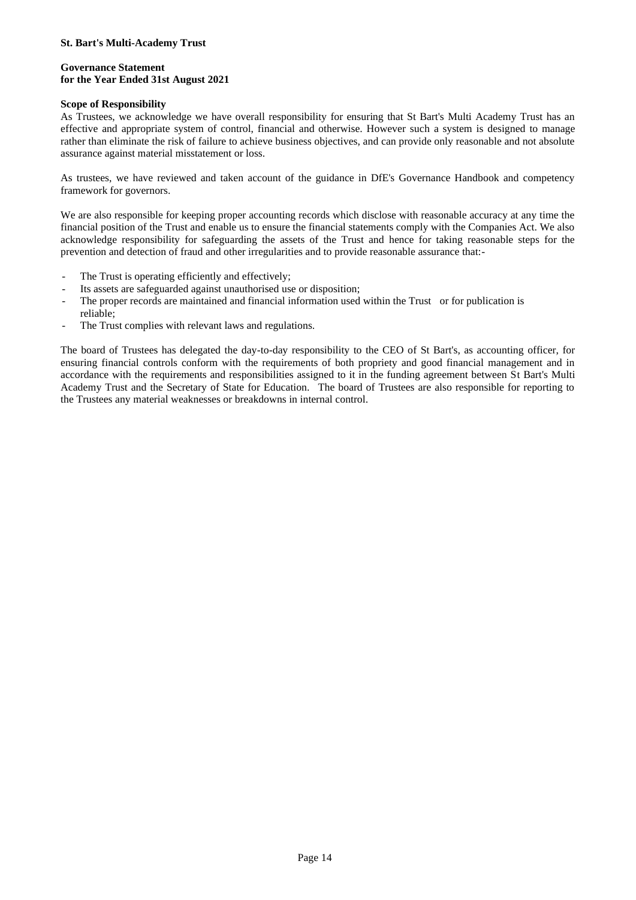### **Governance Statement for the Year Ended 31st August 2021**

#### **Scope of Responsibility**

As Trustees, we acknowledge we have overall responsibility for ensuring that St Bart's Multi Academy Trust has an effective and appropriate system of control, financial and otherwise. However such a system is designed to manage rather than eliminate the risk of failure to achieve business objectives, and can provide only reasonable and not absolute assurance against material misstatement or loss.

As trustees, we have reviewed and taken account of the guidance in DfE's Governance Handbook and competency framework for governors.

We are also responsible for keeping proper accounting records which disclose with reasonable accuracy at any time the financial position of the Trust and enable us to ensure the financial statements comply with the Companies Act. We also acknowledge responsibility for safeguarding the assets of the Trust and hence for taking reasonable steps for the prevention and detection of fraud and other irregularities and to provide reasonable assurance that:-

- The Trust is operating efficiently and effectively:
- Its assets are safeguarded against unauthorised use or disposition;
- The proper records are maintained and financial information used within the Trust or for publication is reliable;
- The Trust complies with relevant laws and regulations.

The board of Trustees has delegated the day-to-day responsibility to the CEO of St Bart's, as accounting officer, for ensuring financial controls conform with the requirements of both propriety and good financial management and in accordance with the requirements and responsibilities assigned to it in the funding agreement between St Bart's Multi Academy Trust and the Secretary of State for Education. The board of Trustees are also responsible for reporting to the Trustees any material weaknesses or breakdowns in internal control.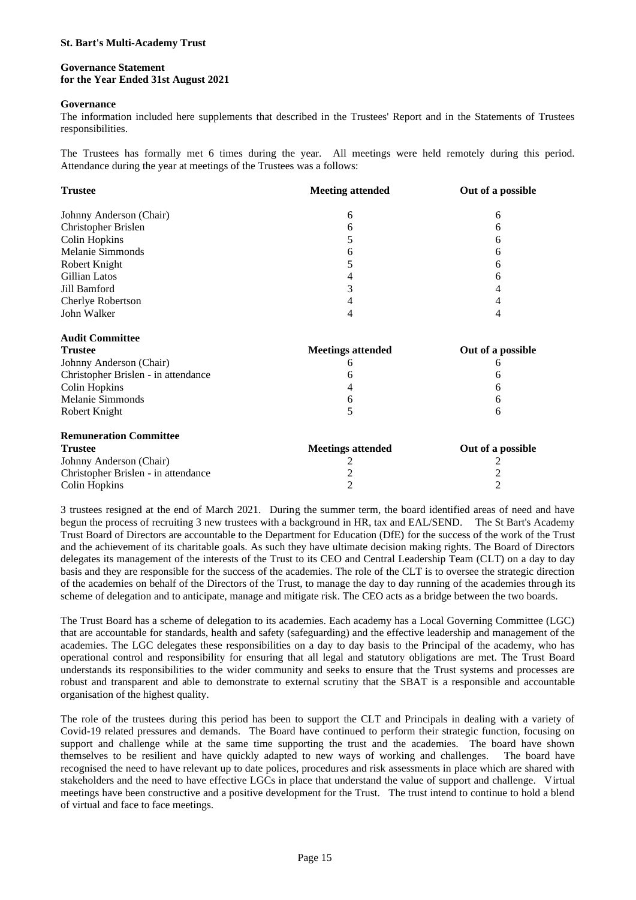#### **Governance Statement for the Year Ended 31st August 2021**

#### **Governance**

The information included here supplements that described in the Trustees' Report and in the Statements of Trustees responsibilities.

The Trustees has formally met 6 times during the year. All meetings were held remotely during this period. Attendance during the year at meetings of the Trustees was a follows:

| <b>Trustee</b>                      | <b>Meeting attended</b>  | Out of a possible |
|-------------------------------------|--------------------------|-------------------|
| Johnny Anderson (Chair)             | 6                        | 6                 |
| Christopher Brislen                 | 6                        | 6                 |
| <b>Colin Hopkins</b>                | 5                        | 6                 |
| Melanie Simmonds                    | 6                        | 6                 |
| Robert Knight                       | 5                        | 6                 |
| Gillian Latos                       | 4                        | 6                 |
| Jill Bamford                        | 3                        | 4                 |
| Cherlye Robertson                   | 4                        | 4                 |
| John Walker                         | 4                        | 4                 |
| <b>Audit Committee</b>              |                          |                   |
| <b>Trustee</b>                      | <b>Meetings attended</b> | Out of a possible |
| Johnny Anderson (Chair)             | h                        | 6                 |
| Christopher Brislen - in attendance | 6                        | 6                 |
| Colin Hopkins                       | 4                        | 6                 |
| Melanie Simmonds                    | 6                        | 6                 |
| Robert Knight                       | 5                        | 6                 |
| <b>Remuneration Committee</b>       |                          |                   |
| <b>Trustee</b>                      | <b>Meetings attended</b> | Out of a possible |
| Johnny Anderson (Chair)             |                          |                   |
| Christopher Brislen - in attendance | 2                        | 2                 |
| <b>Colin Hopkins</b>                | $\overline{c}$           | 2                 |

3 trustees resigned at the end of March 2021. During the summer term, the board identified areas of need and have begun the process of recruiting 3 new trustees with a background in HR, tax and EAL/SEND. The St Bart's Academy Trust Board of Directors are accountable to the Department for Education (DfE) for the success of the work of the Trust and the achievement of its charitable goals. As such they have ultimate decision making rights. The Board of Directors delegates its management of the interests of the Trust to its CEO and Central Leadership Team (CLT) on a day to day basis and they are responsible for the success of the academies. The role of the CLT is to oversee the strategic direction of the academies on behalf of the Directors of the Trust, to manage the day to day running of the academies through its scheme of delegation and to anticipate, manage and mitigate risk. The CEO acts as a bridge between the two boards.

The Trust Board has a scheme of delegation to its academies. Each academy has a Local Governing Committee (LGC) that are accountable for standards, health and safety (safeguarding) and the effective leadership and management of the academies. The LGC delegates these responsibilities on a day to day basis to the Principal of the academy, who has operational control and responsibility for ensuring that all legal and statutory obligations are met. The Trust Board understands its responsibilities to the wider community and seeks to ensure that the Trust systems and processes are robust and transparent and able to demonstrate to external scrutiny that the SBAT is a responsible and accountable organisation of the highest quality.

The role of the trustees during this period has been to support the CLT and Principals in dealing with a variety of Covid-19 related pressures and demands. The Board have continued to perform their strategic function, focusing on support and challenge while at the same time supporting the trust and the academies. The board have shown themselves to be resilient and have quickly adapted to new ways of working and challenges. The board have recognised the need to have relevant up to date polices, procedures and risk assessments in place which are shared with stakeholders and the need to have effective LGCs in place that understand the value of support and challenge. Virtual meetings have been constructive and a positive development for the Trust. The trust intend to continue to hold a blend of virtual and face to face meetings.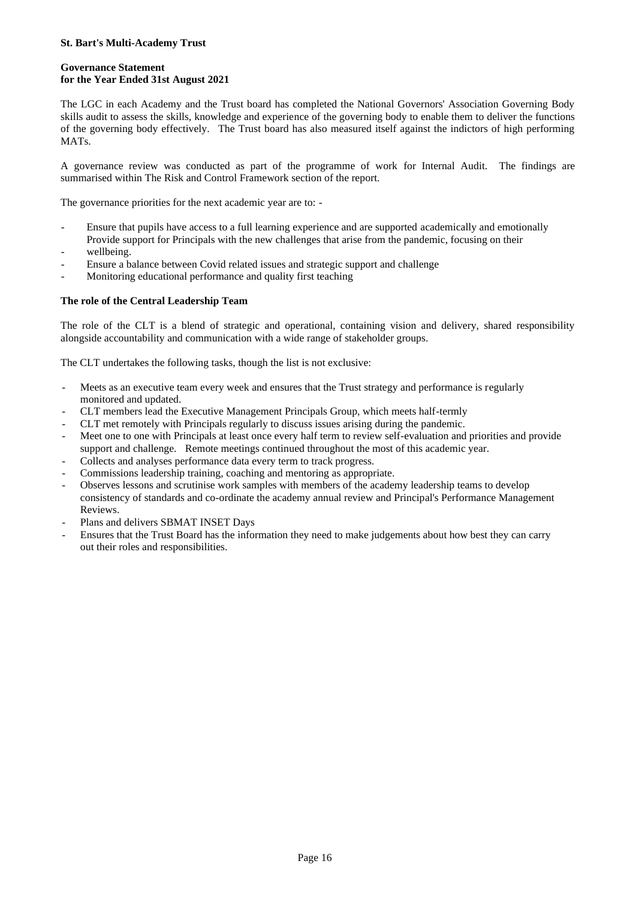## **Governance Statement for the Year Ended 31st August 2021**

The LGC in each Academy and the Trust board has completed the National Governors' Association Governing Body skills audit to assess the skills, knowledge and experience of the governing body to enable them to deliver the functions of the governing body effectively. The Trust board has also measured itself against the indictors of high performing MATs.

A governance review was conducted as part of the programme of work for Internal Audit. The findings are summarised within The Risk and Control Framework section of the report.

The governance priorities for the next academic year are to: -

- Ensure that pupils have access to a full learning experience and are supported academically and emotionally Provide support for Principals with the new challenges that arise from the pandemic, focusing on their
- wellbeing.
- Ensure a balance between Covid related issues and strategic support and challenge
- Monitoring educational performance and quality first teaching

### **The role of the Central Leadership Team**

The role of the CLT is a blend of strategic and operational, containing vision and delivery, shared responsibility alongside accountability and communication with a wide range of stakeholder groups.

The CLT undertakes the following tasks, though the list is not exclusive:

- Meets as an executive team every week and ensures that the Trust strategy and performance is regularly monitored and updated.
- CLT members lead the Executive Management Principals Group, which meets half-termly
- CLT met remotely with Principals regularly to discuss issues arising during the pandemic.
- Meet one to one with Principals at least once every half term to review self-evaluation and priorities and provide support and challenge. Remote meetings continued throughout the most of this academic year.
- Collects and analyses performance data every term to track progress.
- Commissions leadership training, coaching and mentoring as appropriate.
- Observes lessons and scrutinise work samples with members of the academy leadership teams to develop consistency of standards and co-ordinate the academy annual review and Principal's Performance Management Reviews.
- Plans and delivers SBMAT INSET Days
- Ensures that the Trust Board has the information they need to make judgements about how best they can carry out their roles and responsibilities.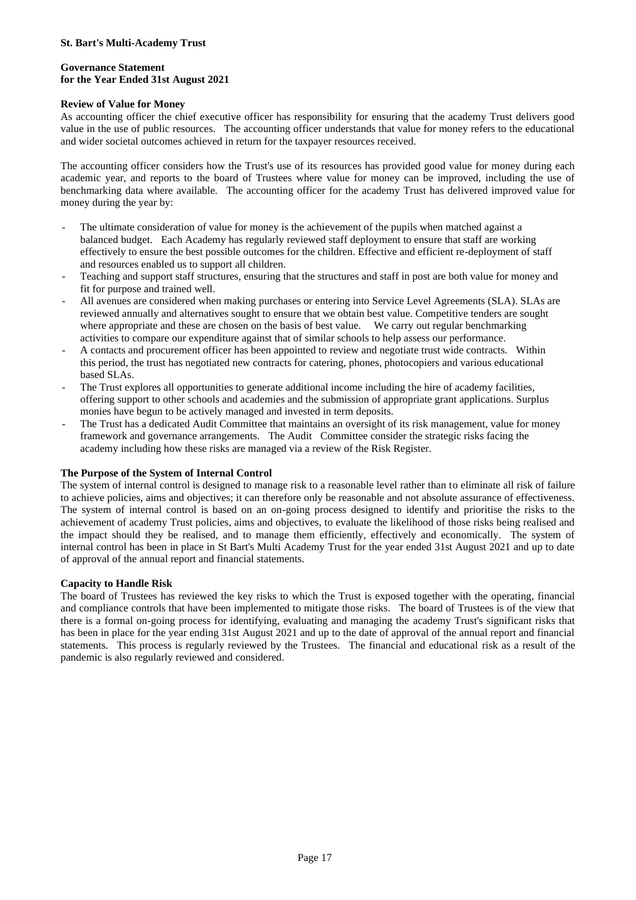### **Governance Statement for the Year Ended 31st August 2021**

### **Review of Value for Money**

As accounting officer the chief executive officer has responsibility for ensuring that the academy Trust delivers good value in the use of public resources. The accounting officer understands that value for money refers to the educational and wider societal outcomes achieved in return for the taxpayer resources received.

The accounting officer considers how the Trust's use of its resources has provided good value for money during each academic year, and reports to the board of Trustees where value for money can be improved, including the use of benchmarking data where available. The accounting officer for the academy Trust has delivered improved value for money during the year by:

- The ultimate consideration of value for money is the achievement of the pupils when matched against a balanced budget. Each Academy has regularly reviewed staff deployment to ensure that staff are working effectively to ensure the best possible outcomes for the children. Effective and efficient re-deployment of staff and resources enabled us to support all children.
- Teaching and support staff structures, ensuring that the structures and staff in post are both value for money and fit for purpose and trained well.
- All avenues are considered when making purchases or entering into Service Level Agreements (SLA). SLAs are reviewed annually and alternatives sought to ensure that we obtain best value. Competitive tenders are sought where appropriate and these are chosen on the basis of best value. We carry out regular benchmarking activities to compare our expenditure against that of similar schools to help assess our performance.
- A contacts and procurement officer has been appointed to review and negotiate trust wide contracts. Within this period, the trust has negotiated new contracts for catering, phones, photocopiers and various educational based SLAs.
- The Trust explores all opportunities to generate additional income including the hire of academy facilities, offering support to other schools and academies and the submission of appropriate grant applications. Surplus monies have begun to be actively managed and invested in term deposits.
- The Trust has a dedicated Audit Committee that maintains an oversight of its risk management, value for money framework and governance arrangements. The Audit Committee consider the strategic risks facing the academy including how these risks are managed via a review of the Risk Register.

### **The Purpose of the System of Internal Control**

The system of internal control is designed to manage risk to a reasonable level rather than to eliminate all risk of failure to achieve policies, aims and objectives; it can therefore only be reasonable and not absolute assurance of effectiveness. The system of internal control is based on an on-going process designed to identify and prioritise the risks to the achievement of academy Trust policies, aims and objectives, to evaluate the likelihood of those risks being realised and the impact should they be realised, and to manage them efficiently, effectively and economically. The system of internal control has been in place in St Bart's Multi Academy Trust for the year ended 31st August 2021 and up to date of approval of the annual report and financial statements.

### **Capacity to Handle Risk**

The board of Trustees has reviewed the key risks to which the Trust is exposed together with the operating, financial and compliance controls that have been implemented to mitigate those risks. The board of Trustees is of the view that there is a formal on-going process for identifying, evaluating and managing the academy Trust's significant risks that has been in place for the year ending 31st August 2021 and up to the date of approval of the annual report and financial statements. This process is regularly reviewed by the Trustees. The financial and educational risk as a result of the pandemic is also regularly reviewed and considered.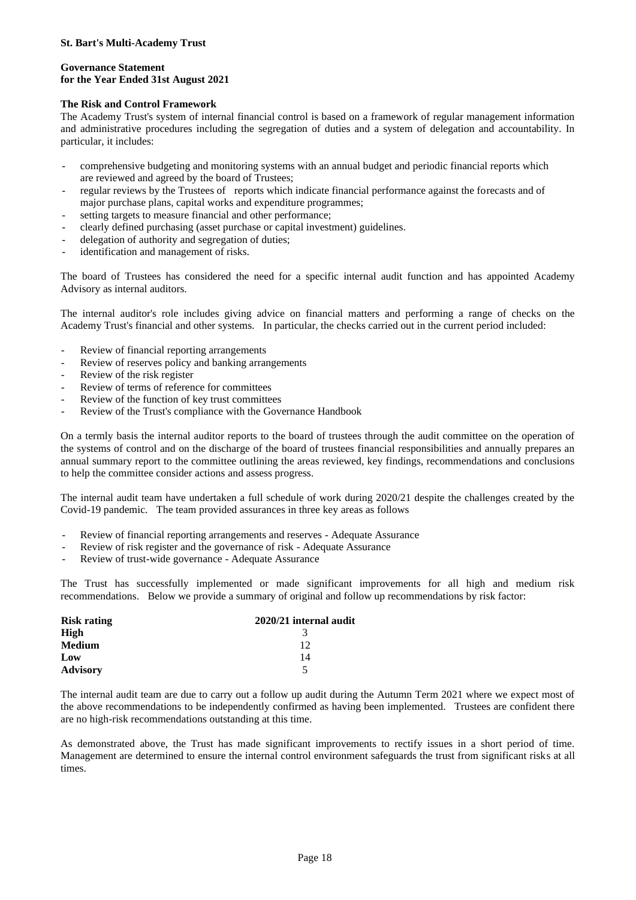### **Governance Statement for the Year Ended 31st August 2021**

## **The Risk and Control Framework**

The Academy Trust's system of internal financial control is based on a framework of regular management information and administrative procedures including the segregation of duties and a system of delegation and accountability. In particular, it includes:

- comprehensive budgeting and monitoring systems with an annual budget and periodic financial reports which are reviewed and agreed by the board of Trustees;
- regular reviews by the Trustees of reports which indicate financial performance against the forecasts and of major purchase plans, capital works and expenditure programmes;
- setting targets to measure financial and other performance;
- clearly defined purchasing (asset purchase or capital investment) guidelines.
- delegation of authority and segregation of duties;
- identification and management of risks.

The board of Trustees has considered the need for a specific internal audit function and has appointed Academy Advisory as internal auditors.

The internal auditor's role includes giving advice on financial matters and performing a range of checks on the Academy Trust's financial and other systems. In particular, the checks carried out in the current period included:

- Review of financial reporting arrangements
- Review of reserves policy and banking arrangements
- Review of the risk register
- Review of terms of reference for committees
- Review of the function of key trust committees
- Review of the Trust's compliance with the Governance Handbook

On a termly basis the internal auditor reports to the board of trustees through the audit committee on the operation of the systems of control and on the discharge of the board of trustees financial responsibilities and annually prepares an annual summary report to the committee outlining the areas reviewed, key findings, recommendations and conclusions to help the committee consider actions and assess progress.

The internal audit team have undertaken a full schedule of work during 2020/21 despite the challenges created by the Covid-19 pandemic. The team provided assurances in three key areas as follows

- Review of financial reporting arrangements and reserves Adequate Assurance
- Review of risk register and the governance of risk Adequate Assurance
- Review of trust-wide governance Adequate Assurance

The Trust has successfully implemented or made significant improvements for all high and medium risk recommendations. Below we provide a summary of original and follow up recommendations by risk factor:

| <b>Risk rating</b> | 2020/21 internal audit |
|--------------------|------------------------|
| High               |                        |
| <b>Medium</b>      | 12                     |
| Low                | 14                     |
| <b>Advisory</b>    | 5                      |

The internal audit team are due to carry out a follow up audit during the Autumn Term 2021 where we expect most of the above recommendations to be independently confirmed as having been implemented. Trustees are confident there are no high-risk recommendations outstanding at this time.

As demonstrated above, the Trust has made significant improvements to rectify issues in a short period of time. Management are determined to ensure the internal control environment safeguards the trust from significant risks at all times.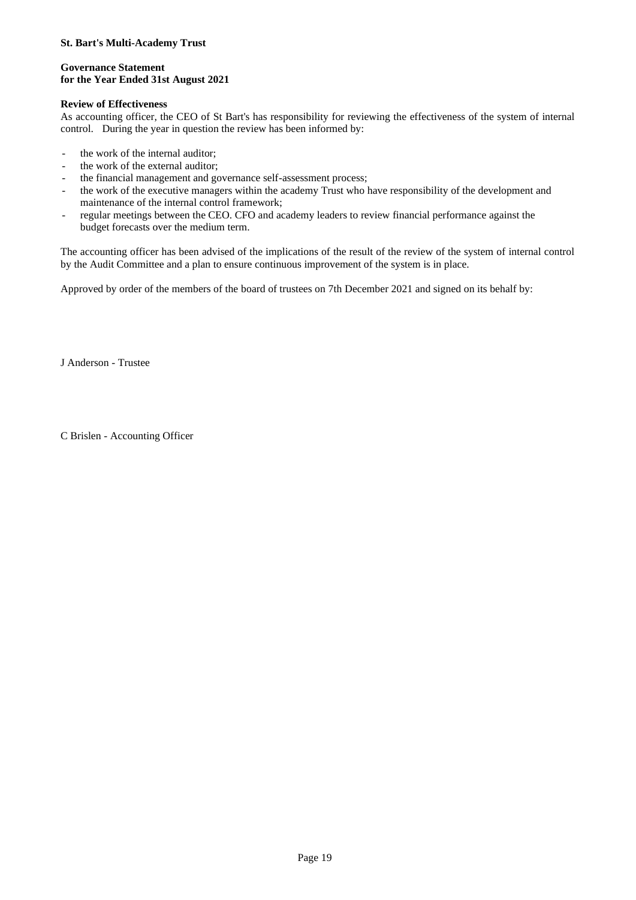#### **Governance Statement for the Year Ended 31st August 2021**

## **Review of Effectiveness**

As accounting officer, the CEO of St Bart's has responsibility for reviewing the effectiveness of the system of internal control. During the year in question the review has been informed by:

- the work of the internal auditor;
- the work of the external auditor:
- the financial management and governance self-assessment process;
- the work of the executive managers within the academy Trust who have responsibility of the development and maintenance of the internal control framework;
- regular meetings between the CEO. CFO and academy leaders to review financial performance against the budget forecasts over the medium term.

The accounting officer has been advised of the implications of the result of the review of the system of internal control by the Audit Committee and a plan to ensure continuous improvement of the system is in place.

Approved by order of the members of the board of trustees on 7th December 2021 and signed on its behalf by:

J Anderson - Trustee

C Brislen - Accounting Officer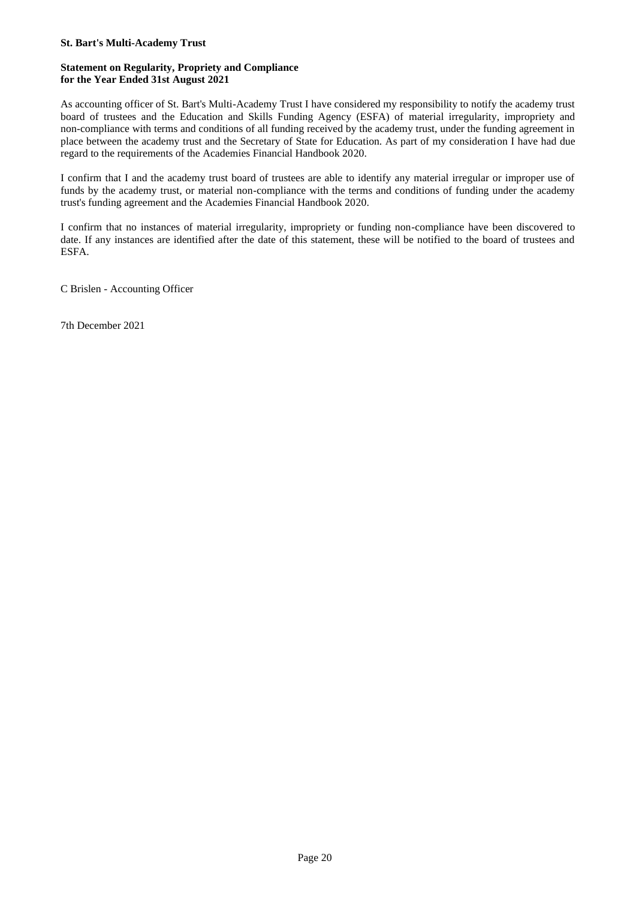### **Statement on Regularity, Propriety and Compliance for the Year Ended 31st August 2021**

As accounting officer of St. Bart's Multi-Academy Trust I have considered my responsibility to notify the academy trust board of trustees and the Education and Skills Funding Agency (ESFA) of material irregularity, impropriety and non-compliance with terms and conditions of all funding received by the academy trust, under the funding agreement in place between the academy trust and the Secretary of State for Education. As part of my consideration I have had due regard to the requirements of the Academies Financial Handbook 2020.

I confirm that I and the academy trust board of trustees are able to identify any material irregular or improper use of funds by the academy trust, or material non-compliance with the terms and conditions of funding under the academy trust's funding agreement and the Academies Financial Handbook 2020.

I confirm that no instances of material irregularity, impropriety or funding non-compliance have been discovered to date. If any instances are identified after the date of this statement, these will be notified to the board of trustees and ESFA.

C Brislen - Accounting Officer

7th December 2021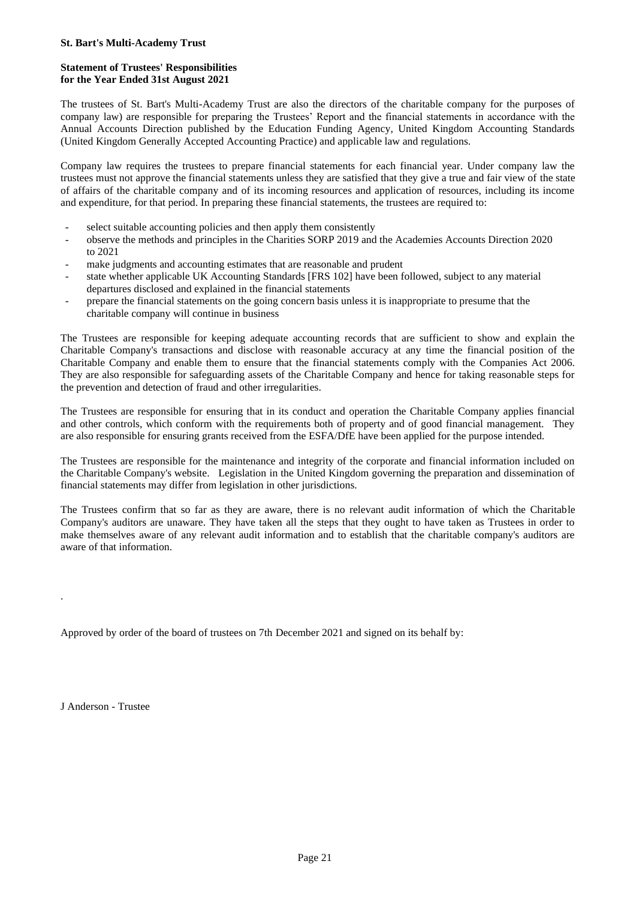## **Statement of Trustees' Responsibilities for the Year Ended 31st August 2021**

The trustees of St. Bart's Multi-Academy Trust are also the directors of the charitable company for the purposes of company law) are responsible for preparing the Trustees' Report and the financial statements in accordance with the Annual Accounts Direction published by the Education Funding Agency, United Kingdom Accounting Standards (United Kingdom Generally Accepted Accounting Practice) and applicable law and regulations.

Company law requires the trustees to prepare financial statements for each financial year. Under company law the trustees must not approve the financial statements unless they are satisfied that they give a true and fair view of the state of affairs of the charitable company and of its incoming resources and application of resources, including its income and expenditure, for that period. In preparing these financial statements, the trustees are required to:

- select suitable accounting policies and then apply them consistently
- observe the methods and principles in the Charities SORP 2019 and the Academies Accounts Direction 2020 to 2021
- make judgments and accounting estimates that are reasonable and prudent
- state whether applicable UK Accounting Standards [FRS 102] have been followed, subject to any material departures disclosed and explained in the financial statements
- prepare the financial statements on the going concern basis unless it is inappropriate to presume that the charitable company will continue in business

The Trustees are responsible for keeping adequate accounting records that are sufficient to show and explain the Charitable Company's transactions and disclose with reasonable accuracy at any time the financial position of the Charitable Company and enable them to ensure that the financial statements comply with the Companies Act 2006. They are also responsible for safeguarding assets of the Charitable Company and hence for taking reasonable steps for the prevention and detection of fraud and other irregularities.

The Trustees are responsible for ensuring that in its conduct and operation the Charitable Company applies financial and other controls, which conform with the requirements both of property and of good financial management. They are also responsible for ensuring grants received from the ESFA/DfE have been applied for the purpose intended.

The Trustees are responsible for the maintenance and integrity of the corporate and financial information included on the Charitable Company's website. Legislation in the United Kingdom governing the preparation and dissemination of financial statements may differ from legislation in other jurisdictions.

The Trustees confirm that so far as they are aware, there is no relevant audit information of which the Charitable Company's auditors are unaware. They have taken all the steps that they ought to have taken as Trustees in order to make themselves aware of any relevant audit information and to establish that the charitable company's auditors are aware of that information.

Approved by order of the board of trustees on 7th December 2021 and signed on its behalf by:

J Anderson - Trustee

.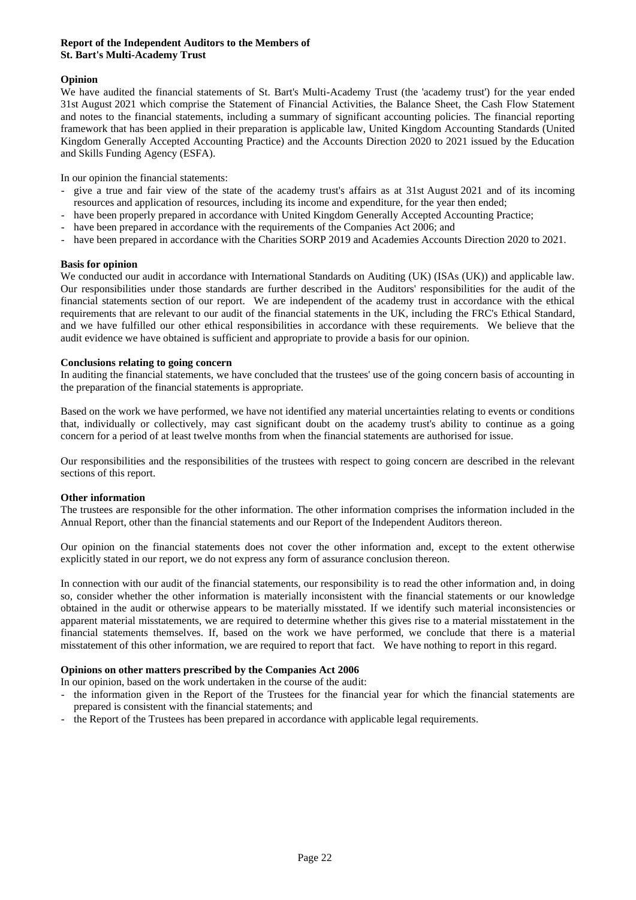### **Report of the Independent Auditors to the Members of St. Bart's Multi-Academy Trust**

## **Opinion**

We have audited the financial statements of St. Bart's Multi-Academy Trust (the 'academy trust') for the year ended 31st August 2021 which comprise the Statement of Financial Activities, the Balance Sheet, the Cash Flow Statement and notes to the financial statements, including a summary of significant accounting policies. The financial reporting framework that has been applied in their preparation is applicable law, United Kingdom Accounting Standards (United Kingdom Generally Accepted Accounting Practice) and the Accounts Direction 2020 to 2021 issued by the Education and Skills Funding Agency (ESFA).

In our opinion the financial statements:

- give a true and fair view of the state of the academy trust's affairs as at 31st August 2021 and of its incoming resources and application of resources, including its income and expenditure, for the year then ended;
- have been properly prepared in accordance with United Kingdom Generally Accepted Accounting Practice;
- have been prepared in accordance with the requirements of the Companies Act 2006; and
- have been prepared in accordance with the Charities SORP 2019 and Academies Accounts Direction 2020 to 2021.

### **Basis for opinion**

We conducted our audit in accordance with International Standards on Auditing (UK) (ISAs (UK)) and applicable law. Our responsibilities under those standards are further described in the Auditors' responsibilities for the audit of the financial statements section of our report. We are independent of the academy trust in accordance with the ethical requirements that are relevant to our audit of the financial statements in the UK, including the FRC's Ethical Standard, and we have fulfilled our other ethical responsibilities in accordance with these requirements. We believe that the audit evidence we have obtained is sufficient and appropriate to provide a basis for our opinion.

### **Conclusions relating to going concern**

In auditing the financial statements, we have concluded that the trustees' use of the going concern basis of accounting in the preparation of the financial statements is appropriate.

Based on the work we have performed, we have not identified any material uncertainties relating to events or conditions that, individually or collectively, may cast significant doubt on the academy trust's ability to continue as a going concern for a period of at least twelve months from when the financial statements are authorised for issue.

Our responsibilities and the responsibilities of the trustees with respect to going concern are described in the relevant sections of this report.

### **Other information**

The trustees are responsible for the other information. The other information comprises the information included in the Annual Report, other than the financial statements and our Report of the Independent Auditors thereon.

Our opinion on the financial statements does not cover the other information and, except to the extent otherwise explicitly stated in our report, we do not express any form of assurance conclusion thereon.

In connection with our audit of the financial statements, our responsibility is to read the other information and, in doing so, consider whether the other information is materially inconsistent with the financial statements or our knowledge obtained in the audit or otherwise appears to be materially misstated. If we identify such material inconsistencies or apparent material misstatements, we are required to determine whether this gives rise to a material misstatement in the financial statements themselves. If, based on the work we have performed, we conclude that there is a material misstatement of this other information, we are required to report that fact. We have nothing to report in this regard.

### **Opinions on other matters prescribed by the Companies Act 2006**

In our opinion, based on the work undertaken in the course of the audit:

- the information given in the Report of the Trustees for the financial year for which the financial statements are prepared is consistent with the financial statements; and
- the Report of the Trustees has been prepared in accordance with applicable legal requirements.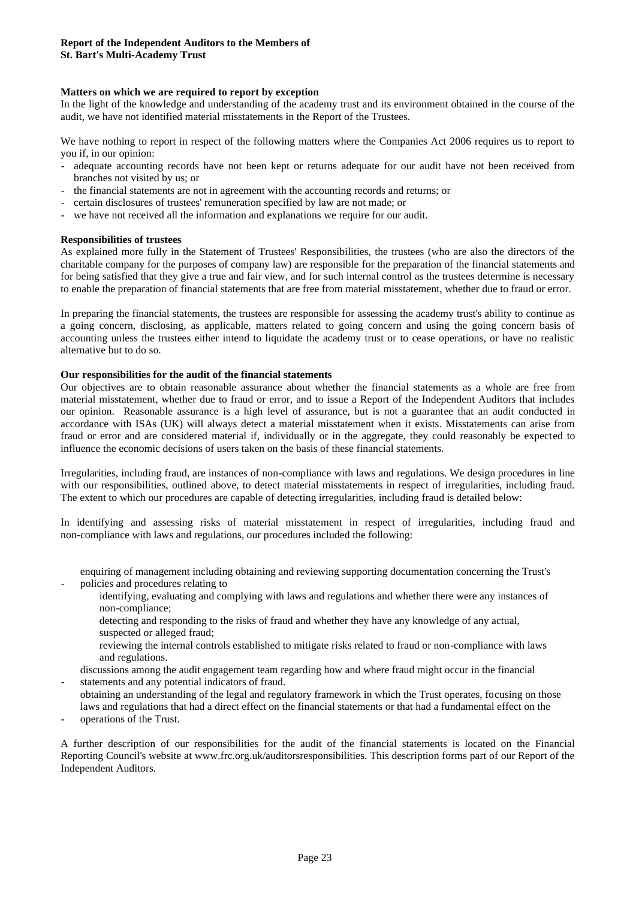## **Matters on which we are required to report by exception**

In the light of the knowledge and understanding of the academy trust and its environment obtained in the course of the audit, we have not identified material misstatements in the Report of the Trustees.

We have nothing to report in respect of the following matters where the Companies Act 2006 requires us to report to you if, in our opinion:

- adequate accounting records have not been kept or returns adequate for our audit have not been received from branches not visited by us; or
- the financial statements are not in agreement with the accounting records and returns; or
- certain disclosures of trustees' remuneration specified by law are not made; or
- we have not received all the information and explanations we require for our audit.

### **Responsibilities of trustees**

As explained more fully in the Statement of Trustees' Responsibilities, the trustees (who are also the directors of the charitable company for the purposes of company law) are responsible for the preparation of the financial statements and for being satisfied that they give a true and fair view, and for such internal control as the trustees determine is necessary to enable the preparation of financial statements that are free from material misstatement, whether due to fraud or error.

In preparing the financial statements, the trustees are responsible for assessing the academy trust's ability to continue as a going concern, disclosing, as applicable, matters related to going concern and using the going concern basis of accounting unless the trustees either intend to liquidate the academy trust or to cease operations, or have no realistic alternative but to do so.

#### **Our responsibilities for the audit of the financial statements**

Our objectives are to obtain reasonable assurance about whether the financial statements as a whole are free from material misstatement, whether due to fraud or error, and to issue a Report of the Independent Auditors that includes our opinion. Reasonable assurance is a high level of assurance, but is not a guarantee that an audit conducted in accordance with ISAs (UK) will always detect a material misstatement when it exists. Misstatements can arise from fraud or error and are considered material if, individually or in the aggregate, they could reasonably be expected to influence the economic decisions of users taken on the basis of these financial statements.

Irregularities, including fraud, are instances of non-compliance with laws and regulations. We design procedures in line with our responsibilities, outlined above, to detect material misstatements in respect of irregularities, including fraud. The extent to which our procedures are capable of detecting irregularities, including fraud is detailed below:

In identifying and assessing risks of material misstatement in respect of irregularities, including fraud and non-compliance with laws and regulations, our procedures included the following:

- enquiring of management including obtaining and reviewing supporting documentation concerning the Trust's policies and procedures relating to
	- identifying, evaluating and complying with laws and regulations and whether there were any instances of non-compliance;
	- detecting and responding to the risks of fraud and whether they have any knowledge of any actual, suspected or alleged fraud;
	- reviewing the internal controls established to mitigate risks related to fraud or non-compliance with laws and regulations.
- discussions among the audit engagement team regarding how and where fraud might occur in the financial statements and any potential indicators of fraud.
- obtaining an understanding of the legal and regulatory framework in which the Trust operates, focusing on those laws and regulations that had a direct effect on the financial statements or that had a fundamental effect on the
- operations of the Trust.

-

A further description of our responsibilities for the audit of the financial statements is located on the Financial Reporting Council's website at www.frc.org.uk/auditorsresponsibilities. This description forms part of our Report of the Independent Auditors.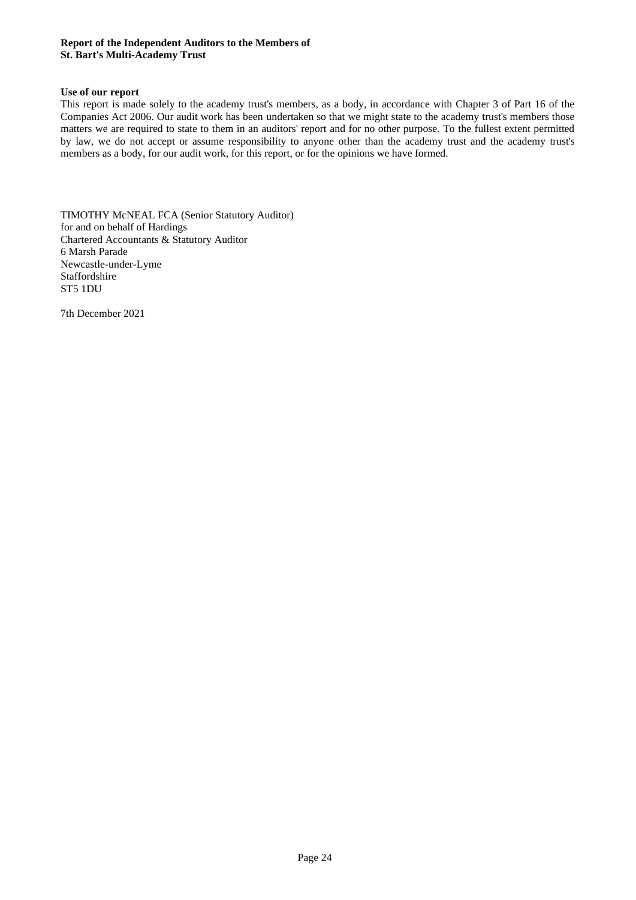### **Report of the Independent Auditors to the Members of St. Bart's Multi-Academy Trust**

### **Use of our report**

This report is made solely to the academy trust's members, as a body, in accordance with Chapter 3 of Part 16 of the Companies Act 2006. Our audit work has been undertaken so that we might state to the academy trust's members those matters we are required to state to them in an auditors' report and for no other purpose. To the fullest extent permitted by law, we do not accept or assume responsibility to anyone other than the academy trust and the academy trust's members as a body, for our audit work, for this report, or for the opinions we have formed.

TIMOTHY McNEAL FCA (Senior Statutory Auditor) for and on behalf of Hardings Chartered Accountants & Statutory Auditor 6 Marsh Parade Newcastle-under-Lyme Staffordshire ST5 1DU

7th December 2021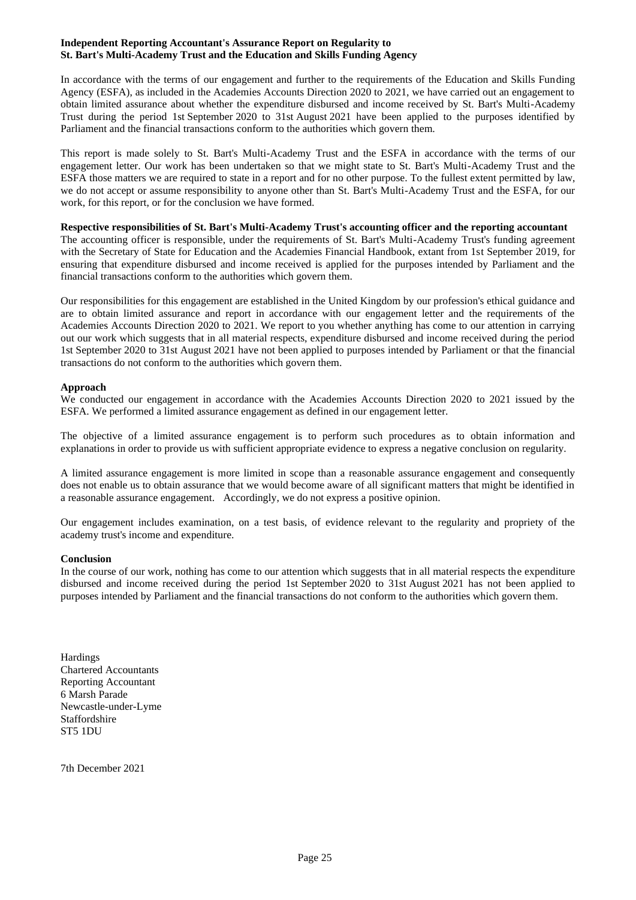#### **Independent Reporting Accountant's Assurance Report on Regularity to St. Bart's Multi-Academy Trust and the Education and Skills Funding Agency**

In accordance with the terms of our engagement and further to the requirements of the Education and Skills Funding Agency (ESFA), as included in the Academies Accounts Direction 2020 to 2021, we have carried out an engagement to obtain limited assurance about whether the expenditure disbursed and income received by St. Bart's Multi-Academy Trust during the period 1st September 2020 to 31st August 2021 have been applied to the purposes identified by Parliament and the financial transactions conform to the authorities which govern them.

This report is made solely to St. Bart's Multi-Academy Trust and the ESFA in accordance with the terms of our engagement letter. Our work has been undertaken so that we might state to St. Bart's Multi-Academy Trust and the ESFA those matters we are required to state in a report and for no other purpose. To the fullest extent permitted by law, we do not accept or assume responsibility to anyone other than St. Bart's Multi-Academy Trust and the ESFA, for our work, for this report, or for the conclusion we have formed.

## **Respective responsibilities of St. Bart's Multi-Academy Trust's accounting officer and the reporting accountant**

The accounting officer is responsible, under the requirements of St. Bart's Multi-Academy Trust's funding agreement with the Secretary of State for Education and the Academies Financial Handbook, extant from 1st September 2019, for ensuring that expenditure disbursed and income received is applied for the purposes intended by Parliament and the financial transactions conform to the authorities which govern them.

Our responsibilities for this engagement are established in the United Kingdom by our profession's ethical guidance and are to obtain limited assurance and report in accordance with our engagement letter and the requirements of the Academies Accounts Direction 2020 to 2021. We report to you whether anything has come to our attention in carrying out our work which suggests that in all material respects, expenditure disbursed and income received during the period 1st September 2020 to 31st August 2021 have not been applied to purposes intended by Parliament or that the financial transactions do not conform to the authorities which govern them.

### **Approach**

We conducted our engagement in accordance with the Academies Accounts Direction 2020 to 2021 issued by the ESFA. We performed a limited assurance engagement as defined in our engagement letter.

The objective of a limited assurance engagement is to perform such procedures as to obtain information and explanations in order to provide us with sufficient appropriate evidence to express a negative conclusion on regularity.

A limited assurance engagement is more limited in scope than a reasonable assurance engagement and consequently does not enable us to obtain assurance that we would become aware of all significant matters that might be identified in a reasonable assurance engagement. Accordingly, we do not express a positive opinion.

Our engagement includes examination, on a test basis, of evidence relevant to the regularity and propriety of the academy trust's income and expenditure.

### **Conclusion**

In the course of our work, nothing has come to our attention which suggests that in all material respects the expenditure disbursed and income received during the period 1st September 2020 to 31st August 2021 has not been applied to purposes intended by Parliament and the financial transactions do not conform to the authorities which govern them.

Hardings Chartered Accountants Reporting Accountant 6 Marsh Parade Newcastle-under-Lyme Staffordshire ST5 1DU

7th December 2021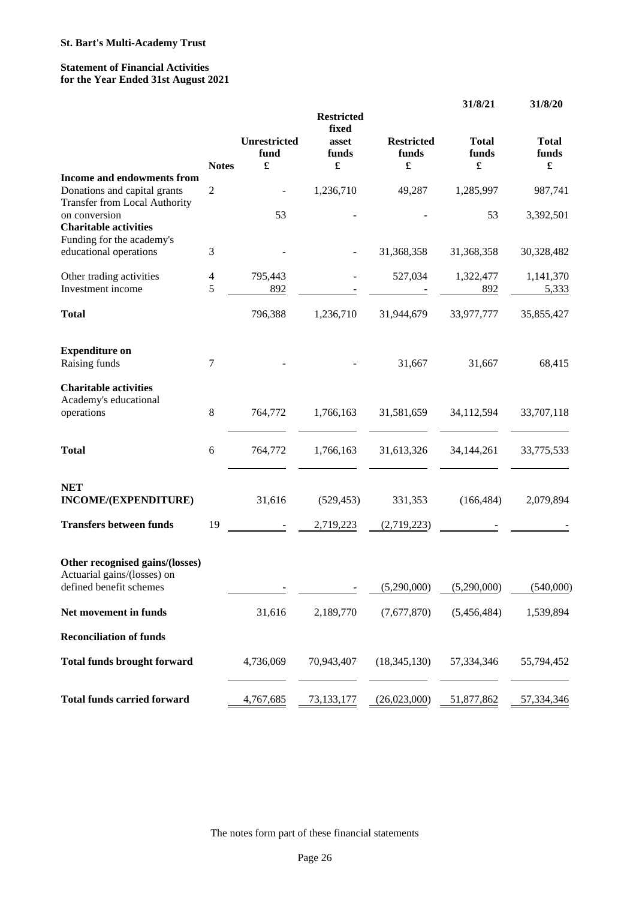## **Statement of Financial Activities for the Year Ended 31st August 2021**

|                                                                                           |                |                           | <b>Restricted</b><br>fixed |                                 | 31/8/21                                       | 31/8/20                    |
|-------------------------------------------------------------------------------------------|----------------|---------------------------|----------------------------|---------------------------------|-----------------------------------------------|----------------------------|
|                                                                                           | <b>Notes</b>   | Unrestricted<br>fund<br>£ | asset<br>funds<br>£        | <b>Restricted</b><br>funds<br>£ | <b>Total</b><br>funds<br>$\pmb{\mathfrak{L}}$ | <b>Total</b><br>funds<br>£ |
| Income and endowments from<br>Donations and capital grants                                | $\overline{c}$ |                           | 1,236,710                  | 49,287                          | 1,285,997                                     | 987,741                    |
| <b>Transfer from Local Authority</b><br>on conversion<br><b>Charitable activities</b>     |                | 53                        |                            |                                 | 53                                            | 3,392,501                  |
| Funding for the academy's<br>educational operations                                       | 3              |                           |                            | 31,368,358                      | 31,368,358                                    | 30,328,482                 |
| Other trading activities<br>Investment income                                             | 4<br>5         | 795,443<br>892            |                            | 527,034                         | 1,322,477<br>892                              | 1,141,370<br>5,333         |
| <b>Total</b>                                                                              |                | 796,388                   | 1,236,710                  | 31,944,679                      | 33,977,777                                    | 35,855,427                 |
| <b>Expenditure on</b><br>Raising funds                                                    | 7              |                           |                            | 31,667                          | 31,667                                        | 68,415                     |
| <b>Charitable activities</b><br>Academy's educational<br>operations                       | $\,$ 8 $\,$    | 764,772                   | 1,766,163                  | 31,581,659                      | 34,112,594                                    | 33,707,118                 |
| <b>Total</b>                                                                              | 6              | 764,772                   | 1,766,163                  | 31,613,326                      | 34, 144, 261                                  | 33,775,533                 |
| <b>NET</b><br>INCOME/(EXPENDITURE)                                                        |                | 31,616                    | (529, 453)                 | 331,353                         | (166, 484)                                    | 2,079,894                  |
| <b>Transfers between funds</b>                                                            | 19             |                           | 2,719,223                  | (2,719,223)                     |                                               |                            |
| Other recognised gains/(losses)<br>Actuarial gains/(losses) on<br>defined benefit schemes |                |                           |                            | (5,290,000)                     | (5,290,000)                                   | (540,000)                  |
| Net movement in funds                                                                     |                | 31,616                    | 2,189,770                  | (7,677,870)                     | (5,456,484)                                   | 1,539,894                  |
| <b>Reconciliation of funds</b>                                                            |                |                           |                            |                                 |                                               |                            |
| <b>Total funds brought forward</b>                                                        |                | 4,736,069                 | 70,943,407                 | (18, 345, 130)                  | 57,334,346                                    | 55,794,452                 |
| <b>Total funds carried forward</b>                                                        |                | 4,767,685                 | 73,133,177                 | (26,023,000)                    | 51,877,862                                    | 57,334,346                 |

The notes form part of these financial statements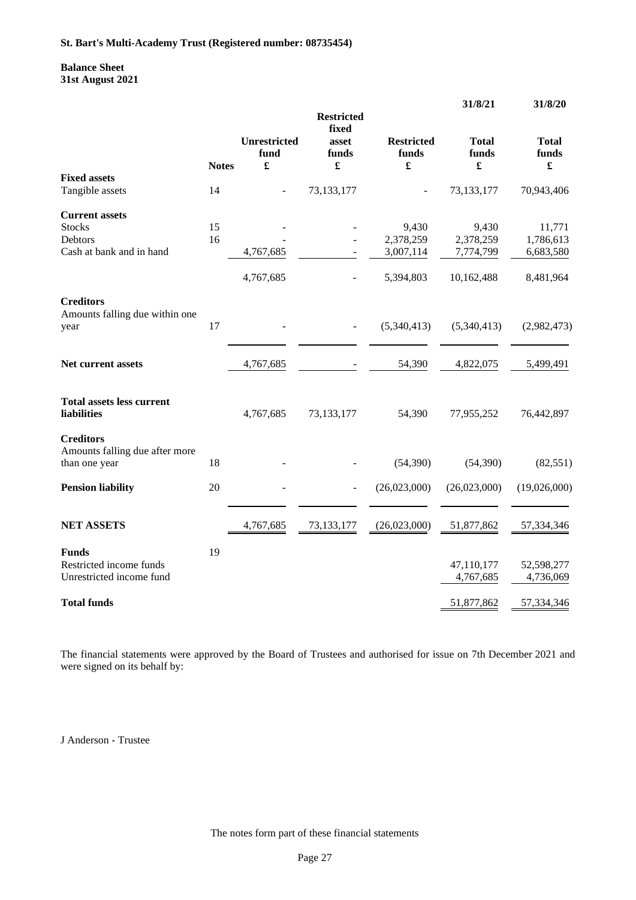### **Balance Sheet 31st August 2021**

|                                                        |              |                                  | <b>Restricted</b>            |                                                    | 31/8/21                | 31/8/20                                       |
|--------------------------------------------------------|--------------|----------------------------------|------------------------------|----------------------------------------------------|------------------------|-----------------------------------------------|
|                                                        | <b>Notes</b> | <b>Unrestricted</b><br>fund<br>£ | fixed<br>asset<br>funds<br>£ | <b>Restricted</b><br>funds<br>$\pmb{\mathfrak{L}}$ | <b>Total</b><br>funds  | <b>Total</b><br>funds<br>$\pmb{\mathfrak{L}}$ |
| <b>Fixed assets</b>                                    |              |                                  |                              |                                                    |                        |                                               |
| Tangible assets                                        | 14           |                                  | 73,133,177                   |                                                    | 73,133,177             | 70,943,406                                    |
| <b>Current assets</b>                                  |              |                                  |                              |                                                    |                        |                                               |
| <b>Stocks</b>                                          | 15           |                                  |                              | 9,430                                              | 9,430                  | 11,771                                        |
| Debtors<br>Cash at bank and in hand                    | 16           | 4,767,685                        |                              | 2,378,259<br>3,007,114                             | 2,378,259<br>7,774,799 | 1,786,613<br>6,683,580                        |
|                                                        |              |                                  |                              |                                                    |                        |                                               |
|                                                        |              | 4,767,685                        |                              | 5,394,803                                          | 10,162,488             | 8,481,964                                     |
| <b>Creditors</b><br>Amounts falling due within one     |              |                                  |                              |                                                    |                        |                                               |
| year                                                   | 17           |                                  |                              | (5,340,413)                                        | (5,340,413)            | (2,982,473)                                   |
|                                                        |              |                                  |                              |                                                    |                        |                                               |
| <b>Net current assets</b>                              |              | 4,767,685                        |                              | 54,390                                             | 4,822,075              | 5,499,491                                     |
| <b>Total assets less current</b><br><b>liabilities</b> |              | 4,767,685                        | 73,133,177                   | 54,390                                             | 77,955,252             | 76,442,897                                    |
| <b>Creditors</b>                                       |              |                                  |                              |                                                    |                        |                                               |
| Amounts falling due after more<br>than one year        | 18           |                                  |                              | (54,390)                                           | (54,390)               | (82, 551)                                     |
| <b>Pension liability</b>                               | 20           |                                  |                              | (26,023,000)                                       | (26,023,000)           | (19,026,000)                                  |
| <b>NET ASSETS</b>                                      |              | 4,767,685                        | 73,133,177                   | (26,023,000)                                       | 51,877,862             | 57,334,346                                    |
| <b>Funds</b>                                           | 19           |                                  |                              |                                                    |                        |                                               |
| Restricted income funds                                |              |                                  |                              |                                                    | 47,110,177             | 52,598,277                                    |
| Unrestricted income fund                               |              |                                  |                              |                                                    | 4,767,685              | 4,736,069                                     |
| <b>Total funds</b>                                     |              |                                  |                              |                                                    | 51,877,862             | 57,334,346                                    |

The financial statements were approved by the Board of Trustees and authorised for issue on 7th December 2021 and were signed on its behalf by:

J Anderson - Trustee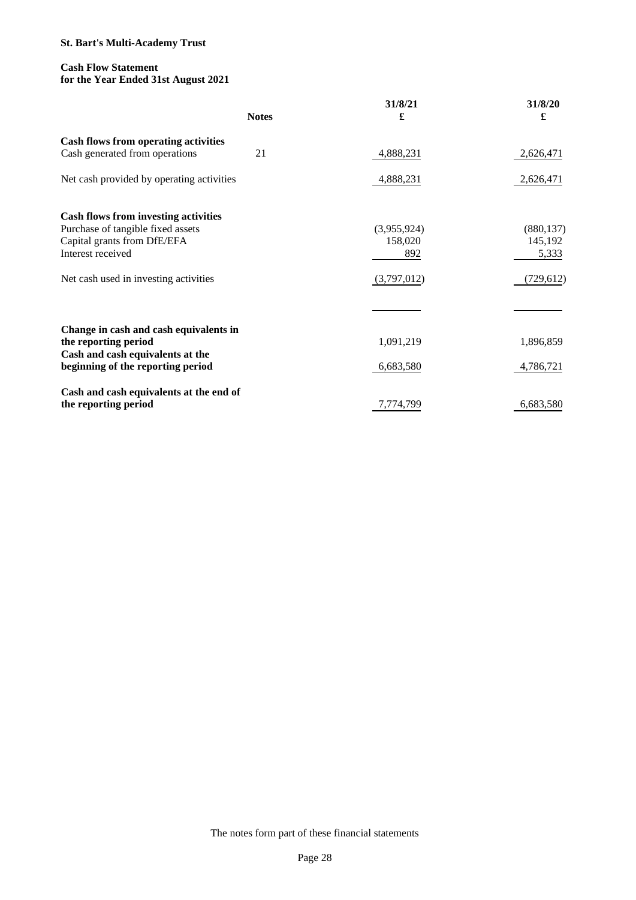## **Cash Flow Statement for the Year Ended 31st August 2021**

|                                                                               | <b>Notes</b> | 31/8/21<br>£ | 31/8/20<br>£ |
|-------------------------------------------------------------------------------|--------------|--------------|--------------|
| <b>Cash flows from operating activities</b><br>Cash generated from operations | 21           | 4,888,231    | 2,626,471    |
| Net cash provided by operating activities                                     |              | 4,888,231    | 2,626,471    |
| <b>Cash flows from investing activities</b>                                   |              |              |              |
| Purchase of tangible fixed assets                                             |              | (3,955,924)  | (880, 137)   |
| Capital grants from DfE/EFA                                                   |              | 158,020      | 145,192      |
| Interest received                                                             |              | 892          | 5,333        |
| Net cash used in investing activities                                         |              | (3,797,012)  | (729, 612)   |
|                                                                               |              |              |              |
| Change in cash and cash equivalents in                                        |              |              |              |
| the reporting period                                                          |              | 1,091,219    | 1,896,859    |
| Cash and cash equivalents at the                                              |              |              |              |
| beginning of the reporting period                                             |              | 6,683,580    | 4,786,721    |
| Cash and cash equivalents at the end of                                       |              |              |              |
| the reporting period                                                          |              | 7,774,799    | 6,683,580    |

The notes form part of these financial statements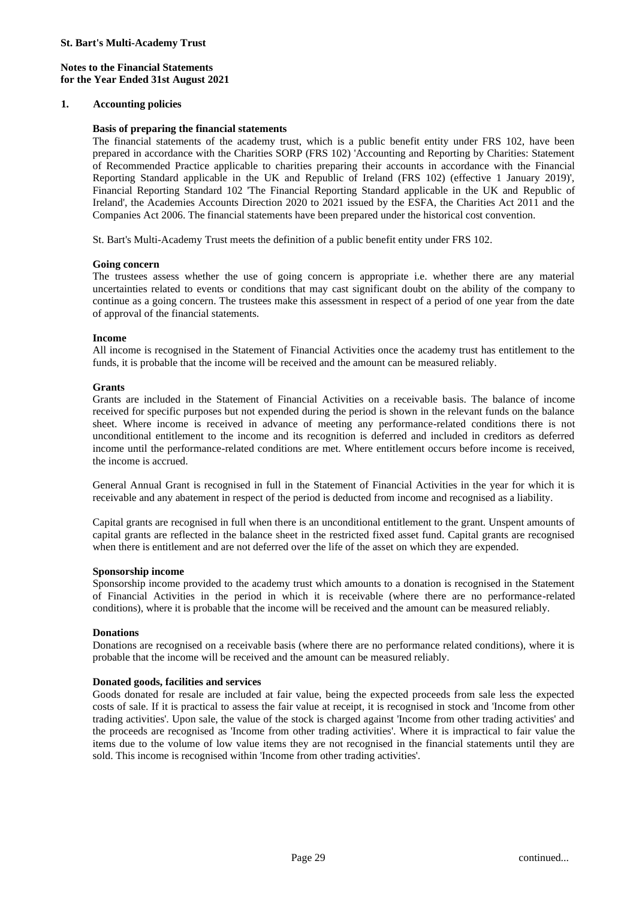### **1. Accounting policies**

#### **Basis of preparing the financial statements**

The financial statements of the academy trust, which is a public benefit entity under FRS 102, have been prepared in accordance with the Charities SORP (FRS 102) 'Accounting and Reporting by Charities: Statement of Recommended Practice applicable to charities preparing their accounts in accordance with the Financial Reporting Standard applicable in the UK and Republic of Ireland (FRS 102) (effective 1 January 2019)', Financial Reporting Standard 102 'The Financial Reporting Standard applicable in the UK and Republic of Ireland', the Academies Accounts Direction 2020 to 2021 issued by the ESFA, the Charities Act 2011 and the Companies Act 2006. The financial statements have been prepared under the historical cost convention.

St. Bart's Multi-Academy Trust meets the definition of a public benefit entity under FRS 102.

#### **Going concern**

The trustees assess whether the use of going concern is appropriate i.e. whether there are any material uncertainties related to events or conditions that may cast significant doubt on the ability of the company to continue as a going concern. The trustees make this assessment in respect of a period of one year from the date of approval of the financial statements.

#### **Income**

All income is recognised in the Statement of Financial Activities once the academy trust has entitlement to the funds, it is probable that the income will be received and the amount can be measured reliably.

#### **Grants**

Grants are included in the Statement of Financial Activities on a receivable basis. The balance of income received for specific purposes but not expended during the period is shown in the relevant funds on the balance sheet. Where income is received in advance of meeting any performance-related conditions there is not unconditional entitlement to the income and its recognition is deferred and included in creditors as deferred income until the performance-related conditions are met. Where entitlement occurs before income is received, the income is accrued.

General Annual Grant is recognised in full in the Statement of Financial Activities in the year for which it is receivable and any abatement in respect of the period is deducted from income and recognised as a liability.

Capital grants are recognised in full when there is an unconditional entitlement to the grant. Unspent amounts of capital grants are reflected in the balance sheet in the restricted fixed asset fund. Capital grants are recognised when there is entitlement and are not deferred over the life of the asset on which they are expended.

#### **Sponsorship income**

Sponsorship income provided to the academy trust which amounts to a donation is recognised in the Statement of Financial Activities in the period in which it is receivable (where there are no performance-related conditions), where it is probable that the income will be received and the amount can be measured reliably.

#### **Donations**

Donations are recognised on a receivable basis (where there are no performance related conditions), where it is probable that the income will be received and the amount can be measured reliably.

### **Donated goods, facilities and services**

Goods donated for resale are included at fair value, being the expected proceeds from sale less the expected costs of sale. If it is practical to assess the fair value at receipt, it is recognised in stock and 'Income from other trading activities'. Upon sale, the value of the stock is charged against 'Income from other trading activities' and the proceeds are recognised as 'Income from other trading activities'. Where it is impractical to fair value the items due to the volume of low value items they are not recognised in the financial statements until they are sold. This income is recognised within 'Income from other trading activities'.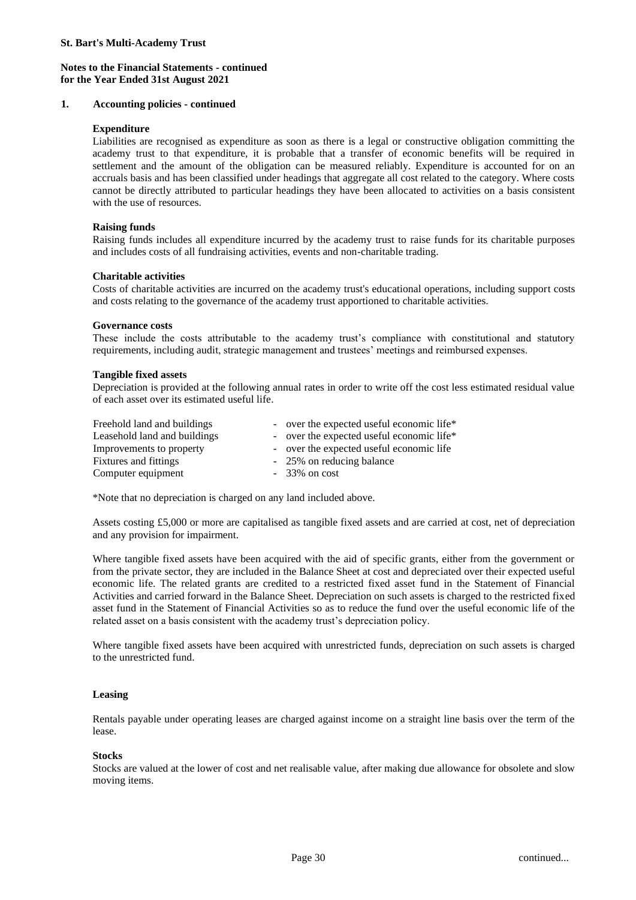### **1. Accounting policies - continued**

#### **Expenditure**

Liabilities are recognised as expenditure as soon as there is a legal or constructive obligation committing the academy trust to that expenditure, it is probable that a transfer of economic benefits will be required in settlement and the amount of the obligation can be measured reliably. Expenditure is accounted for on an accruals basis and has been classified under headings that aggregate all cost related to the category. Where costs cannot be directly attributed to particular headings they have been allocated to activities on a basis consistent with the use of resources.

#### **Raising funds**

Raising funds includes all expenditure incurred by the academy trust to raise funds for its charitable purposes and includes costs of all fundraising activities, events and non-charitable trading.

### **Charitable activities**

Costs of charitable activities are incurred on the academy trust's educational operations, including support costs and costs relating to the governance of the academy trust apportioned to charitable activities.

#### **Governance costs**

These include the costs attributable to the academy trust's compliance with constitutional and statutory requirements, including audit, strategic management and trustees' meetings and reimbursed expenses.

#### **Tangible fixed assets**

Depreciation is provided at the following annual rates in order to write off the cost less estimated residual value of each asset over its estimated useful life.

| Freehold land and buildings  |  | - over the expected useful economic life* |
|------------------------------|--|-------------------------------------------|
| Leasehold land and buildings |  | - over the expected useful economic life* |
| Improvements to property     |  | - over the expected useful economic life  |
| Fixtures and fittings        |  | - 25% on reducing balance                 |
| Computer equipment           |  | $-33\%$ on cost                           |

\*Note that no depreciation is charged on any land included above.

Assets costing £5,000 or more are capitalised as tangible fixed assets and are carried at cost, net of depreciation and any provision for impairment.

Where tangible fixed assets have been acquired with the aid of specific grants, either from the government or from the private sector, they are included in the Balance Sheet at cost and depreciated over their expected useful economic life. The related grants are credited to a restricted fixed asset fund in the Statement of Financial Activities and carried forward in the Balance Sheet. Depreciation on such assets is charged to the restricted fixed asset fund in the Statement of Financial Activities so as to reduce the fund over the useful economic life of the related asset on a basis consistent with the academy trust's depreciation policy.

Where tangible fixed assets have been acquired with unrestricted funds, depreciation on such assets is charged to the unrestricted fund.

### **Leasing**

Rentals payable under operating leases are charged against income on a straight line basis over the term of the lease.

#### **Stocks**

Stocks are valued at the lower of cost and net realisable value, after making due allowance for obsolete and slow moving items.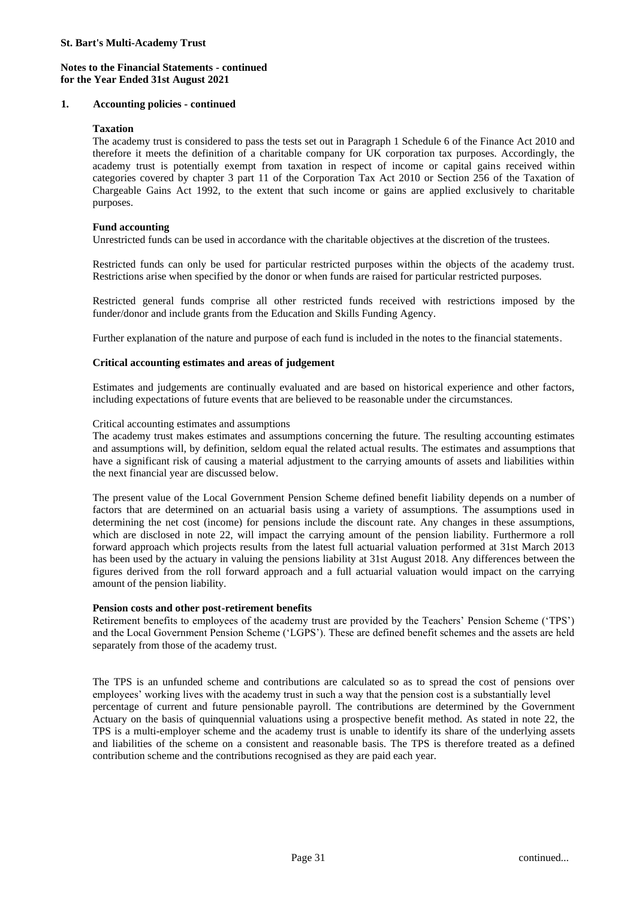### **1. Accounting policies - continued**

#### **Taxation**

The academy trust is considered to pass the tests set out in Paragraph 1 Schedule 6 of the Finance Act 2010 and therefore it meets the definition of a charitable company for UK corporation tax purposes. Accordingly, the academy trust is potentially exempt from taxation in respect of income or capital gains received within categories covered by chapter 3 part 11 of the Corporation Tax Act 2010 or Section 256 of the Taxation of Chargeable Gains Act 1992, to the extent that such income or gains are applied exclusively to charitable purposes.

#### **Fund accounting**

Unrestricted funds can be used in accordance with the charitable objectives at the discretion of the trustees.

Restricted funds can only be used for particular restricted purposes within the objects of the academy trust. Restrictions arise when specified by the donor or when funds are raised for particular restricted purposes.

Restricted general funds comprise all other restricted funds received with restrictions imposed by the funder/donor and include grants from the Education and Skills Funding Agency.

Further explanation of the nature and purpose of each fund is included in the notes to the financial statements.

### **Critical accounting estimates and areas of judgement**

Estimates and judgements are continually evaluated and are based on historical experience and other factors, including expectations of future events that are believed to be reasonable under the circumstances.

#### Critical accounting estimates and assumptions

The academy trust makes estimates and assumptions concerning the future. The resulting accounting estimates and assumptions will, by definition, seldom equal the related actual results. The estimates and assumptions that have a significant risk of causing a material adjustment to the carrying amounts of assets and liabilities within the next financial year are discussed below.

The present value of the Local Government Pension Scheme defined benefit liability depends on a number of factors that are determined on an actuarial basis using a variety of assumptions. The assumptions used in determining the net cost (income) for pensions include the discount rate. Any changes in these assumptions, which are disclosed in note 22, will impact the carrying amount of the pension liability. Furthermore a roll forward approach which projects results from the latest full actuarial valuation performed at 31st March 2013 has been used by the actuary in valuing the pensions liability at 31st August 2018. Any differences between the figures derived from the roll forward approach and a full actuarial valuation would impact on the carrying amount of the pension liability.

### **Pension costs and other post-retirement benefits**

Retirement benefits to employees of the academy trust are provided by the Teachers' Pension Scheme ('TPS') and the Local Government Pension Scheme ('LGPS'). These are defined benefit schemes and the assets are held separately from those of the academy trust.

The TPS is an unfunded scheme and contributions are calculated so as to spread the cost of pensions over employees' working lives with the academy trust in such a way that the pension cost is a substantially level percentage of current and future pensionable payroll. The contributions are determined by the Government Actuary on the basis of quinquennial valuations using a prospective benefit method. As stated in note 22, the TPS is a multi-employer scheme and the academy trust is unable to identify its share of the underlying assets and liabilities of the scheme on a consistent and reasonable basis. The TPS is therefore treated as a defined contribution scheme and the contributions recognised as they are paid each year.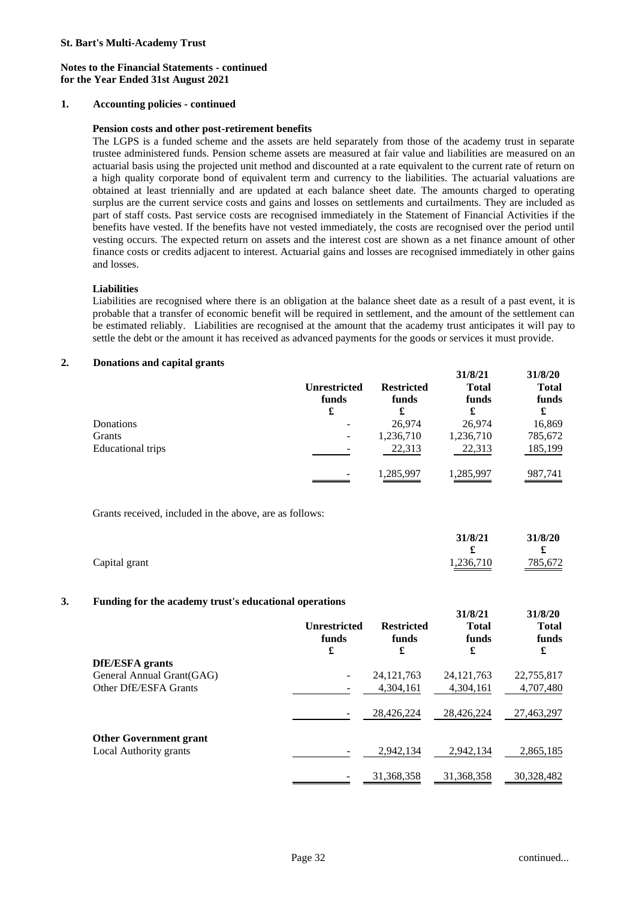### **1. Accounting policies - continued**

#### **Pension costs and other post-retirement benefits**

The LGPS is a funded scheme and the assets are held separately from those of the academy trust in separate trustee administered funds. Pension scheme assets are measured at fair value and liabilities are measured on an actuarial basis using the projected unit method and discounted at a rate equivalent to the current rate of return on a high quality corporate bond of equivalent term and currency to the liabilities. The actuarial valuations are obtained at least triennially and are updated at each balance sheet date. The amounts charged to operating surplus are the current service costs and gains and losses on settlements and curtailments. They are included as part of staff costs. Past service costs are recognised immediately in the Statement of Financial Activities if the benefits have vested. If the benefits have not vested immediately, the costs are recognised over the period until vesting occurs. The expected return on assets and the interest cost are shown as a net finance amount of other finance costs or credits adjacent to interest. Actuarial gains and losses are recognised immediately in other gains and losses.

### **Liabilities**

Liabilities are recognised where there is an obligation at the balance sheet date as a result of a past event, it is probable that a transfer of economic benefit will be required in settlement, and the amount of the settlement can be estimated reliably. Liabilities are recognised at the amount that the academy trust anticipates it will pay to settle the debt or the amount it has received as advanced payments for the goods or services it must provide.

#### **2. Donations and capital grants**

|                          | <b>Unrestricted</b><br>funds | <b>Restricted</b><br>funds | 31/8/21<br><b>Total</b><br>funds | 31/8/20<br><b>Total</b><br>funds |
|--------------------------|------------------------------|----------------------------|----------------------------------|----------------------------------|
|                          | £                            | £                          | £                                | £                                |
| Donations                | -                            | 26,974                     | 26,974                           | 16,869                           |
| <b>Grants</b>            | $\overline{\phantom{a}}$     | 1,236,710                  | 1,236,710                        | 785,672                          |
| <b>Educational trips</b> |                              | 22,313                     | 22,313                           | 185,199                          |
|                          | ۰                            | 1,285,997                  | 1,285,997                        | 987,741                          |

Grants received, included in the above, are as follows:

|               | 31/8/21   | 31/8/20 |
|---------------|-----------|---------|
|               |           |         |
| Capital grant | 1,236,710 | 785,672 |

#### **3. Funding for the academy trust's educational operations**

|                               | <b>Unrestricted</b><br>funds<br>£ | <b>Restricted</b><br>funds<br>£ | 31/0/41<br><b>Total</b><br>funds<br>£ | 31/0/4U<br><b>Total</b><br>funds<br>£ |
|-------------------------------|-----------------------------------|---------------------------------|---------------------------------------|---------------------------------------|
| <b>DfE/ESFA</b> grants        |                                   |                                 |                                       |                                       |
| General Annual Grant(GAG)     |                                   | 24, 121, 763                    | 24, 121, 763                          | 22,755,817                            |
| Other DfE/ESFA Grants         |                                   | 4,304,161                       | 4,304,161                             | 4,707,480                             |
|                               |                                   | 28.426.224                      | 28.426.224                            | 27,463,297                            |
| <b>Other Government grant</b> |                                   |                                 |                                       |                                       |
| Local Authority grants        |                                   | 2.942.134                       | 2.942.134                             | 2,865,185                             |
|                               |                                   | 31,368,358                      | 31,368,358                            | 30,328,482                            |

**31/8/21 31/8/20**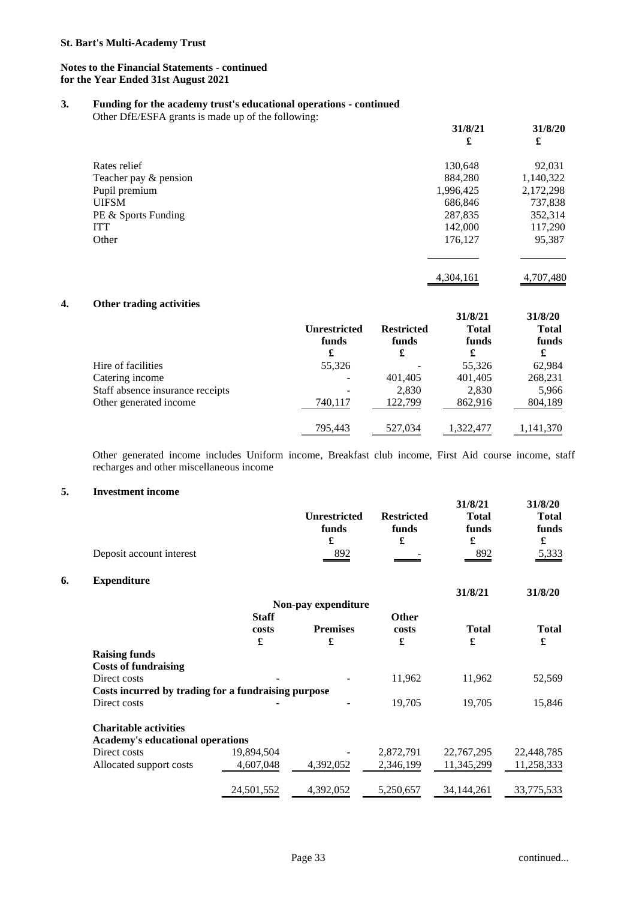## **3. Funding for the academy trust's educational operations - continued**

Other DfE/ESFA grants is made up of the following:

|                       | 31/8/21<br>£ | 31/8/20<br>£ |
|-----------------------|--------------|--------------|
| Rates relief          | 130,648      | 92,031       |
| Teacher pay & pension | 884,280      | 1,140,322    |
| Pupil premium         | 1,996,425    | 2,172,298    |
| <b>UIFSM</b>          | 686,846      | 737,838      |
| PE & Sports Funding   | 287,835      | 352,314      |
| <b>ITT</b>            | 142,000      | 117,290      |
| Other                 | 176,127      | 95,387       |
|                       |              |              |

4,304,161 4,707,480

## **4. Other trading activities**

|                                  | <b>Unrestricted</b><br>funds<br>£ | <b>Restricted</b><br>funds<br>£ | 31/8/21<br><b>Total</b><br>funds<br>£ | 31/8/20<br><b>Total</b><br>funds<br>£ |
|----------------------------------|-----------------------------------|---------------------------------|---------------------------------------|---------------------------------------|
| Hire of facilities               | 55,326                            |                                 | 55,326                                | 62,984                                |
| Catering income                  | $\overline{\phantom{0}}$          | 401,405                         | 401,405                               | 268,231                               |
| Staff absence insurance receipts |                                   | 2,830                           | 2,830                                 | 5,966                                 |
| Other generated income           | 740.117                           | 122.799                         | 862,916                               | 804,189                               |
|                                  | 795,443                           | 527,034                         | 1,322,477                             | 1,141,370                             |

Other generated income includes Uniform income, Breakfast club income, First Aid course income, staff recharges and other miscellaneous income

# **5. Investment income**

**6. Expenditure** 

| Deposit account interest                            |              | <b>Unrestricted</b><br>funds<br>£<br>892 | <b>Restricted</b><br>funds<br>£ | 31/8/21<br><b>Total</b><br>funds<br>£<br>892 | 31/8/20<br><b>Total</b><br>funds<br>£<br>5,333 |
|-----------------------------------------------------|--------------|------------------------------------------|---------------------------------|----------------------------------------------|------------------------------------------------|
| <b>Expenditure</b>                                  |              |                                          |                                 |                                              |                                                |
|                                                     |              |                                          |                                 | 31/8/21                                      | 31/8/20                                        |
|                                                     |              | Non-pay expenditure                      |                                 |                                              |                                                |
|                                                     | <b>Staff</b> |                                          | <b>Other</b>                    |                                              |                                                |
|                                                     | costs<br>£   | <b>Premises</b><br>£                     | costs<br>£                      | <b>Total</b><br>£                            | <b>Total</b><br>£                              |
| <b>Raising funds</b>                                |              |                                          |                                 |                                              |                                                |
| <b>Costs of fundraising</b>                         |              |                                          |                                 |                                              |                                                |
| Direct costs                                        |              |                                          | 11,962                          | 11,962                                       | 52,569                                         |
| Costs incurred by trading for a fundraising purpose |              |                                          |                                 |                                              |                                                |
| Direct costs                                        |              |                                          | 19,705                          | 19,705                                       | 15,846                                         |
| <b>Charitable activities</b>                        |              |                                          |                                 |                                              |                                                |
| <b>Academy's educational operations</b>             |              |                                          |                                 |                                              |                                                |
| Direct costs                                        | 19,894,504   |                                          | 2,872,791                       | 22,767,295                                   | 22,448,785                                     |
| Allocated support costs                             | 4,607,048    | 4,392,052                                | 2,346,199                       | 11,345,299                                   | 11,258,333                                     |
|                                                     | 24,501,552   | 4,392,052                                | 5,250,657                       | 34, 144, 261                                 | 33,775,533                                     |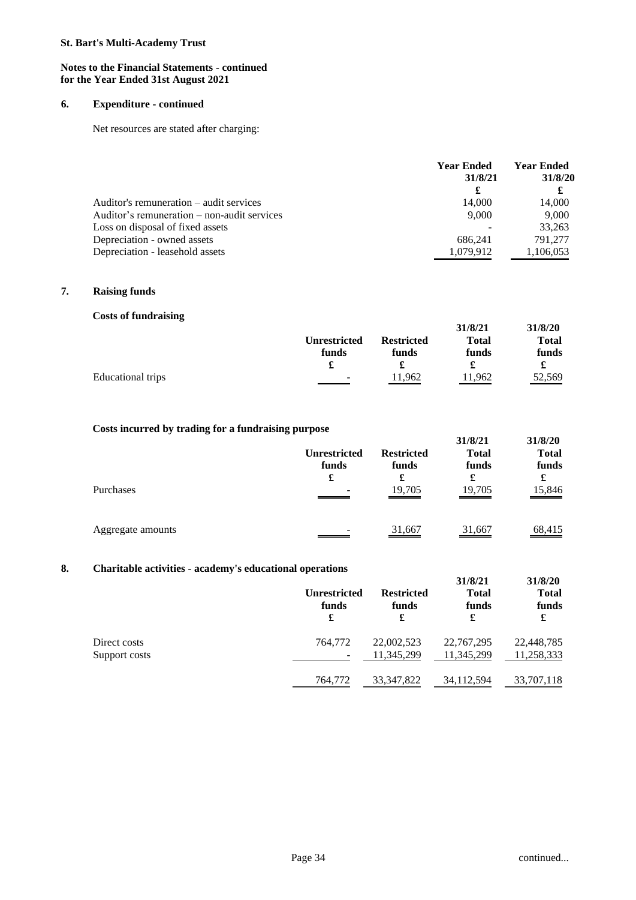### **Notes to the Financial Statements - continued for the Year Ended 31st August 2021**

### **6. Expenditure - continued**

Net resources are stated after charging:

|                                               | <b>Year Ended</b><br>31/8/21 | <b>Year Ended</b><br>31/8/20<br>£ |
|-----------------------------------------------|------------------------------|-----------------------------------|
| Auditor's remuneration – audit services       | 14,000                       | 14,000                            |
| Auditor's remuneration $-$ non-audit services | 9.000                        | 9,000                             |
| Loss on disposal of fixed assets              |                              | 33,263                            |
| Depreciation - owned assets                   | 686.241                      | 791.277                           |
| Depreciation - leasehold assets               | 1.079.912                    | 1,106,053                         |

## **7. Raising funds**

| <b>Costs of fundraising</b> |                     |                   |              |              |
|-----------------------------|---------------------|-------------------|--------------|--------------|
|                             |                     |                   | 31/8/21      | 31/8/20      |
|                             | <b>Unrestricted</b> | <b>Restricted</b> | <b>Total</b> | <b>Total</b> |
|                             | funds               | funds             | funds        | funds        |
|                             | £                   |                   |              |              |
| Educational trips           | -                   | 11,962            | 11,962       | 52,569       |

## **Costs incurred by trading for a fundraising purpose**

| Purchases         | <b>Unrestricted</b><br>funds<br>£ | <b>Restricted</b><br>funds<br>£<br>19,705 | 31/8/21<br><b>Total</b><br>funds<br>£<br>19,705 | 31/8/20<br><b>Total</b><br>funds<br>£<br>15,846 |
|-------------------|-----------------------------------|-------------------------------------------|-------------------------------------------------|-------------------------------------------------|
| Aggregate amounts |                                   | 31,667                                    | 31,667                                          | 68,415                                          |

# **8. Charitable activities - academy's educational operations**

|                               | <u>CHANTIVALUS MUVITIVIUD – MUMMULII – D'UMMUMULIMI OPUL MULOID</u><br><b>Unrestricted</b><br>funds<br>£ | <b>Restricted</b><br>funds<br>£ | 31/8/21<br><b>Total</b><br>funds<br>£ | 31/8/20<br><b>Total</b><br>funds<br>£ |
|-------------------------------|----------------------------------------------------------------------------------------------------------|---------------------------------|---------------------------------------|---------------------------------------|
| Direct costs<br>Support costs | 764,772<br>-                                                                                             | 22,002,523<br>11,345,299        | 22,767,295<br>11,345,299              | 22,448,785<br>11,258,333              |
|                               | 764,772                                                                                                  | 33, 347, 822                    | 34, 112, 594                          | 33,707,118                            |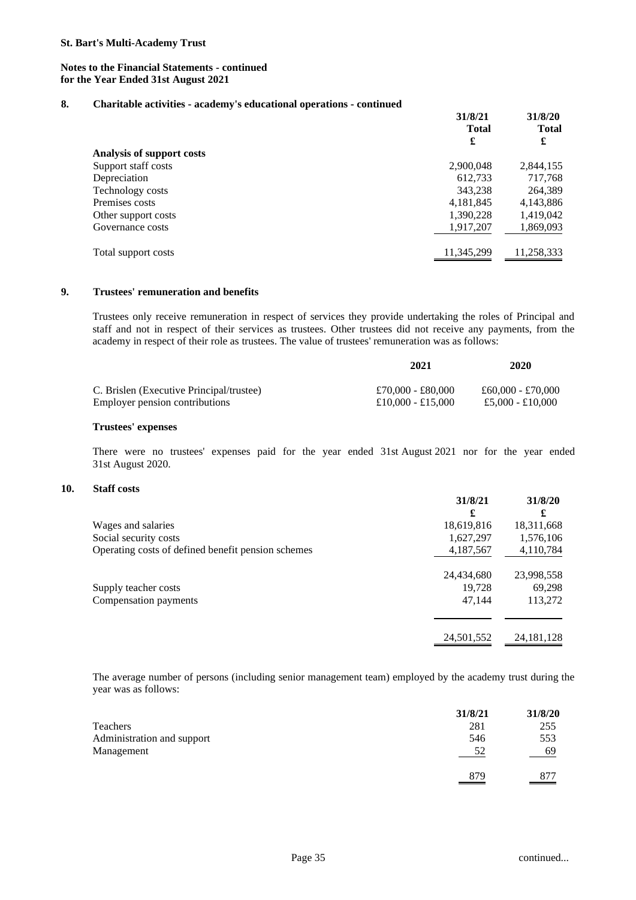## **8. Charitable activities - academy's educational operations - continued**

|                           | 31/8/21<br><b>Total</b> | 31/8/20<br><b>Total</b> |
|---------------------------|-------------------------|-------------------------|
|                           |                         |                         |
|                           | £                       | £                       |
| Analysis of support costs |                         |                         |
| Support staff costs       | 2,900,048               | 2,844,155               |
| Depreciation              | 612,733                 | 717,768                 |
| Technology costs          | 343,238                 | 264,389                 |
| Premises costs            | 4,181,845               | 4,143,886               |
| Other support costs       | 1,390,228               | 1,419,042               |
| Governance costs          | 1,917,207               | 1,869,093               |
| Total support costs       | 11,345,299              | 11,258,333              |

## **9. Trustees' remuneration and benefits**

Trustees only receive remuneration in respect of services they provide undertaking the roles of Principal and staff and not in respect of their services as trustees. Other trustees did not receive any payments, from the academy in respect of their role as trustees. The value of trustees' remuneration was as follows:

|                                          | 2021              | 2020              |
|------------------------------------------|-------------------|-------------------|
| C. Brislen (Executive Principal/trustee) | £70,000 - £80,000 | £60.000 - £70.000 |
| Employer pension contributions           | £10,000 - £15,000 | £5,000 - £10,000  |

#### **Trustees' expenses**

There were no trustees' expenses paid for the year ended 31st August 2021 nor for the year ended 31st August 2020.

## **10. Staff costs**

|                                                    | 31/8/21    | 31/8/20      |
|----------------------------------------------------|------------|--------------|
|                                                    | £          | £            |
| Wages and salaries                                 | 18,619,816 | 18,311,668   |
| Social security costs                              | 1,627,297  | 1,576,106    |
| Operating costs of defined benefit pension schemes | 4,187,567  | 4,110,784    |
|                                                    | 24,434,680 | 23,998,558   |
| Supply teacher costs                               | 19,728     | 69,298       |
| Compensation payments                              | 47,144     | 113,272      |
|                                                    |            |              |
|                                                    | 24,501,552 | 24, 181, 128 |

The average number of persons (including senior management team) employed by the academy trust during the year was as follows:

|                            | 31/8/21 | 31/8/20 |
|----------------------------|---------|---------|
| Teachers                   | 281     | 255     |
| Administration and support | 546     | 553     |
| Management                 | 52      | -69     |
|                            | 879     | 877     |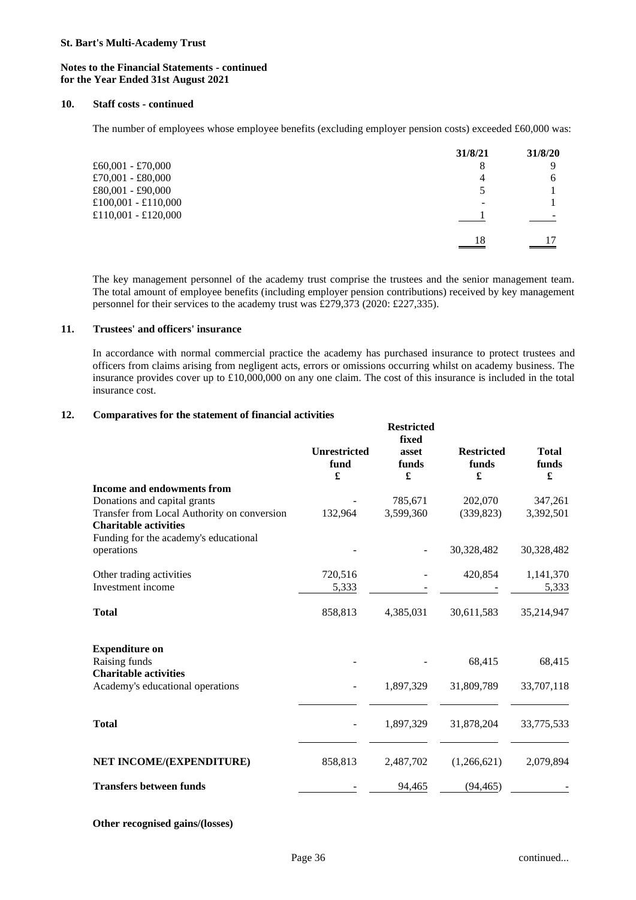#### **Notes to the Financial Statements - continued for the Year Ended 31st August 2021**

#### **10. Staff costs - continued**

The number of employees whose employee benefits (excluding employer pension costs) exceeded £60,000 was:

|                     | 31/8/21 | 31/8/20 |
|---------------------|---------|---------|
| £60,001 - £70,000   | 8       | Q       |
| £70,001 - £80,000   | 4       | h       |
| £80,001 - £90,000   |         |         |
| £100,001 - £110,000 |         |         |
| £110,001 - £120,000 |         |         |
|                     | 18      | 17      |

The key management personnel of the academy trust comprise the trustees and the senior management team. The total amount of employee benefits (including employer pension contributions) received by key management personnel for their services to the academy trust was £279,373 (2020: £227,335).

#### **11. Trustees' and officers' insurance**

In accordance with normal commercial practice the academy has purchased insurance to protect trustees and officers from claims arising from negligent acts, errors or omissions occurring whilst on academy business. The insurance provides cover up to £10,000,000 on any one claim. The cost of this insurance is included in the total insurance cost.

## **12. Comparatives for the statement of financial activities**

|                                                                             | <b>Unrestricted</b> | <b>Restricted</b><br>fixed<br>asset | <b>Restricted</b> | <b>Total</b> |
|-----------------------------------------------------------------------------|---------------------|-------------------------------------|-------------------|--------------|
|                                                                             | fund<br>£           | funds<br>£                          | funds<br>£        | funds<br>£   |
| <b>Income and endowments from</b>                                           |                     |                                     |                   |              |
| Donations and capital grants                                                |                     | 785,671                             | 202,070           | 347,261      |
| Transfer from Local Authority on conversion<br><b>Charitable activities</b> | 132,964             | 3,599,360                           | (339, 823)        | 3,392,501    |
| Funding for the academy's educational<br>operations                         |                     |                                     | 30,328,482        | 30,328,482   |
| Other trading activities                                                    | 720,516             |                                     | 420,854           | 1,141,370    |
| Investment income                                                           | 5,333               |                                     |                   | 5,333        |
| <b>Total</b>                                                                | 858,813             | 4,385,031                           | 30,611,583        | 35,214,947   |
| <b>Expenditure on</b>                                                       |                     |                                     |                   |              |
| Raising funds                                                               |                     |                                     | 68,415            | 68,415       |
| <b>Charitable activities</b>                                                |                     |                                     |                   |              |
| Academy's educational operations                                            |                     | 1,897,329                           | 31,809,789        | 33,707,118   |
| <b>Total</b>                                                                |                     | 1,897,329                           | 31,878,204        | 33,775,533   |
| NET INCOME/(EXPENDITURE)                                                    | 858,813             | 2,487,702                           | (1,266,621)       | 2,079,894    |
| <b>Transfers between funds</b>                                              |                     | 94,465                              | (94, 465)         |              |

**Other recognised gains/(losses)**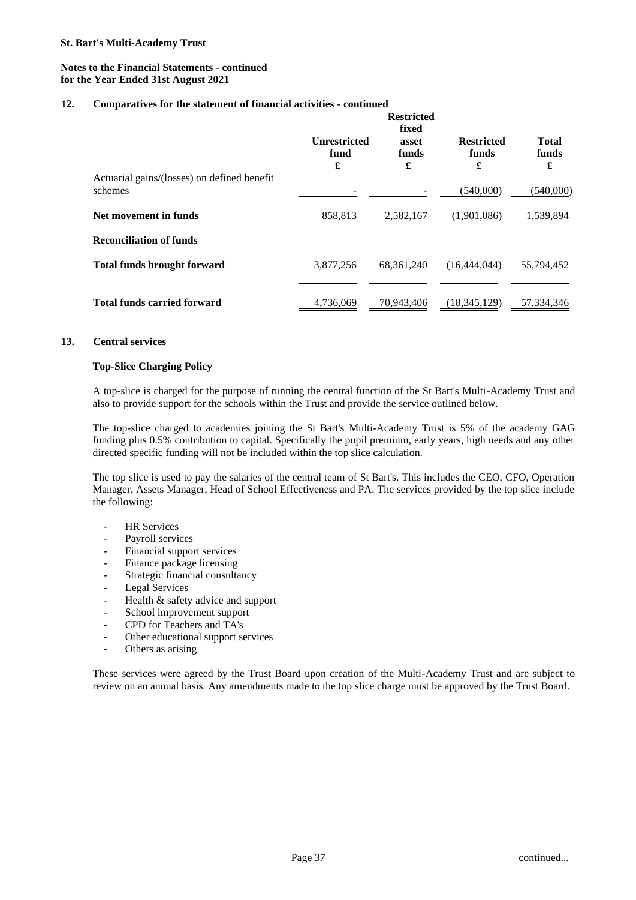### **12. Comparatives for the statement of financial activities - continued**

|                                                        | <b>Restricted</b><br>fixed       |                     |                                 |                            |
|--------------------------------------------------------|----------------------------------|---------------------|---------------------------------|----------------------------|
|                                                        | <b>Unrestricted</b><br>fund<br>£ | asset<br>funds<br>£ | <b>Restricted</b><br>funds<br>£ | <b>Total</b><br>funds<br>£ |
| Actuarial gains/(losses) on defined benefit<br>schemes |                                  |                     | (540,000)                       | (540,000)                  |
| Net movement in funds                                  | 858,813                          | 2,582,167           | (1,901,086)                     | 1,539,894                  |
| <b>Reconciliation of funds</b>                         |                                  |                     |                                 |                            |
| <b>Total funds brought forward</b>                     | 3,877,256                        | 68, 361, 240        | (16,444,044)                    | 55,794,452                 |
| <b>Total funds carried forward</b>                     | 4,736,069                        | 70,943,406          | (18, 345, 129)                  | 57,334,346                 |

### **13. Central services**

## **Top-Slice Charging Policy**

A top-slice is charged for the purpose of running the central function of the St Bart's Multi-Academy Trust and also to provide support for the schools within the Trust and provide the service outlined below.

The top-slice charged to academies joining the St Bart's Multi-Academy Trust is 5% of the academy GAG funding plus 0.5% contribution to capital. Specifically the pupil premium, early years, high needs and any other directed specific funding will not be included within the top slice calculation.

The top slice is used to pay the salaries of the central team of St Bart's. This includes the CEO, CFO, Operation Manager, Assets Manager, Head of School Effectiveness and PA. The services provided by the top slice include the following:

- HR Services
- Payroll services
- Financial support services
- Finance package licensing
- Strategic financial consultancy
- Legal Services
- Health & safety advice and support
- School improvement support
- CPD for Teachers and TA's
- Other educational support services
- Others as arising

These services were agreed by the Trust Board upon creation of the Multi-Academy Trust and are subject to review on an annual basis. Any amendments made to the top slice charge must be approved by the Trust Board.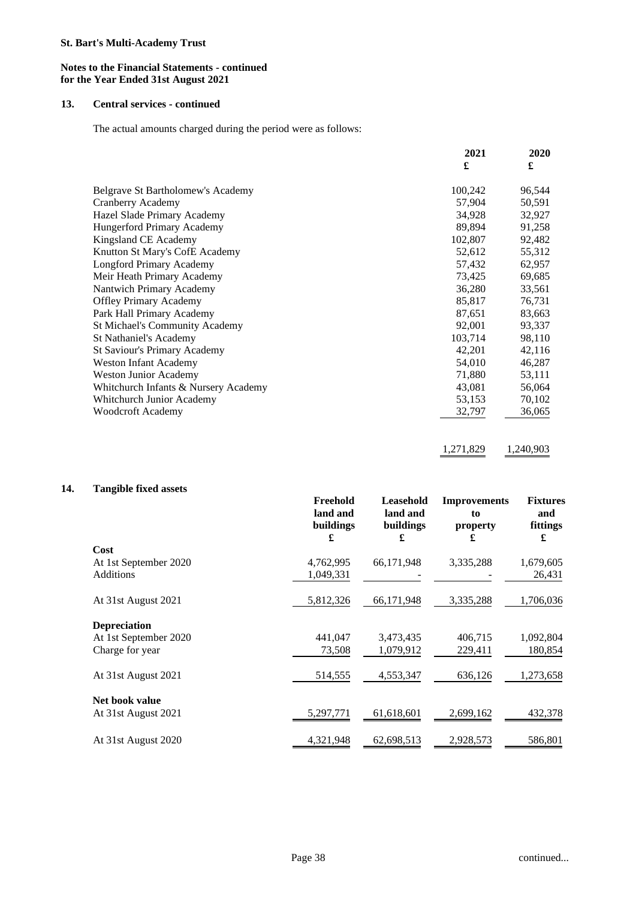### **Notes to the Financial Statements - continued for the Year Ended 31st August 2021**

### **13. Central services - continued**

The actual amounts charged during the period were as follows:

|                                       | 2021    | 2020   |
|---------------------------------------|---------|--------|
|                                       | £       | £      |
| Belgrave St Bartholomew's Academy     | 100,242 | 96,544 |
| Cranberry Academy                     | 57,904  | 50,591 |
| Hazel Slade Primary Academy           | 34,928  | 32,927 |
| Hungerford Primary Academy            | 89,894  | 91,258 |
| Kingsland CE Academy                  | 102,807 | 92,482 |
| Knutton St Mary's CofE Academy        | 52,612  | 55,312 |
| Longford Primary Academy              | 57,432  | 62,957 |
| Meir Heath Primary Academy            | 73,425  | 69,685 |
| Nantwich Primary Academy              | 36,280  | 33,561 |
| <b>Offley Primary Academy</b>         | 85,817  | 76,731 |
| Park Hall Primary Academy             | 87,651  | 83,663 |
| <b>St Michael's Community Academy</b> | 92,001  | 93,337 |
| St Nathaniel's Academy                | 103,714 | 98,110 |
| <b>St Saviour's Primary Academy</b>   | 42,201  | 42,116 |
| <b>Weston Infant Academy</b>          | 54,010  | 46,287 |
| <b>Weston Junior Academy</b>          | 71,880  | 53,111 |
| Whitchurch Infants & Nursery Academy  | 43,081  | 56,064 |
| Whitchurch Junior Academy             | 53,153  | 70,102 |
| <b>Woodcroft Academy</b>              | 32,797  | 36,065 |
|                                       |         |        |

1,271,829 1,240,903

## **14. Tangible fixed assets**

|                       | Freehold<br>land and<br>buildings<br>£ | Leasehold<br>land and<br>buildings<br>£ | <b>Improvements</b><br>to<br>property<br>£ | <b>Fixtures</b><br>and<br>fittings<br>£ |
|-----------------------|----------------------------------------|-----------------------------------------|--------------------------------------------|-----------------------------------------|
| Cost                  |                                        |                                         |                                            |                                         |
| At 1st September 2020 | 4,762,995                              | 66,171,948                              | 3,335,288                                  | 1,679,605                               |
| <b>Additions</b>      | 1,049,331                              |                                         |                                            | 26,431                                  |
| At 31st August 2021   | 5,812,326                              | 66,171,948                              | 3,335,288                                  | 1,706,036                               |
| <b>Depreciation</b>   |                                        |                                         |                                            |                                         |
| At 1st September 2020 | 441,047                                | 3,473,435                               | 406,715                                    | 1,092,804                               |
| Charge for year       | 73,508                                 | 1,079,912                               | 229,411                                    | 180,854                                 |
| At 31st August 2021   | 514,555                                | 4,553,347                               | 636,126                                    | 1,273,658                               |
| Net book value        |                                        |                                         |                                            |                                         |
| At 31st August 2021   | 5,297,771                              | 61,618,601                              | 2,699,162                                  | 432,378                                 |
| At 31st August 2020   | 4,321,948                              | 62,698,513                              | 2,928,573                                  | 586,801                                 |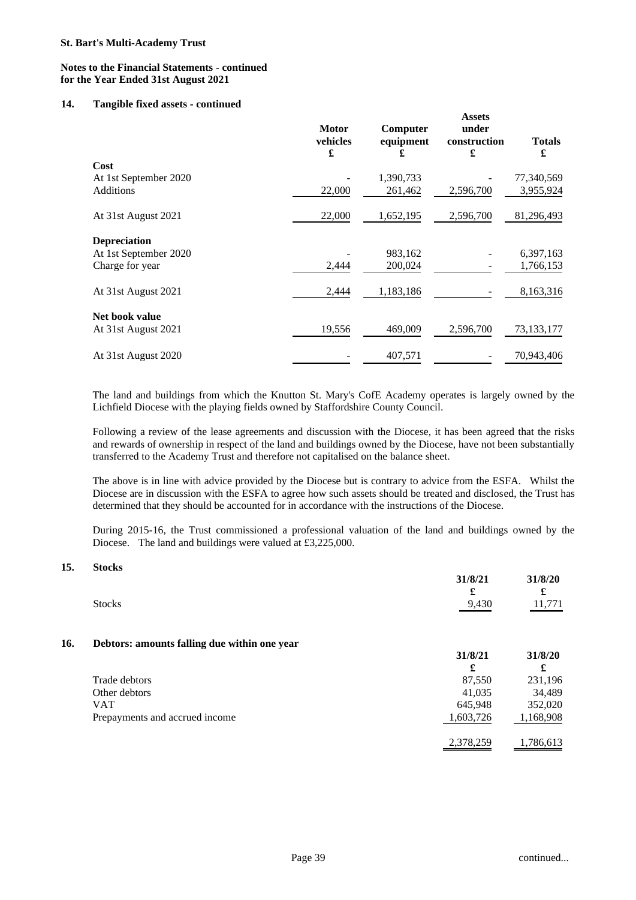### **14. Tangible fixed assets - continued**

| o                     | <b>Motor</b><br>vehicles<br>£ | Computer<br>equipment<br>£ | <b>Assets</b><br>under<br>construction<br>£ | <b>Totals</b><br>£ |
|-----------------------|-------------------------------|----------------------------|---------------------------------------------|--------------------|
| Cost                  |                               |                            |                                             |                    |
| At 1st September 2020 |                               | 1,390,733                  |                                             | 77,340,569         |
| <b>Additions</b>      | 22,000                        | 261,462                    | 2,596,700                                   | 3,955,924          |
| At 31st August 2021   | 22,000                        | 1,652,195                  | 2,596,700                                   | 81,296,493         |
| <b>Depreciation</b>   |                               |                            |                                             |                    |
| At 1st September 2020 |                               | 983,162                    |                                             | 6,397,163          |
| Charge for year       | 2,444                         | 200,024                    |                                             | 1,766,153          |
| At 31st August 2021   | 2,444                         | 1,183,186                  |                                             | 8,163,316          |
| Net book value        |                               |                            |                                             |                    |
| At 31st August 2021   | 19,556                        | 469,009                    | 2,596,700                                   | 73,133,177         |
| At 31st August 2020   |                               | 407,571                    |                                             | 70,943,406         |

The land and buildings from which the Knutton St. Mary's CofE Academy operates is largely owned by the Lichfield Diocese with the playing fields owned by Staffordshire County Council.

Following a review of the lease agreements and discussion with the Diocese, it has been agreed that the risks and rewards of ownership in respect of the land and buildings owned by the Diocese, have not been substantially transferred to the Academy Trust and therefore not capitalised on the balance sheet.

The above is in line with advice provided by the Diocese but is contrary to advice from the ESFA. Whilst the Diocese are in discussion with the ESFA to agree how such assets should be treated and disclosed, the Trust has determined that they should be accounted for in accordance with the instructions of the Diocese.

During 2015-16, the Trust commissioned a professional valuation of the land and buildings owned by the Diocese. The land and buildings were valued at £3,225,000.

#### **15. Stocks**

|               | 31/8/21 | 31/8/20 |
|---------------|---------|---------|
|               | £       |         |
| <b>Stocks</b> | 9,430   | 11,771  |
|               |         |         |

### **16. Debtors: amounts falling due within one year**

|                                | J1/0/41   | 31/0/40   |
|--------------------------------|-----------|-----------|
|                                | £         |           |
| Trade debtors                  | 87.550    | 231,196   |
| Other debtors                  | 41,035    | 34,489    |
| <b>VAT</b>                     | 645,948   | 352,020   |
| Prepayments and accrued income | 1,603,726 | 1,168,908 |
|                                | 2,378,259 | 1,786,613 |

**31/8/21 31/8/20**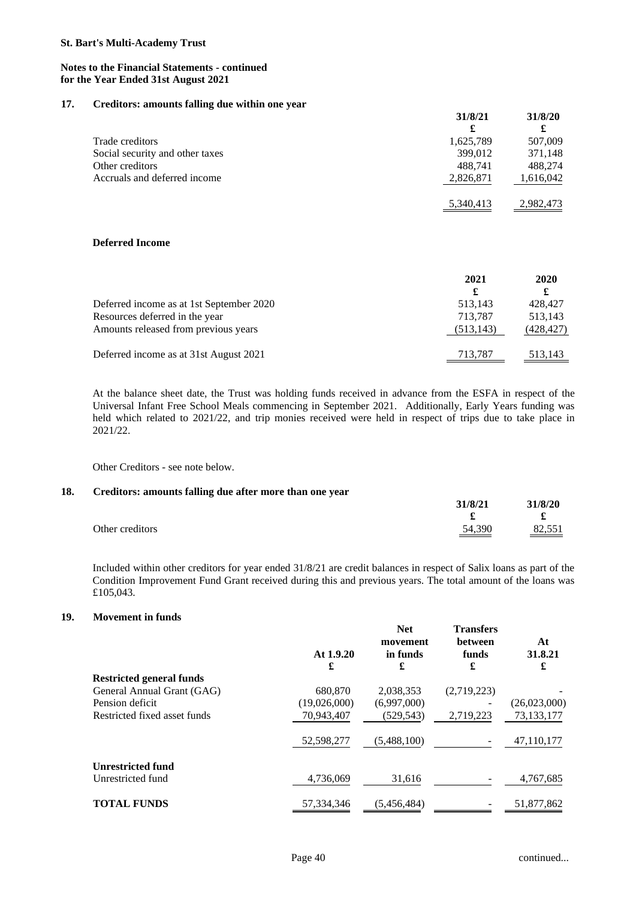#### **Notes to the Financial Statements - continued for the Year Ended 31st August 2021**

#### **17. Creditors: amounts falling due within one year**

|                                 | <u>JII JI HA</u> | <i><u>JII ULIV</u></i> |
|---------------------------------|------------------|------------------------|
|                                 | £                |                        |
| Trade creditors                 | 1,625,789        | 507,009                |
| Social security and other taxes | 399,012          | 371,148                |
| Other creditors                 | 488.741          | 488.274                |
| Accruals and deferred income    | 2,826,871        | 1,616,042              |
|                                 | 5,340,413        | 2.982,473              |

#### **Deferred Income**

|                                          | 2021<br>£  | 2020<br>£  |
|------------------------------------------|------------|------------|
| Deferred income as at 1st September 2020 | 513,143    | 428,427    |
| Resources deferred in the year           | 713.787    | 513,143    |
| Amounts released from previous years     | (513, 143) | (428, 427) |
| Deferred income as at 31st August 2021   | 713,787    | 513,143    |

At the balance sheet date, the Trust was holding funds received in advance from the ESFA in respect of the Universal Infant Free School Meals commencing in September 2021. Additionally, Early Years funding was held which related to 2021/22, and trip monies received were held in respect of trips due to take place in 2021/22.

Other Creditors - see note below.

#### **18. Creditors: amounts falling due after more than one year**

|                 | $J$ $I$ $J$ $I$ $I$ | J10/20           |
|-----------------|---------------------|------------------|
|                 |                     |                  |
| Other creditors | 54.390              | 82,551<br>______ |

Included within other creditors for year ended 31/8/21 are credit balances in respect of Salix loans as part of the Condition Improvement Fund Grant received during this and previous years. The total amount of the loans was £105,043.

## **19. Movement in funds**

|                                 | At $1.9.20$<br>£ | <b>Net</b><br>movement<br>in funds<br>£ | <b>Transfers</b><br>between<br>funds<br>£ | At<br>31.8.21<br>£ |
|---------------------------------|------------------|-----------------------------------------|-------------------------------------------|--------------------|
| <b>Restricted general funds</b> |                  |                                         |                                           |                    |
| General Annual Grant (GAG)      | 680,870          | 2,038,353                               | (2,719,223)                               |                    |
| Pension deficit                 | (19,026,000)     | (6,997,000)                             |                                           | (26,023,000)       |
| Restricted fixed asset funds    | 70,943,407       | (529, 543)                              | 2,719,223                                 | 73,133,177         |
|                                 | 52,598,277       | (5,488,100)                             |                                           | 47,110,177         |
| <b>Unrestricted fund</b>        |                  |                                         |                                           |                    |
| Unrestricted fund               | 4,736,069        | 31,616                                  |                                           | 4,767,685          |
| <b>TOTAL FUNDS</b>              | 57,334,346       | (5,456,484)                             |                                           | 51,877,862         |

**31/8/21 31/8/20**

**31/8/21 31/8/20**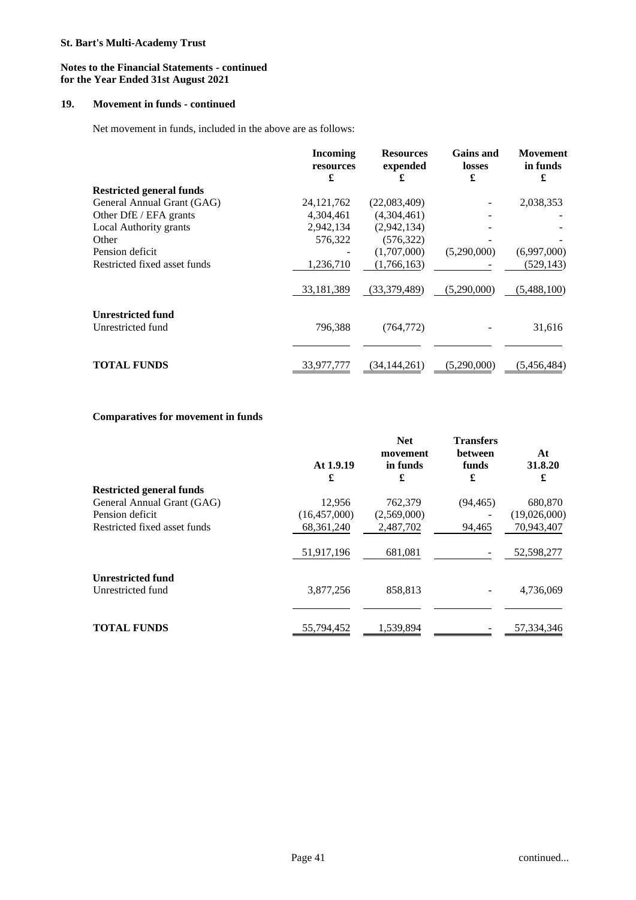### **Notes to the Financial Statements - continued for the Year Ended 31st August 2021**

## **19. Movement in funds - continued**

Net movement in funds, included in the above are as follows:

|                                 | Incoming<br>resources<br>£ | <b>Resources</b><br>expended<br>£ | <b>Gains</b> and<br>losses<br>£ | <b>Movement</b><br>in funds<br>£ |
|---------------------------------|----------------------------|-----------------------------------|---------------------------------|----------------------------------|
| <b>Restricted general funds</b> |                            |                                   |                                 |                                  |
| General Annual Grant (GAG)      | 24, 121, 762               | (22,083,409)                      |                                 | 2,038,353                        |
| Other DfE / EFA grants          | 4,304,461                  | (4,304,461)                       |                                 |                                  |
| Local Authority grants          | 2,942,134                  | (2,942,134)                       |                                 |                                  |
| Other                           | 576,322                    | (576, 322)                        |                                 |                                  |
| Pension deficit                 |                            | (1,707,000)                       | (5,290,000)                     | (6,997,000)                      |
| Restricted fixed asset funds    | 1,236,710                  | (1,766,163)                       |                                 | (529, 143)                       |
|                                 | 33,181,389                 | (33,379,489)                      | (5,290,000)                     | (5,488,100)                      |
| <b>Unrestricted fund</b>        |                            |                                   |                                 |                                  |
| Unrestricted fund               | 796,388                    | (764, 772)                        |                                 | 31,616                           |
|                                 |                            |                                   |                                 |                                  |
| <b>TOTAL FUNDS</b>              | 33.977.777                 | (34.144.261)                      | (5,290,000)                     | (5,456,484)                      |

## **Comparatives for movement in funds**

|                                 | At 1.9.19<br>£ | <b>Net</b><br>movement<br>in funds<br>£ | <b>Transfers</b><br>between<br>funds<br>£ | At<br>31.8.20<br>£ |
|---------------------------------|----------------|-----------------------------------------|-------------------------------------------|--------------------|
| <b>Restricted general funds</b> |                |                                         |                                           |                    |
| General Annual Grant (GAG)      | 12.956         | 762,379                                 | (94, 465)                                 | 680,870            |
| Pension deficit                 | (16, 457, 000) | (2,569,000)                             |                                           | (19,026,000)       |
| Restricted fixed asset funds    | 68, 361, 240   | 2,487,702                               | 94,465                                    | 70,943,407         |
|                                 | 51,917,196     | 681,081                                 |                                           | 52,598,277         |
| <b>Unrestricted fund</b>        |                |                                         |                                           |                    |
| Unrestricted fund               | 3,877,256      | 858,813                                 |                                           | 4,736,069          |
|                                 |                |                                         |                                           |                    |
| <b>TOTAL FUNDS</b>              | 55,794,452     | 1,539,894                               |                                           | 57,334,346         |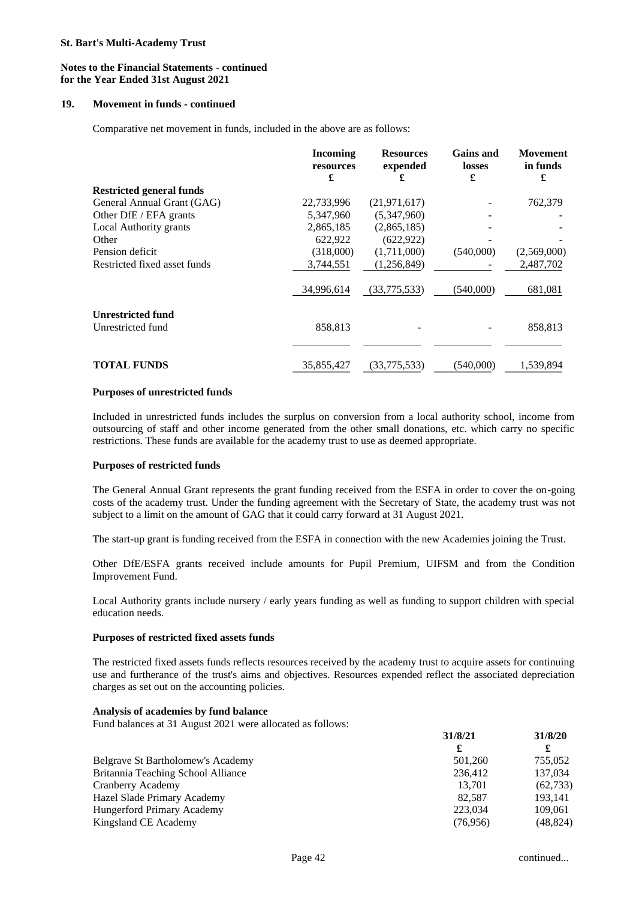#### **Notes to the Financial Statements - continued for the Year Ended 31st August 2021**

#### **19. Movement in funds - continued**

Comparative net movement in funds, included in the above are as follows:

|                                 | Incoming<br>resources<br>£ | <b>Resources</b><br>expended<br>£ | <b>Gains and</b><br>losses<br>£ | Movement<br>in funds<br>£ |
|---------------------------------|----------------------------|-----------------------------------|---------------------------------|---------------------------|
| <b>Restricted general funds</b> |                            |                                   |                                 |                           |
| General Annual Grant (GAG)      | 22,733,996                 | (21, 971, 617)                    |                                 | 762,379                   |
| Other DfE / EFA grants          | 5,347,960                  | (5,347,960)                       |                                 |                           |
| Local Authority grants          | 2,865,185                  | (2,865,185)                       |                                 |                           |
| Other                           | 622,922                    | (622, 922)                        |                                 |                           |
| Pension deficit                 | (318,000)                  | (1,711,000)                       | (540,000)                       | (2,569,000)               |
| Restricted fixed asset funds    | 3,744,551                  | (1,256,849)                       |                                 | 2,487,702                 |
|                                 | 34.996.614                 | (33,775,533)                      | (540,000)                       | 681,081                   |
| <b>Unrestricted fund</b>        |                            |                                   |                                 |                           |
| Unrestricted fund               | 858,813                    |                                   |                                 | 858,813                   |
|                                 |                            |                                   |                                 |                           |
| <b>TOTAL FUNDS</b>              | 35,855,427                 | (33,775,533)                      | (540,000)                       | 1,539,894                 |

#### **Purposes of unrestricted funds**

Included in unrestricted funds includes the surplus on conversion from a local authority school, income from outsourcing of staff and other income generated from the other small donations, etc. which carry no specific restrictions. These funds are available for the academy trust to use as deemed appropriate.

#### **Purposes of restricted funds**

The General Annual Grant represents the grant funding received from the ESFA in order to cover the on-going costs of the academy trust. Under the funding agreement with the Secretary of State, the academy trust was not subject to a limit on the amount of GAG that it could carry forward at 31 August 2021.

The start-up grant is funding received from the ESFA in connection with the new Academies joining the Trust.

Other DfE/ESFA grants received include amounts for Pupil Premium, UIFSM and from the Condition Improvement Fund.

Local Authority grants include nursery / early years funding as well as funding to support children with special education needs.

#### **Purposes of restricted fixed assets funds**

The restricted fixed assets funds reflects resources received by the academy trust to acquire assets for continuing use and furtherance of the trust's aims and objectives. Resources expended reflect the associated depreciation charges as set out on the accounting policies.

#### **Analysis of academies by fund balance**

Fund balances at 31 August 2021 were allocated as follows:

|                                    | 31/8/21  | 31/8/20   |
|------------------------------------|----------|-----------|
|                                    | £        |           |
| Belgrave St Bartholomew's Academy  | 501,260  | 755,052   |
| Britannia Teaching School Alliance | 236,412  | 137,034   |
| Cranberry Academy                  | 13.701   | (62, 733) |
| Hazel Slade Primary Academy        | 82,587   | 193.141   |
| Hungerford Primary Academy         | 223,034  | 109,061   |
| Kingsland CE Academy               | (76,956) | (48, 824) |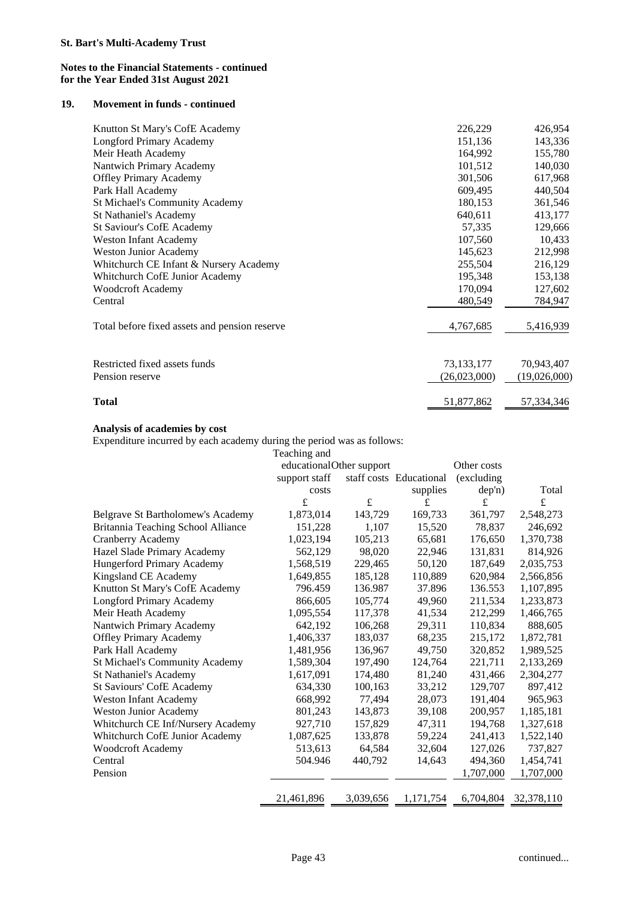### **19. Movement in funds - continued**

| Knutton St Mary's CofE Academy                | 226,229      | 426,954      |
|-----------------------------------------------|--------------|--------------|
| Longford Primary Academy                      | 151,136      | 143,336      |
| Meir Heath Academy                            | 164,992      | 155,780      |
| Nantwich Primary Academy                      | 101,512      | 140,030      |
| <b>Offley Primary Academy</b>                 | 301,506      | 617,968      |
| Park Hall Academy                             | 609,495      | 440,504      |
| <b>St Michael's Community Academy</b>         | 180,153      | 361,546      |
| St Nathaniel's Academy                        | 640,611      | 413,177      |
| <b>St Saviour's CofE Academy</b>              | 57,335       | 129,666      |
| <b>Weston Infant Academy</b>                  | 107,560      | 10,433       |
| <b>Weston Junior Academy</b>                  | 145,623      | 212,998      |
| Whitchurch CE Infant & Nursery Academy        | 255,504      | 216,129      |
| Whitchurch CofE Junior Academy                | 195,348      | 153,138      |
| <b>Woodcroft Academy</b>                      | 170,094      | 127,602      |
| Central                                       | 480,549      | 784,947      |
| Total before fixed assets and pension reserve | 4,767,685    | 5,416,939    |
|                                               |              |              |
| Restricted fixed assets funds                 | 73,133,177   | 70,943,407   |
| Pension reserve                               | (26,023,000) | (19,026,000) |
| Total                                         | 51,877,862   | 57,334,346   |

## **Analysis of academies by cost**

Expenditure incurred by each academy during the period was as follows:

|                                    | Teaching and             |           |                         |             |            |
|------------------------------------|--------------------------|-----------|-------------------------|-------------|------------|
|                                    | educationalOther support |           | Other costs             |             |            |
|                                    | support staff            |           | staff costs Educational | (excluding) |            |
|                                    | costs                    |           | supplies                | dep'n)      | Total      |
|                                    | £                        | £         | £                       | £           | £          |
| Belgrave St Bartholomew's Academy  | 1,873,014                | 143,729   | 169,733                 | 361,797     | 2,548,273  |
| Britannia Teaching School Alliance | 151,228                  | 1,107     | 15,520                  | 78,837      | 246,692    |
| Cranberry Academy                  | 1,023,194                | 105,213   | 65,681                  | 176,650     | 1,370,738  |
| Hazel Slade Primary Academy        | 562,129                  | 98,020    | 22,946                  | 131,831     | 814,926    |
| Hungerford Primary Academy         | 1,568,519                | 229,465   | 50,120                  | 187,649     | 2,035,753  |
| Kingsland CE Academy               | 1,649,855                | 185,128   | 110,889                 | 620,984     | 2,566,856  |
| Knutton St Mary's CofE Academy     | 796.459                  | 136.987   | 37.896                  | 136.553     | 1,107,895  |
| <b>Longford Primary Academy</b>    | 866,605                  | 105,774   | 49,960                  | 211,534     | 1,233,873  |
| Meir Heath Academy                 | 1,095,554                | 117,378   | 41,534                  | 212,299     | 1,466,765  |
| Nantwich Primary Academy           | 642,192                  | 106,268   | 29,311                  | 110,834     | 888,605    |
| <b>Offley Primary Academy</b>      | 1,406,337                | 183,037   | 68,235                  | 215,172     | 1,872,781  |
| Park Hall Academy                  | 1,481,956                | 136,967   | 49,750                  | 320,852     | 1,989,525  |
| St Michael's Community Academy     | 1,589,304                | 197,490   | 124,764                 | 221,711     | 2,133,269  |
| St Nathaniel's Academy             | 1,617,091                | 174,480   | 81,240                  | 431,466     | 2,304,277  |
| <b>St Saviours' CofE Academy</b>   | 634,330                  | 100,163   | 33,212                  | 129,707     | 897,412    |
| Weston Infant Academy              | 668,992                  | 77,494    | 28,073                  | 191,404     | 965,963    |
| Weston Junior Academy              | 801,243                  | 143,873   | 39,108                  | 200,957     | 1,185,181  |
| Whitchurch CE Inf/Nursery Academy  | 927,710                  | 157,829   | 47,311                  | 194,768     | 1,327,618  |
| Whitchurch CofE Junior Academy     | 1,087,625                | 133,878   | 59,224                  | 241,413     | 1,522,140  |
| <b>Woodcroft Academy</b>           | 513,613                  | 64,584    | 32,604                  | 127,026     | 737,827    |
| Central                            | 504.946                  | 440,792   | 14,643                  | 494,360     | 1,454,741  |
| Pension                            |                          |           |                         | 1,707,000   | 1,707,000  |
|                                    | 21,461,896               | 3,039,656 | 1,171,754               | 6,704,804   | 32,378,110 |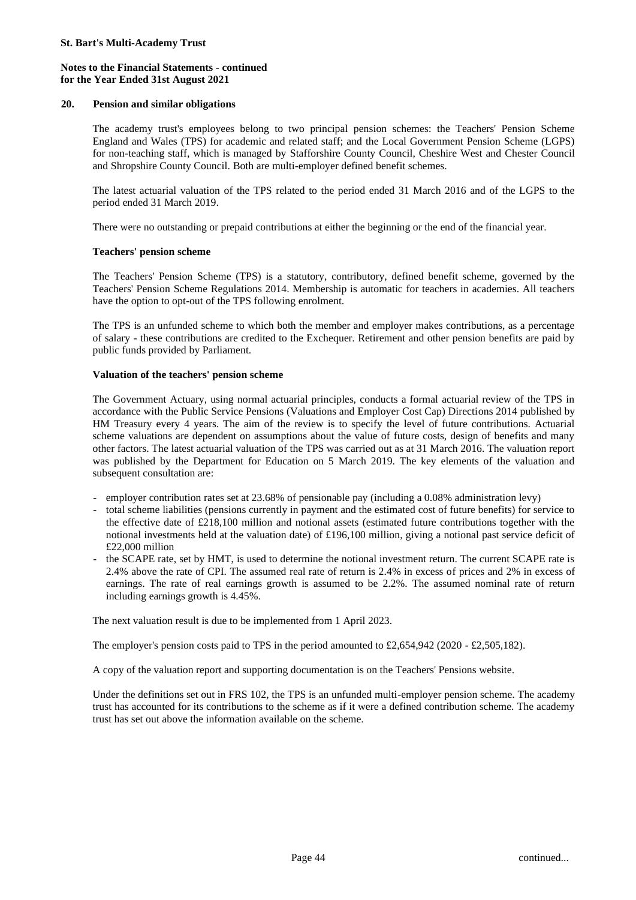### **20. Pension and similar obligations**

The academy trust's employees belong to two principal pension schemes: the Teachers' Pension Scheme England and Wales (TPS) for academic and related staff; and the Local Government Pension Scheme (LGPS) for non-teaching staff, which is managed by Stafforshire County Council, Cheshire West and Chester Council and Shropshire County Council. Both are multi-employer defined benefit schemes.

The latest actuarial valuation of the TPS related to the period ended 31 March 2016 and of the LGPS to the period ended 31 March 2019.

There were no outstanding or prepaid contributions at either the beginning or the end of the financial year.

### **Teachers' pension scheme**

The Teachers' Pension Scheme (TPS) is a statutory, contributory, defined benefit scheme, governed by the Teachers' Pension Scheme Regulations 2014. Membership is automatic for teachers in academies. All teachers have the option to opt-out of the TPS following enrolment.

The TPS is an unfunded scheme to which both the member and employer makes contributions, as a percentage of salary - these contributions are credited to the Exchequer. Retirement and other pension benefits are paid by public funds provided by Parliament.

### **Valuation of the teachers' pension scheme**

The Government Actuary, using normal actuarial principles, conducts a formal actuarial review of the TPS in accordance with the Public Service Pensions (Valuations and Employer Cost Cap) Directions 2014 published by HM Treasury every 4 years. The aim of the review is to specify the level of future contributions. Actuarial scheme valuations are dependent on assumptions about the value of future costs, design of benefits and many other factors. The latest actuarial valuation of the TPS was carried out as at 31 March 2016. The valuation report was published by the Department for Education on 5 March 2019. The key elements of the valuation and subsequent consultation are:

- employer contribution rates set at 23.68% of pensionable pay (including a 0.08% administration levy)
- total scheme liabilities (pensions currently in payment and the estimated cost of future benefits) for service to the effective date of £218,100 million and notional assets (estimated future contributions together with the notional investments held at the valuation date) of £196,100 million, giving a notional past service deficit of £22,000 million
- the SCAPE rate, set by HMT, is used to determine the notional investment return. The current SCAPE rate is 2.4% above the rate of CPI. The assumed real rate of return is 2.4% in excess of prices and 2% in excess of earnings. The rate of real earnings growth is assumed to be 2.2%. The assumed nominal rate of return including earnings growth is 4.45%.

The next valuation result is due to be implemented from 1 April 2023.

The employer's pension costs paid to TPS in the period amounted to £2,654,942 (2020 - £2,505,182).

A copy of the valuation report and supporting documentation is on the Teachers' Pensions website.

Under the definitions set out in FRS 102, the TPS is an unfunded multi-employer pension scheme. The academy trust has accounted for its contributions to the scheme as if it were a defined contribution scheme. The academy trust has set out above the information available on the scheme.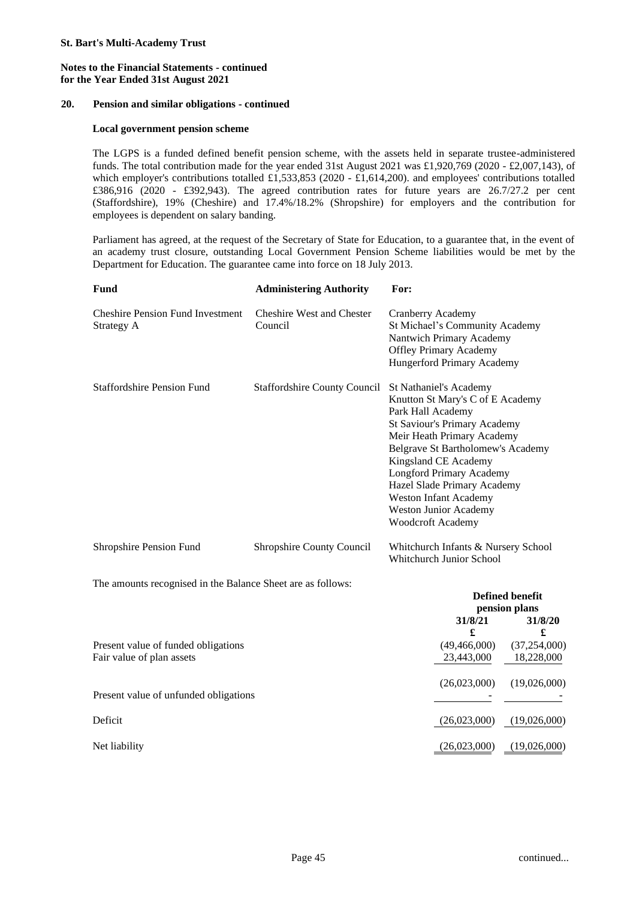### **20. Pension and similar obligations - continued**

### **Local government pension scheme**

The LGPS is a funded defined benefit pension scheme, with the assets held in separate trustee-administered funds. The total contribution made for the year ended 31st August 2021 was £1,920,769 (2020 - £2,007,143), of which employer's contributions totalled £1,533,853 (2020 - £1,614,200). and employees' contributions totalled £386,916 (2020 - £392,943). The agreed contribution rates for future years are 26.7/27.2 per cent (Staffordshire), 19% (Cheshire) and 17.4%/18.2% (Shropshire) for employers and the contribution for employees is dependent on salary banding.

Parliament has agreed, at the request of the Secretary of State for Education, to a guarantee that, in the event of an academy trust closure, outstanding Local Government Pension Scheme liabilities would be met by the Department for Education. The guarantee came into force on 18 July 2013.

| Fund                                                             | <b>Administering Authority</b>                      | For:                                                                                                                                                                                                                                                                                                                             |                                                         |  |
|------------------------------------------------------------------|-----------------------------------------------------|----------------------------------------------------------------------------------------------------------------------------------------------------------------------------------------------------------------------------------------------------------------------------------------------------------------------------------|---------------------------------------------------------|--|
| <b>Cheshire Pension Fund Investment</b><br><b>Strategy A</b>     | <b>Cheshire West and Chester</b><br>Council         | Cranberry Academy<br>St Michael's Community Academy<br>Nantwich Primary Academy<br><b>Offley Primary Academy</b><br>Hungerford Primary Academy                                                                                                                                                                                   |                                                         |  |
| <b>Staffordshire Pension Fund</b>                                | Staffordshire County Council St Nathaniel's Academy | Knutton St Mary's C of E Academy<br>Park Hall Academy<br><b>St Saviour's Primary Academy</b><br>Meir Heath Primary Academy<br>Belgrave St Bartholomew's Academy<br>Kingsland CE Academy<br><b>Longford Primary Academy</b><br>Hazel Slade Primary Academy<br>Weston Infant Academy<br>Weston Junior Academy<br>Woodcroft Academy |                                                         |  |
| Shropshire Pension Fund                                          | Shropshire County Council                           | Whitchurch Infants & Nursery School<br>Whitchurch Junior School                                                                                                                                                                                                                                                                  |                                                         |  |
| The amounts recognised in the Balance Sheet are as follows:      |                                                     | 31/8/21<br>£                                                                                                                                                                                                                                                                                                                     | <b>Defined benefit</b><br>pension plans<br>31/8/20<br>£ |  |
| Present value of funded obligations<br>Fair value of plan assets |                                                     | (49, 466, 000)<br>23,443,000                                                                                                                                                                                                                                                                                                     | (37,254,000)<br>18,228,000                              |  |
| Present value of unfunded obligations                            |                                                     | (26,023,000)                                                                                                                                                                                                                                                                                                                     | (19,026,000)                                            |  |
| Deficit                                                          |                                                     | (26,023,000)                                                                                                                                                                                                                                                                                                                     | (19,026,000)                                            |  |
| Net liability                                                    |                                                     | (26,023,000)                                                                                                                                                                                                                                                                                                                     | (19,026,000)                                            |  |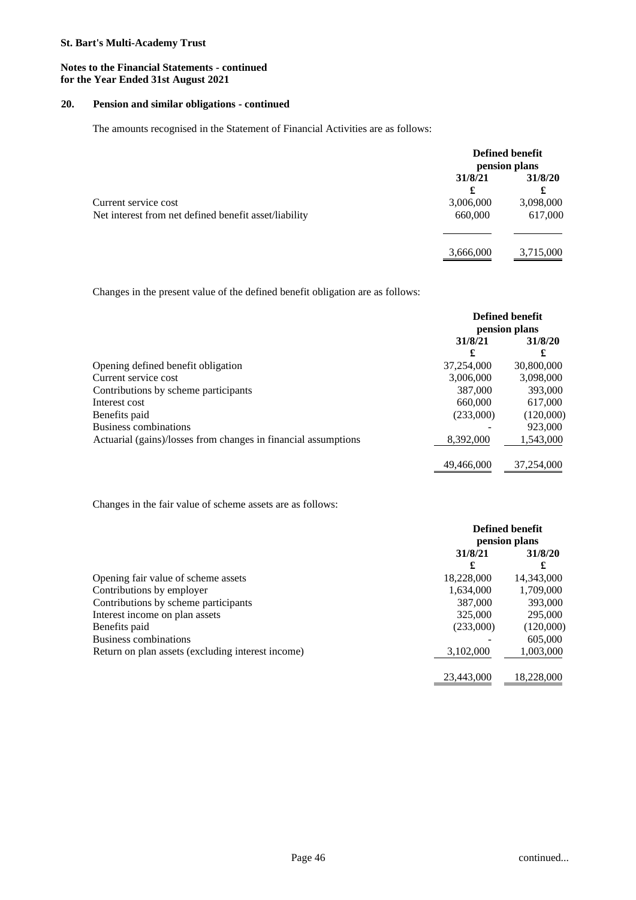### **Notes to the Financial Statements - continued for the Year Ended 31st August 2021**

## **20. Pension and similar obligations - continued**

The amounts recognised in the Statement of Financial Activities are as follows:

|                                                       | Defined benefit<br>pension plans |                |
|-------------------------------------------------------|----------------------------------|----------------|
|                                                       | 31/8/21                          | 31/8/20        |
| Current service cost                                  | £<br>3,006,000                   | £<br>3,098,000 |
| Net interest from net defined benefit asset/liability | 660,000                          | 617,000        |
|                                                       |                                  |                |
|                                                       | 3,666,000                        | 3,715,000      |

Changes in the present value of the defined benefit obligation are as follows:

|                                                                | Defined benefit<br>pension plans |              |
|----------------------------------------------------------------|----------------------------------|--------------|
|                                                                | 31/8/21<br>£                     | 31/8/20<br>£ |
| Opening defined benefit obligation                             | 37,254,000                       | 30,800,000   |
| Current service cost                                           | 3,006,000                        | 3,098,000    |
| Contributions by scheme participants                           | 387,000                          | 393,000      |
| Interest cost                                                  | 660,000                          | 617,000      |
| Benefits paid                                                  | (233,000)                        | (120,000)    |
| Business combinations                                          |                                  | 923,000      |
| Actuarial (gains)/losses from changes in financial assumptions | 8,392,000                        | 1,543,000    |
|                                                                | 49,466,000                       | 37,254,000   |

Changes in the fair value of scheme assets are as follows:

|                                                   | <b>Defined benefit</b><br>pension plans |            |
|---------------------------------------------------|-----------------------------------------|------------|
|                                                   | 31/8/21<br>£                            | 31/8/20    |
| Opening fair value of scheme assets               | 18,228,000                              | 14,343,000 |
| Contributions by employer                         | 1,634,000                               | 1,709,000  |
| Contributions by scheme participants              | 387,000                                 | 393,000    |
| Interest income on plan assets                    | 325,000                                 | 295,000    |
| Benefits paid                                     | (233,000)                               | (120,000)  |
| <b>Business combinations</b>                      |                                         | 605,000    |
| Return on plan assets (excluding interest income) | 3,102,000                               | 1,003,000  |
|                                                   | 23,443,000                              | 18,228,000 |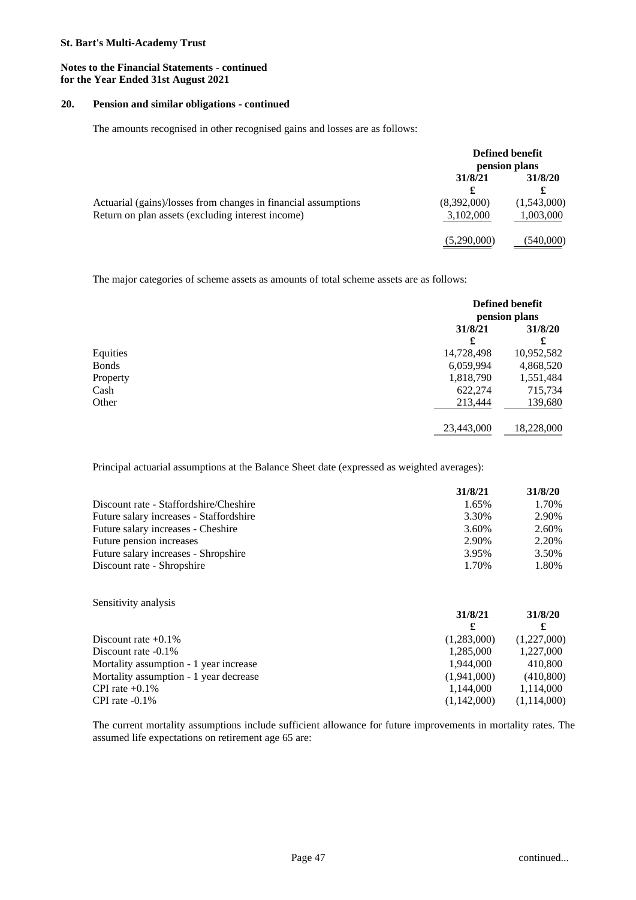### **Notes to the Financial Statements - continued for the Year Ended 31st August 2021**

#### **20. Pension and similar obligations - continued**

The amounts recognised in other recognised gains and losses are as follows:

|                                                                | Defined benefit<br>pension plans |             |
|----------------------------------------------------------------|----------------------------------|-------------|
|                                                                | 31/8/21                          | 31/8/20     |
|                                                                | £                                |             |
| Actuarial (gains)/losses from changes in financial assumptions | (8,392,000)                      | (1,543,000) |
| Return on plan assets (excluding interest income)              | 3,102,000                        | 1,003,000   |
|                                                                | (5,290,000)                      | (540,000)   |

The major categories of scheme assets as amounts of total scheme assets are as follows:

|              | <b>Defined benefit</b><br>pension plans |            |
|--------------|-----------------------------------------|------------|
|              | 31/8/21<br>£                            | 31/8/20    |
| Equities     | 14,728,498                              | 10,952,582 |
| <b>Bonds</b> | 6,059,994                               | 4,868,520  |
| Property     | 1,818,790                               | 1,551,484  |
| Cash         | 622,274                                 | 715,734    |
| Other        | 213,444                                 | 139,680    |
|              | 23,443,000                              | 18,228,000 |

Principal actuarial assumptions at the Balance Sheet date (expressed as weighted averages):

|                                         | 31/8/21 | 31/8/20 |
|-----------------------------------------|---------|---------|
| Discount rate - Staffordshire/Cheshire  | 1.65%   | 1.70%   |
| Future salary increases - Staffordshire | 3.30%   | 2.90%   |
| Future salary increases - Cheshire      | 3.60%   | 2.60%   |
| Future pension increases                | 2.90%   | 2.20%   |
| Future salary increases - Shropshire    | 3.95%   | 3.50%   |
| Discount rate - Shropshire              | 1.70%   | 1.80%   |

| Sensitivity analysis                   |             |             |
|----------------------------------------|-------------|-------------|
|                                        | 31/8/21     | 31/8/20     |
|                                        | £           |             |
| Discount rate $+0.1\%$                 | (1,283,000) | (1,227,000) |
| Discount rate $-0.1\%$                 | 1,285,000   | 1,227,000   |
| Mortality assumption - 1 year increase | 1.944.000   | 410,800     |
| Mortality assumption - 1 year decrease | (1,941,000) | (410,800)   |
| CPI rate $+0.1\%$                      | 1,144,000   | 1,114,000   |
| CPI rate $-0.1\%$                      | (1,142,000) | (1,114,000) |

The current mortality assumptions include sufficient allowance for future improvements in mortality rates. The assumed life expectations on retirement age 65 are: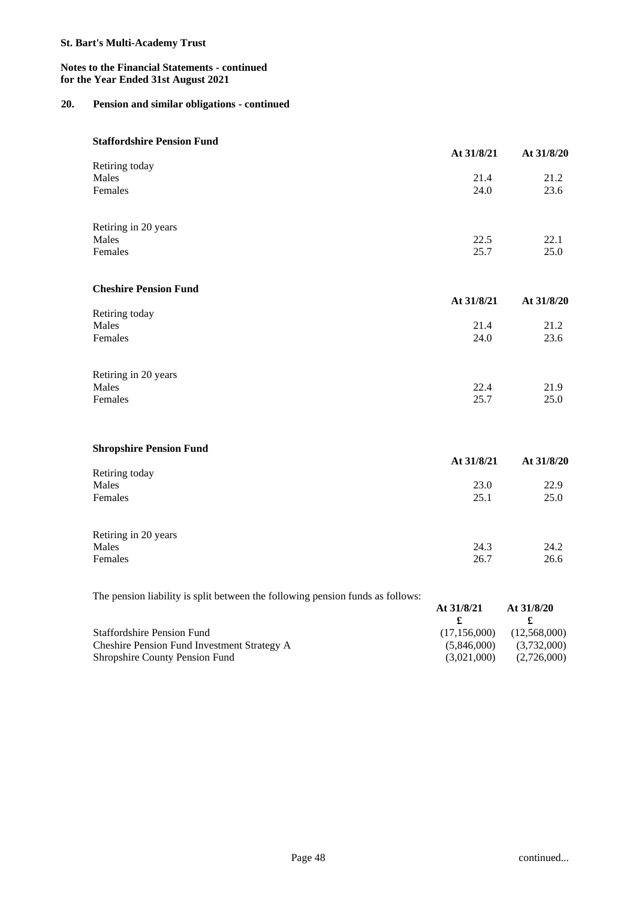### **Notes to the Financial Statements - continued for the Year Ended 31st August 2021**

## **20. Pension and similar obligations - continued**

#### **Staffordshire Pension Fund**

|                                | At 31/8/21 | At 31/8/20 |
|--------------------------------|------------|------------|
| Retiring today                 |            |            |
| Males                          | 21.4       | 21.2       |
| Females                        | 24.0       | 23.6       |
| Retiring in 20 years           |            |            |
| Males                          | 22.5       | 22.1       |
| Females                        | 25.7       | 25.0       |
| <b>Cheshire Pension Fund</b>   |            |            |
|                                | At 31/8/21 | At 31/8/20 |
| Retiring today                 |            |            |
| Males                          | 21.4       | 21.2       |
| Females                        | 24.0       | 23.6       |
| Retiring in 20 years           |            |            |
| Males                          | 22.4       | 21.9       |
| Females                        | 25.7       | 25.0       |
| <b>Shropshire Pension Fund</b> |            |            |
|                                | At 31/8/21 | At 31/8/20 |
| Retiring today                 |            |            |
| Males                          | 23.0       | 22.9       |
| Females                        | 25.1       | 25.0       |

| Retiring in 20 years |      |      |
|----------------------|------|------|
| Males                | 24.3 | 24.2 |
| Females              | 26.7 | 26.6 |

The pension liability is split between the following pension funds as follows:

| The pension magnity to opin between the following pension range as follows. |              |              |
|-----------------------------------------------------------------------------|--------------|--------------|
|                                                                             | At $31/8/21$ | At $31/8/20$ |
|                                                                             |              |              |
| <b>Staffordshire Pension Fund</b>                                           | (17.156,000) | (12,568,000) |
| Cheshire Pension Fund Investment Strategy A                                 | (5.846,000)  | (3,732,000)  |
| <b>Shropshire County Pension Fund</b>                                       | (3.021.000)  | (2,726,000)  |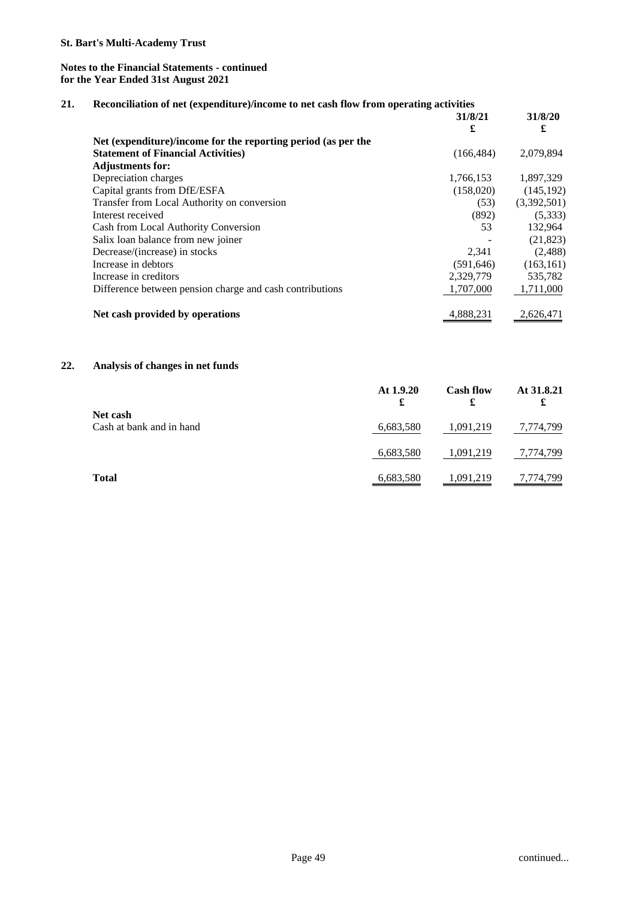## **21. Reconciliation of net (expenditure)/income to net cash flow from operating activities**

|                                                               | 31/8/21<br>£ | 31/8/20<br>£ |
|---------------------------------------------------------------|--------------|--------------|
| Net (expenditure)/income for the reporting period (as per the |              |              |
| <b>Statement of Financial Activities</b> )                    | (166, 484)   | 2,079,894    |
| <b>Adjustments for:</b>                                       |              |              |
| Depreciation charges                                          | 1,766,153    | 1,897,329    |
| Capital grants from DfE/ESFA                                  | (158,020)    | (145, 192)   |
| Transfer from Local Authority on conversion                   | (53)         | (3,392,501)  |
| Interest received                                             | (892)        | (5,333)      |
| Cash from Local Authority Conversion                          | 53           | 132,964      |
| Salix loan balance from new joiner                            |              | (21, 823)    |
| Decrease/(increase) in stocks                                 | 2,341        | (2, 488)     |
| Increase in debtors                                           | (591, 646)   | (163, 161)   |
| Increase in creditors                                         | 2,329,779    | 535,782      |
| Difference between pension charge and cash contributions      | 1,707,000    | 1,711,000    |
| Net cash provided by operations                               | 4,888,231    | 2,626,471    |

# **22. Analysis of changes in net funds**

|                                      | At 1.9.20<br>£ | <b>Cash flow</b><br>£ | At 31.8.21<br>£ |
|--------------------------------------|----------------|-----------------------|-----------------|
| Net cash<br>Cash at bank and in hand | 6,683,580      | 1,091,219             | 7,774,799       |
|                                      | 6,683,580      | 1,091,219             | 7,774,799       |
| <b>Total</b>                         | 6,683,580      | 1,091,219             | 7,774,799       |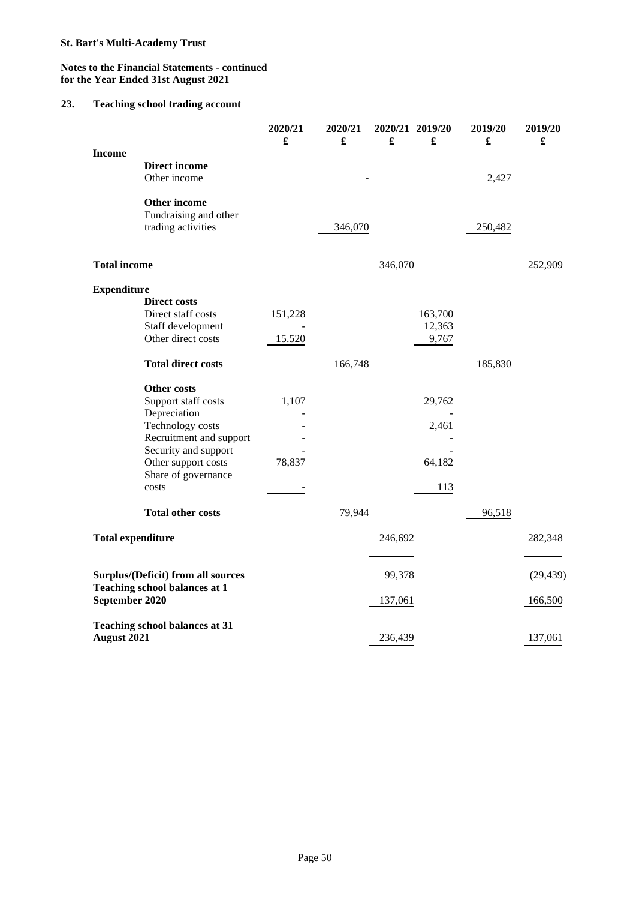## **Notes to the Financial Statements - continued for the Year Ended 31st August 2021**

# **23. Teaching school trading account**

|                                                                                              |                                                             | 2020/21<br>£ | 2020/21<br>£ | £       | 2020/21 2019/20<br>£ | 2019/20<br>£ | 2019/20<br>£ |
|----------------------------------------------------------------------------------------------|-------------------------------------------------------------|--------------|--------------|---------|----------------------|--------------|--------------|
| <b>Income</b>                                                                                | <b>Direct income</b><br>Other income                        |              |              |         |                      | 2,427        |              |
|                                                                                              | Other income<br>Fundraising and other<br>trading activities |              | 346,070      |         |                      | 250,482      |              |
| <b>Total income</b>                                                                          |                                                             |              |              | 346,070 |                      |              | 252,909      |
| <b>Expenditure</b>                                                                           |                                                             |              |              |         |                      |              |              |
|                                                                                              | <b>Direct costs</b>                                         |              |              |         |                      |              |              |
|                                                                                              | Direct staff costs                                          | 151,228      |              |         | 163,700              |              |              |
|                                                                                              | Staff development                                           |              |              |         | 12,363               |              |              |
|                                                                                              | Other direct costs                                          | 15.520       |              |         | 9,767                |              |              |
|                                                                                              | <b>Total direct costs</b>                                   |              | 166,748      |         |                      | 185,830      |              |
|                                                                                              | Other costs                                                 |              |              |         |                      |              |              |
|                                                                                              | Support staff costs                                         | 1,107        |              |         | 29,762               |              |              |
|                                                                                              | Depreciation                                                |              |              |         |                      |              |              |
|                                                                                              | Technology costs                                            |              |              |         | 2,461                |              |              |
|                                                                                              | Recruitment and support<br>Security and support             |              |              |         |                      |              |              |
|                                                                                              | Other support costs                                         | 78,837       |              |         | 64,182               |              |              |
|                                                                                              | Share of governance                                         |              |              |         |                      |              |              |
|                                                                                              | costs                                                       |              |              |         | 113                  |              |              |
|                                                                                              | <b>Total other costs</b>                                    |              | 79,944       |         |                      | 96,518       |              |
| <b>Total expenditure</b>                                                                     |                                                             |              |              | 246,692 |                      |              | 282,348      |
|                                                                                              |                                                             |              |              |         |                      |              |              |
| Surplus/(Deficit) from all sources<br><b>Teaching school balances at 1</b><br>September 2020 |                                                             |              |              | 99,378  |                      |              | (29, 439)    |
|                                                                                              |                                                             |              |              | 137,061 |                      |              | 166,500      |
|                                                                                              | <b>Teaching school balances at 31</b>                       |              |              |         |                      |              |              |
| <b>August 2021</b>                                                                           |                                                             |              |              | 236,439 |                      |              | 137,061      |